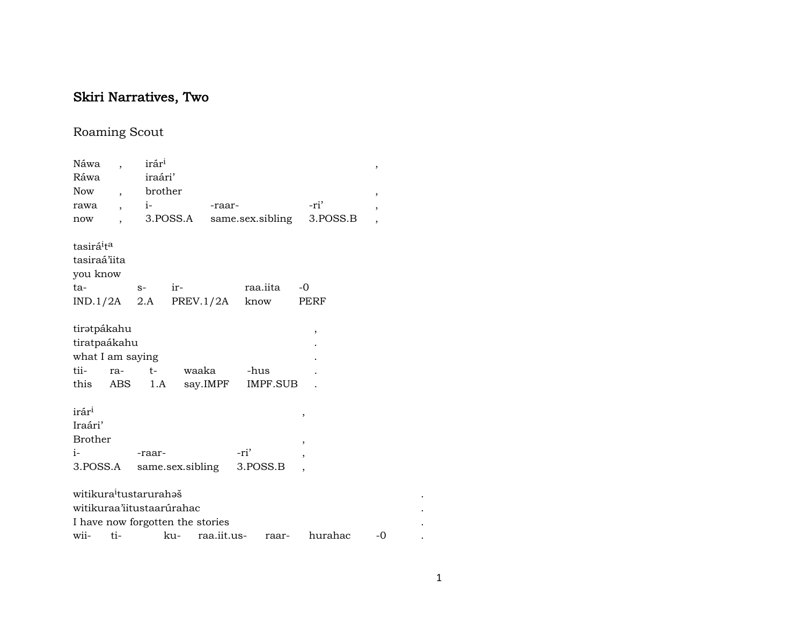## Skiri Narratives, Two

## Roaming Scout

| Náwa                               |                          | irár <sup>i</sup>                          |     |             |      |                            |                          | $\, ,$                   |
|------------------------------------|--------------------------|--------------------------------------------|-----|-------------|------|----------------------------|--------------------------|--------------------------|
| Ráwa                               |                          | iraári'                                    |     |             |      |                            |                          |                          |
| <b>Now</b>                         | $\overline{\phantom{a}}$ | brother                                    |     |             |      |                            |                          | ,                        |
| rawa                               | $\overline{\phantom{a}}$ | $\mathbf{i}$ - $\mathbf{j}$ - $\mathbf{k}$ |     | -raar-      |      |                            | -ri'                     | $\overline{\phantom{a}}$ |
| now                                |                          |                                            |     |             |      | 3. POSS.A same.sex.sibling | 3.POSS.B                 |                          |
| tasirá <sup>i</sup> t <sup>a</sup> |                          |                                            |     |             |      |                            |                          |                          |
| tasiraá'iita                       |                          |                                            |     |             |      |                            |                          |                          |
| you know                           |                          |                                            |     |             |      |                            |                          |                          |
| ta-                                |                          | $S-$                                       | ir- |             |      | raa.iita                   | $-0$                     |                          |
|                                    |                          | $IND.1/2A$ 2.A PREV.1/2A know              |     |             |      |                            | PERF                     |                          |
| tiratpákahu                        |                          |                                            |     |             |      |                            | ,                        |                          |
| tiratpaákahu                       |                          |                                            |     |             |      |                            |                          |                          |
| what I am saying                   |                          |                                            |     |             |      |                            |                          |                          |
| tii-                               | ra-                      | $t-$                                       |     | waaka -hus  |      |                            |                          |                          |
| this ABS                           |                          |                                            |     |             |      | 1.A say.IMPF IMPF.SUB      |                          |                          |
| irár <sup>i</sup>                  |                          |                                            |     |             |      |                            | ,                        |                          |
| Iraári'                            |                          |                                            |     |             |      |                            |                          |                          |
| <b>Brother</b>                     |                          |                                            |     |             |      |                            | $\overline{\phantom{a}}$ |                          |
| $i-$                               |                          | -raar-                                     |     |             | -ri' |                            | $\overline{\phantom{a}}$ |                          |
| 3.POSS.A                           |                          | same.sex.sibling 3.POSS.B                  |     |             |      |                            |                          |                          |
|                                    |                          | witikura <sup>i</sup> tustarurahəš         |     |             |      |                            |                          |                          |
|                                    |                          | witikuraa'iitustaarúrahac                  |     |             |      |                            |                          |                          |
|                                    |                          | I have now forgotten the stories           |     |             |      |                            |                          |                          |
| wii-                               | ti-                      |                                            | ku- | raa.iit.us- |      | raar-                      | hurahac                  | -0                       |

 $\sim 100$  $\sim$  $\sim$ 

 $\sim 100$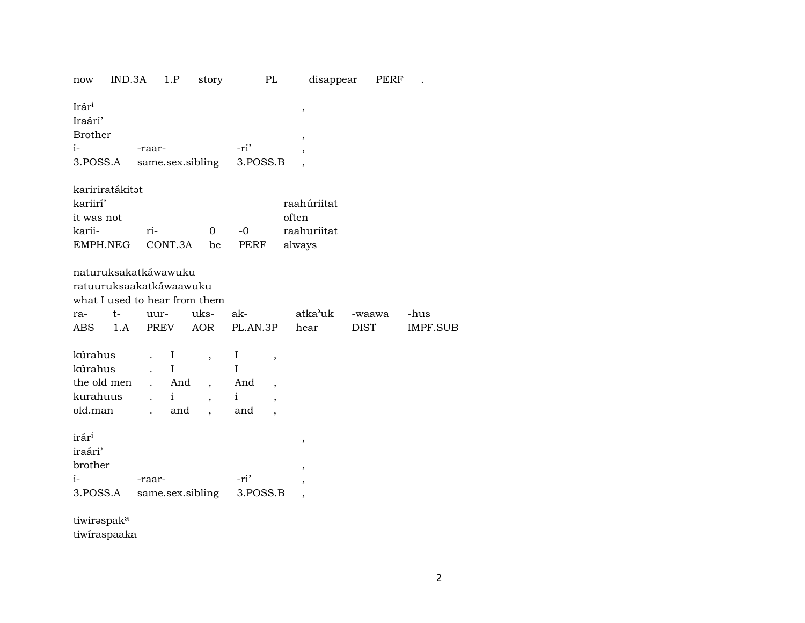| now                           | $IND.3A$ 1.P |                      |              | story                    | PL                              |        | disappear                |             | PERF |          |
|-------------------------------|--------------|----------------------|--------------|--------------------------|---------------------------------|--------|--------------------------|-------------|------|----------|
| Irár <sup>i</sup><br>Iraári'  |              |                      |              |                          |                                 |        | $\, ,$                   |             |      |          |
| <b>Brother</b>                |              |                      |              |                          |                                 | $\, ,$ |                          |             |      |          |
| $i-$                          |              | -raar-               |              |                          | -ri'                            |        |                          |             |      |          |
| 3.POSS.A                      |              |                      |              | same.sex.sibling         | 3.POSS.B                        |        |                          |             |      |          |
| kaririratákitat               |              |                      |              |                          |                                 |        |                          |             |      |          |
| kariirí'                      |              |                      |              |                          |                                 |        | raahúriitat              |             |      |          |
| it was not                    |              |                      |              |                          |                                 | often  |                          |             |      |          |
| karii-                        |              | ri-                  |              | $\mathbf{O}$             | $-0$                            |        | raahuriitat              |             |      |          |
| EMPH.NEG                      |              |                      | CONT.3A be   |                          | PERF                            | always |                          |             |      |          |
|                               |              |                      |              |                          |                                 |        |                          |             |      |          |
| naturuksakatkáwawuku          |              |                      |              |                          |                                 |        |                          |             |      |          |
| ratuuruksaakatkáwaawuku       |              |                      |              |                          |                                 |        |                          |             |      |          |
| what I used to hear from them |              |                      |              |                          |                                 |        |                          |             |      |          |
| ra-                           | $t-$         | uur-                 |              | uks-                     | ak-                             |        | atka'uk                  | -waawa      |      | -hus     |
| ABS                           | 1.A          |                      | PREV AOR     |                          | PL.AN.3P                        |        | hear                     | <b>DIST</b> |      | IMPF.SUB |
|                               |              |                      |              |                          |                                 |        |                          |             |      |          |
| kúrahus                       |              |                      | $\bf{I}$     | $\overline{\phantom{a}}$ | I<br>$\, ,$                     |        |                          |             |      |          |
| kúrahus                       |              |                      | $\mathbf I$  |                          | $\mathbf I$                     |        |                          |             |      |          |
| the old men                   |              |                      | . And        | $\overline{ }$ ,         | And<br>$\overline{\phantom{a}}$ |        |                          |             |      |          |
| kurahuus                      |              | $\ddot{\phantom{a}}$ | $\mathbf{i}$ | $\overline{\phantom{a}}$ | $\mathbf{i}$                    |        |                          |             |      |          |
| old.man                       |              | $\ddot{\phantom{a}}$ | and          |                          | and                             |        |                          |             |      |          |
|                               |              |                      |              |                          |                                 |        |                          |             |      |          |
| irár <sup>i</sup>             |              |                      |              |                          |                                 |        | ,                        |             |      |          |
| iraári'                       |              |                      |              |                          |                                 |        |                          |             |      |          |
| brother                       |              |                      |              |                          |                                 |        | $\overline{\phantom{a}}$ |             |      |          |
| $i-$                          |              | -raar-               |              |                          | -ri'                            |        |                          |             |      |          |
| 3.POSS.A                      |              |                      |              | same.sex.sibling         | 3.POSS.B                        |        | ,                        |             |      |          |
|                               |              |                      |              |                          |                                 |        |                          |             |      |          |
|                               |              |                      |              |                          |                                 |        |                          |             |      |          |

tiwirəspak<sup>a</sup>

tiwiraspaaka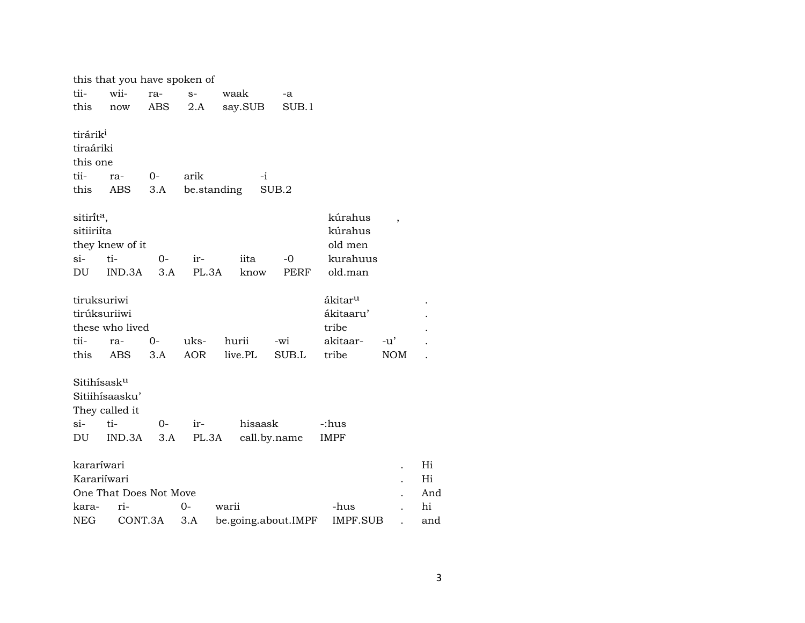|                                                     | this that you have spoken of                      |             |                    |                     |              |                                                                |                   |     |
|-----------------------------------------------------|---------------------------------------------------|-------------|--------------------|---------------------|--------------|----------------------------------------------------------------|-------------------|-----|
| tii-                                                | wii-                                              | ra-         | $S-$               | waak                | -a           |                                                                |                   |     |
| this                                                | now                                               | ABS         | 2.A                | say.SUB             | SUB.1        |                                                                |                   |     |
| tirárik <sup>i</sup><br>tiraáriki<br>this one       |                                                   |             |                    |                     |              |                                                                |                   |     |
| tii-                                                | ra-                                               | $O -$       | arik               | $-i$                |              |                                                                |                   |     |
| this                                                | ABS                                               | 3.A         | be.standing        |                     | SUB.2        |                                                                |                   |     |
| sitirit <sup>a</sup> ,<br>sitiiriíta<br>$si-$<br>DU | they knew of it<br>ti-<br>IND.3A                  | 0-<br>3.A   | ir-<br>PL.3A       | iita<br>know        | $-0$<br>PERF | kúrahus<br>kúrahus<br>old men<br>kurahuus<br>old.man           | $\overline{ }$    |     |
| tiruksuriwi<br>tirúksuriiwi<br>tii-<br>this         | these who lived<br>ra-<br><b>ABS</b>              | $0-$<br>3.A | uks-<br><b>AOR</b> | hurii<br>live.PL    | -wi<br>SUB.L | ákitar <sup>u</sup><br>ákitaaru'<br>tribe<br>akitaar-<br>tribe | -u'<br><b>NOM</b> |     |
| Sitihísask <sup>u</sup><br>$\sin$<br>DU             | Sitiihísaasku'<br>They called it<br>ti-<br>IND.3A | $0-$<br>3.A | ir-<br>PL.3A       | hisaask             | call.by.name | -:hus<br><b>IMPF</b>                                           |                   |     |
| kararíwari                                          |                                                   |             |                    |                     |              |                                                                |                   | Hi  |
| Karariíwari                                         |                                                   |             |                    |                     |              |                                                                |                   | Hi  |
|                                                     | One That Does Not Move                            |             |                    |                     |              |                                                                |                   | And |
| kara-                                               | ri-                                               |             | $O -$              | warii               |              | -hus                                                           |                   | hi  |
| <b>NEG</b>                                          | CONT.3A                                           |             | 3.A                | be.going.about.IMPF |              | <b>IMPF.SUB</b>                                                |                   | and |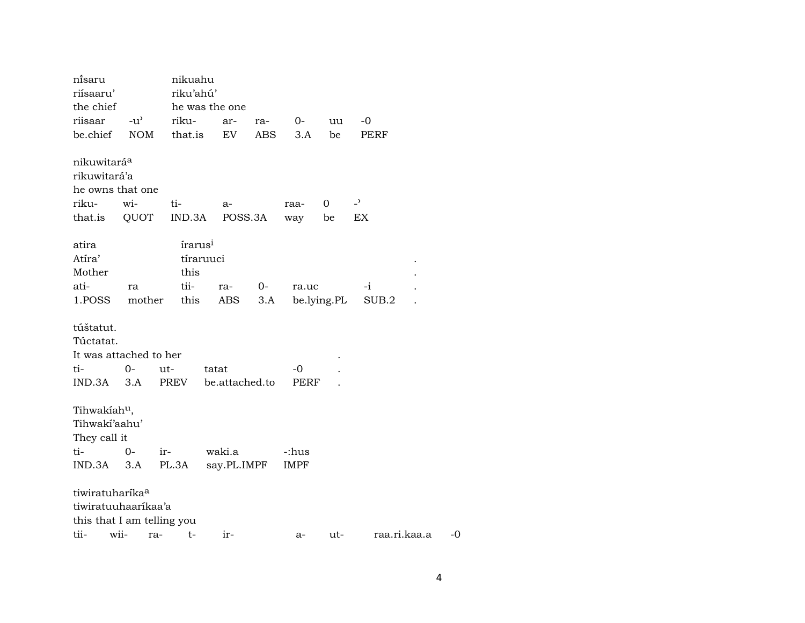| ni̇̃saru<br>riísaaru'<br>the chief                                                               |               | nikuahu<br>riku'ahú'                        | he was the one          |             |       |             |                |    |
|--------------------------------------------------------------------------------------------------|---------------|---------------------------------------------|-------------------------|-------------|-------|-------------|----------------|----|
| riisaar                                                                                          | $-u^{\prime}$ | riku-                                       | ar-                     | ra-         | $O-$  | uu          | -0             |    |
| be.chief                                                                                         | <b>NOM</b>    | that.is                                     | EV                      | ABS         | 3.A   | be          | PERF           |    |
| nikuwitaráa<br>rikuwitará'a<br>he owns that one                                                  |               |                                             |                         |             |       |             |                |    |
| riku-                                                                                            | wi-           | ti-                                         | $a-$                    |             | raa-  | 0           | $\overline{z}$ |    |
| that.is                                                                                          | QUOT          | IND.3A                                      | POSS.3A                 |             | way   | be          | EX             |    |
| atira<br>Atíra'<br>Mother<br>ati-<br>1.POSS                                                      | ra<br>mother  | írarus <sup>i</sup><br>this<br>tii-<br>this | tíraruuci<br>ra-<br>ABS | $0-$<br>3.A | ra.uc | be.lying.PL | -i<br>SUB.2    |    |
| túštatut.<br>Túctatat.<br>It was attached to her                                                 |               |                                             |                         |             |       |             |                |    |
| ti-                                                                                              | $0-$          | ut-                                         | tatat                   |             | -0    |             |                |    |
| IND.3A                                                                                           | 3.A           | PREV                                        | be.attached.to          |             | PERF  |             |                |    |
| Tihwakiah <sup>u</sup> ,<br>Tihwaki'aahu'<br>They call it                                        |               |                                             |                         |             |       |             |                |    |
| ti-                                                                                              | $0-$          | ir-                                         | waki.a                  |             | -:hus |             |                |    |
| IND.3A 3.A                                                                                       |               | PL.3A                                       | say.PL.IMPF             |             | IMPF  |             |                |    |
| tiwiratuharíka <sup>a</sup><br>tiwiratuuhaaríkaa'a<br>this that I am telling you<br>tii-<br>wii- |               | $t-$<br>ra-                                 | ir-                     |             | a-    | ut-         | raa.ri.kaa.a   | -0 |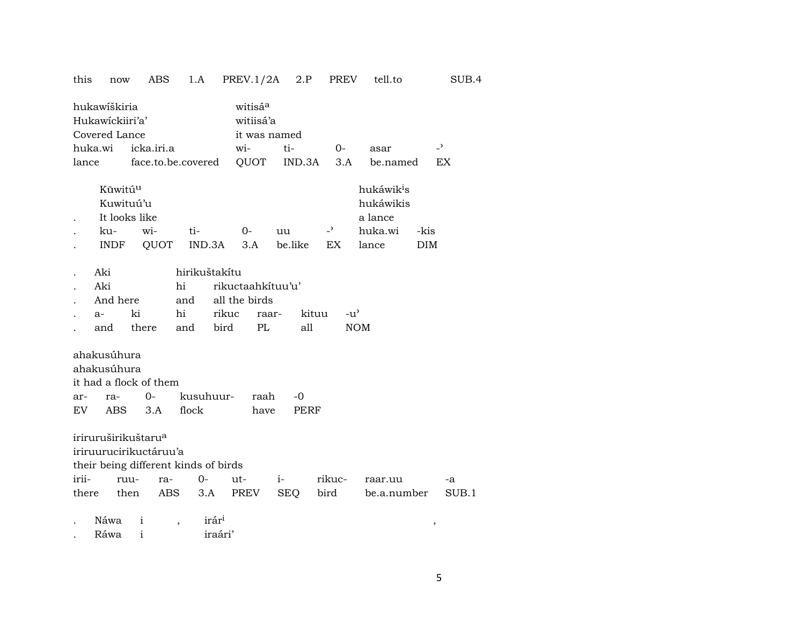this now ABS 1.A PREV.1/2A 2.P PREV tell.to SUB.4

|            | hukawiškiria<br>Hukawickiiri'a'<br>Covered Lance                                                  |                    |                        |                                | witisá <sup>a</sup>                               | witiisá'a<br>it was named |                     |                                                                    |                    |                |  |
|------------|---------------------------------------------------------------------------------------------------|--------------------|------------------------|--------------------------------|---------------------------------------------------|---------------------------|---------------------|--------------------------------------------------------------------|--------------------|----------------|--|
|            | huka.wi                                                                                           | icka.iri.a         |                        |                                | wi-                                               | ti-                       | $0-$                | asar                                                               |                    | $\overline{z}$ |  |
| lance      |                                                                                                   | face.to.be.covered |                        |                                | QUOT                                              | IND.3A                    | 3.A                 | be.named                                                           |                    | EX             |  |
|            | Kūwitú <sup>u</sup><br>Kuwituú'u<br>It looks like<br>ku-<br>INDF                                  | wi-<br>QUOT        | ti-                    | IND.3A                         | $O -$<br>3.A                                      | uu<br>be.like             | $\rightarrow$<br>EX | hukáwik <sup>i</sup> s<br>hukáwikis<br>a lance<br>huka.wi<br>lance | -kis<br><b>DIM</b> |                |  |
|            | Aki<br>Aki<br>And here<br>$a-$<br>and                                                             | ki<br>there        | hi<br>and<br>hi<br>and | hirikuštakítu<br>rikuc<br>bird | rikuctaahkituu'u'<br>all the birds<br>raar-<br>PL | kituu<br>all              | $-u^{\prime}$       | <b>NOM</b>                                                         |                    |                |  |
| ar-<br>EV. | ahakusúhura<br>ahakusúhura<br>it had a flock of them<br>ra-<br>ABS                                | $0-$<br>3.A        | flock                  | kusuhuur-                      | raah<br>have                                      | -0<br>PERF                |                     |                                                                    |                    |                |  |
|            | iriruruširikuštaru <sup>a</sup><br>iriruurucirikuctáruu'a<br>their being different kinds of birds |                    |                        |                                |                                                   |                           |                     |                                                                    |                    |                |  |
| irii-      | ruu-                                                                                              |                    | ra-                    | $0-$                           | ut-                                               | $i-$                      | rikuc-              | raar.uu                                                            |                    | -a             |  |
| there      |                                                                                                   | then               | ABS                    | 3.A                            | PREV                                              | SEQ                       | bird                | be.a.number                                                        |                    | SUB.1          |  |
|            | Náwa                                                                                              | $\mathbf{i}$       |                        | irár <sup>i</sup>              |                                                   |                           |                     |                                                                    | ,                  |                |  |

. Ráwa i iraári'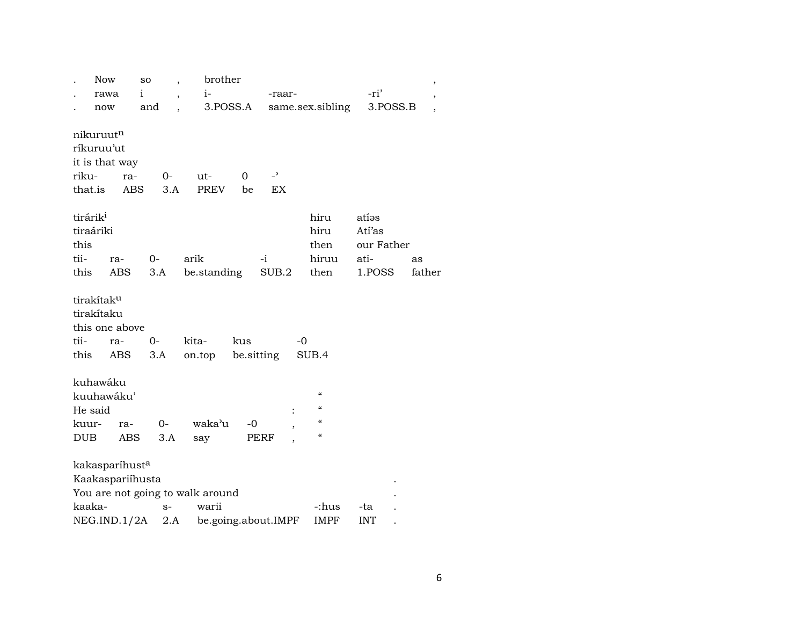| -ri'<br>i<br>$i-$<br>rawa<br>-raar-<br>$\overline{\phantom{a}}$<br>$\, ,$<br>3.POSS.A<br>3.POSS.B<br>and<br>same.sex.sibling<br>now<br>$\overline{\phantom{a}}$<br>nikuruut <sup>n</sup> |
|------------------------------------------------------------------------------------------------------------------------------------------------------------------------------------------|
|                                                                                                                                                                                          |
|                                                                                                                                                                                          |
|                                                                                                                                                                                          |
|                                                                                                                                                                                          |
| ríkuruu'ut                                                                                                                                                                               |
| it is that way<br>$\overline{a}$<br>riku-<br>0<br>ra-<br>0-<br>ut-                                                                                                                       |
| <b>PREV</b><br>EX<br>that.is<br>ABS<br>3.A<br>be                                                                                                                                         |
|                                                                                                                                                                                          |
| tirárik <sup>i</sup><br>hiru<br>atías                                                                                                                                                    |
| tiraáriki<br>hiru<br>Atí'as                                                                                                                                                              |
| this<br>our Father<br>then                                                                                                                                                               |
| tii-<br>arik<br>hiruu<br>ati-<br>$0-$<br>-i<br>ra-<br>as                                                                                                                                 |
| this<br><b>ABS</b><br>3.A<br>be.standing<br>SUB.2<br>then<br>1.POSS<br>father                                                                                                            |
|                                                                                                                                                                                          |
| tirakítak <sup>u</sup>                                                                                                                                                                   |
| tirakítaku                                                                                                                                                                               |
| this one above                                                                                                                                                                           |
| tii-<br>$O -$<br>kita-<br>kus<br>-0<br>ra-                                                                                                                                               |
| be sitting<br>SUB.4<br>this<br>ABS<br>3.A<br>on.top                                                                                                                                      |
| kuhawáku                                                                                                                                                                                 |
| $\mathcal{C}$<br>kuuhawáku'                                                                                                                                                              |
| $\boldsymbol{\zeta}\boldsymbol{\zeta}$<br>He said<br>$\ddot{\cdot}$                                                                                                                      |
| $\mathcal{C}$<br>waka'u<br>$O-$<br>$-0$<br>kuur-<br>ra-<br>,                                                                                                                             |
| $\pmb{\zeta}\pmb{\zeta}$<br><b>DUB</b><br>3.A<br>say<br>ABS<br>PERF                                                                                                                      |
| kakasparíhust <sup>a</sup>                                                                                                                                                               |
| Kaakaspariíhusta                                                                                                                                                                         |
| You are not going to walk around                                                                                                                                                         |
| kaaka-<br>warii<br>-:hus<br>$S-$<br>-ta                                                                                                                                                  |
| 2.A<br>be.going.about.IMPF<br>NEG.IND.1/2A<br>IMPF<br><b>INT</b>                                                                                                                         |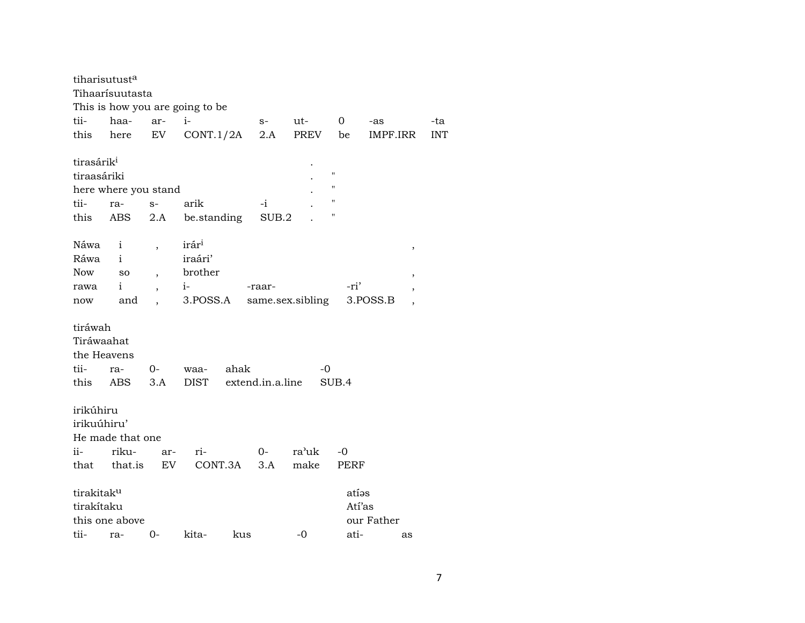| tiharisutust <sup>a</sup> | Tihaarísuutasta      |                          |                                 |                  |                  |                       |        |            |
|---------------------------|----------------------|--------------------------|---------------------------------|------------------|------------------|-----------------------|--------|------------|
|                           |                      |                          | This is how you are going to be |                  |                  |                       |        |            |
| tii-                      | haa-                 | ar-                      | $i-$                            | $S-$             | ut-              | $\mathbf{O}$<br>-as   |        | -ta        |
| this                      | here                 | EV                       | CONT.1/2A                       | 2.A              | PREV             | IMPF.IRR<br>be        |        | <b>INT</b> |
| tirasárik <sup>i</sup>    |                      |                          |                                 |                  |                  |                       |        |            |
| tiraasáriki               |                      |                          |                                 |                  |                  | н                     |        |            |
|                           | here where you stand |                          |                                 |                  |                  | 11                    |        |            |
| tii-                      | ra-                  | $S-$                     | arik                            | $-i$             |                  | 11                    |        |            |
| this                      | ABS                  | 2.A                      | be.standing                     | SUB.2            |                  | Η                     |        |            |
|                           |                      |                          |                                 |                  |                  |                       |        |            |
| Náwa                      | $\mathbf{i}$         | $\overline{\phantom{a}}$ | irár <sup>i</sup>               |                  |                  |                       | $\, ,$ |            |
| Ráwa                      | $\mathbf{i}$         |                          | iraári'                         |                  |                  |                       |        |            |
| Now                       | SO                   | $\overline{\phantom{a}}$ | brother                         |                  |                  |                       | ,      |            |
| rawa                      | $\mathbf{i}$         | $\overline{ }$           | $i-$                            | -raar-           |                  | -ri'                  |        |            |
| now                       | and                  | $\ddot{\phantom{a}}$     | 3.POSS.A                        |                  | same.sex.sibling | 3. <sub>P</sub> OSS.B |        |            |
|                           |                      |                          |                                 |                  |                  |                       |        |            |
| tiráwah                   |                      |                          |                                 |                  |                  |                       |        |            |
| Tiráwaahat                |                      |                          |                                 |                  |                  |                       |        |            |
| the Heavens               |                      |                          |                                 |                  |                  |                       |        |            |
| tii-                      | ra-                  | $O-$                     | ahak<br>waa-                    |                  | -0               |                       |        |            |
| this                      | ABS                  | 3.A                      | <b>DIST</b>                     | extend.in.a.line |                  | SUB.4                 |        |            |
|                           |                      |                          |                                 |                  |                  |                       |        |            |
| irikúhiru                 |                      |                          |                                 |                  |                  |                       |        |            |
| irikuúhiru'               |                      |                          |                                 |                  |                  |                       |        |            |
|                           | He made that one     |                          |                                 |                  |                  |                       |        |            |
| ii-                       | riku-                | ar-                      | ri-                             | $0-$             | ra'uk            | $-0$                  |        |            |
| that                      | that.is              | EV                       | CONT.3A                         | 3.A              | make             | PERF                  |        |            |
|                           |                      |                          |                                 |                  |                  |                       |        |            |
| tirakitaku                |                      |                          |                                 |                  |                  | atías                 |        |            |
| tirakítaku                |                      |                          |                                 |                  |                  | Atí'as                |        |            |
|                           | this one above       |                          |                                 |                  |                  | our Father            |        |            |
| tii-                      | ra-                  | $O -$                    | kita-<br>kus                    |                  | -0               | ati-                  | as     |            |
|                           |                      |                          |                                 |                  |                  |                       |        |            |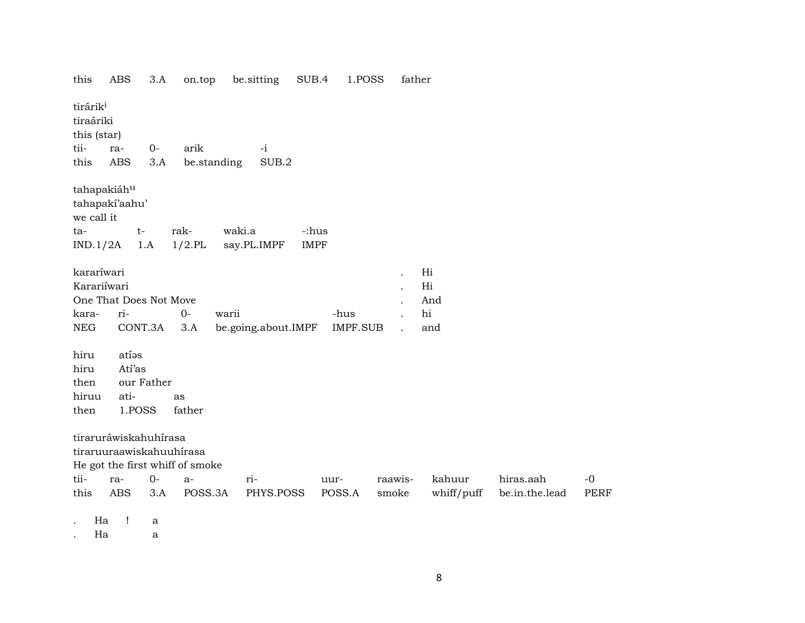| this                                             | ABS                      | 3.A  | on.top                          | be sitting          | SUB.4       | 1.POSS     | father  |            |                |             |
|--------------------------------------------------|--------------------------|------|---------------------------------|---------------------|-------------|------------|---------|------------|----------------|-------------|
| tirárik <sup>i</sup><br>tiraáriki<br>this (star) |                          |      |                                 |                     |             |            |         |            |                |             |
|                                                  |                          |      |                                 |                     |             |            |         |            |                |             |
| tii-                                             | ra-                      | $0-$ | arik                            | $-i$                |             |            |         |            |                |             |
| this                                             | <b>ABS</b>               | 3.A  | be.standing                     | SUB.2               |             |            |         |            |                |             |
| tahapakiáhu                                      | tahapaki'aahu'           |      |                                 |                     |             |            |         |            |                |             |
| we call it                                       |                          |      |                                 |                     |             |            |         |            |                |             |
| ta-                                              | $t-$                     |      | rak-                            | waki.a              | -:hus       |            |         |            |                |             |
|                                                  |                          |      |                                 |                     |             |            |         |            |                |             |
| IND.1/2A                                         | 1.A                      |      | $1/2$ .PL                       | say.PL.IMPF         | <b>IMPF</b> |            |         |            |                |             |
| kararíwari                                       |                          |      |                                 |                     |             |            |         | Hi         |                |             |
| Karariíwari                                      |                          |      |                                 |                     |             |            |         | Hi         |                |             |
|                                                  | One That Does Not Move   |      |                                 |                     |             |            |         |            |                |             |
|                                                  |                          |      |                                 |                     |             |            |         | And        |                |             |
| kara-                                            | ri-                      |      | $0-$                            | warii               |             | -hus       |         | hi         |                |             |
| <b>NEG</b>                                       | CONT.3A                  |      | 3.A                             | be.going.about.IMPF |             | $IMPF.SUB$ |         | and        |                |             |
| hiru                                             | atíos                    |      |                                 |                     |             |            |         |            |                |             |
| hiru                                             | Atí'as                   |      |                                 |                     |             |            |         |            |                |             |
| then                                             | our Father               |      |                                 |                     |             |            |         |            |                |             |
| hiruu                                            | ati-                     |      |                                 |                     |             |            |         |            |                |             |
|                                                  |                          |      | as                              |                     |             |            |         |            |                |             |
| then                                             | 1.POSS                   |      | father                          |                     |             |            |         |            |                |             |
|                                                  | tiraruráwiskahuhírasa    |      |                                 |                     |             |            |         |            |                |             |
|                                                  | tiraruuraawiskahuuhírasa |      |                                 |                     |             |            |         |            |                |             |
|                                                  |                          |      |                                 |                     |             |            |         |            |                |             |
|                                                  |                          |      | He got the first whiff of smoke |                     |             |            |         |            |                |             |
| tii-                                             | ra-                      | $0-$ | $a-$                            | ri-                 | uur-        |            | raawis- | kahuur     | hiras.aah      | $-0$        |
| this                                             | <b>ABS</b>               | 3.A  | POSS.3A                         | PHYS.POSS           |             | POSS.A     | smoke   | whiff/puff | be.in.the.lead | <b>PERF</b> |
|                                                  |                          |      |                                 |                     |             |            |         |            |                |             |
| Ha                                               | 1                        | a    |                                 |                     |             |            |         |            |                |             |

. Ha a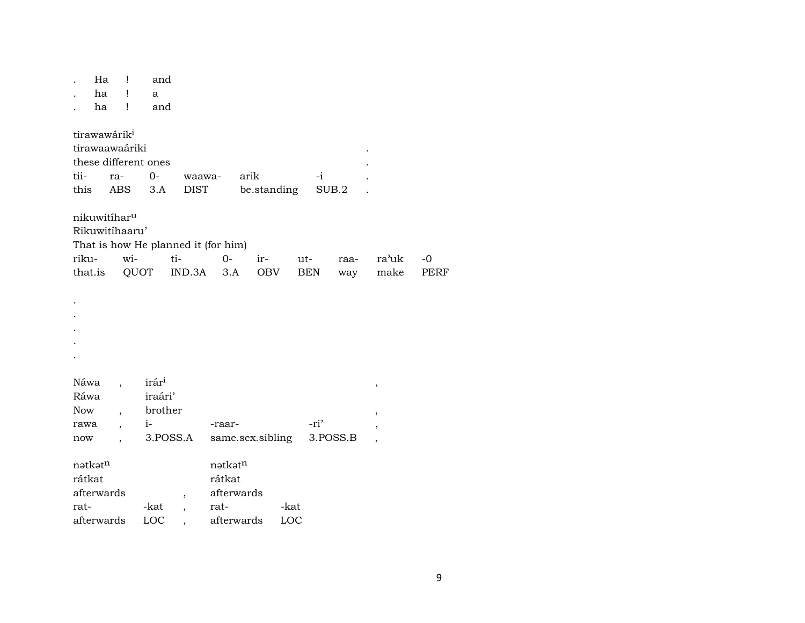|                          | Ha | Ţ                        | and                  |                                     |         |                  |             |            |          |       |      |
|--------------------------|----|--------------------------|----------------------|-------------------------------------|---------|------------------|-------------|------------|----------|-------|------|
|                          | ha | Ţ                        | a                    |                                     |         |                  |             |            |          |       |      |
|                          | ha | Ţ                        | and                  |                                     |         |                  |             |            |          |       |      |
| tirawawárik <sup>i</sup> |    |                          |                      |                                     |         |                  |             |            |          |       |      |
|                          |    | tirawaawaáriki           |                      |                                     |         |                  |             |            |          |       |      |
|                          |    |                          | these different ones |                                     |         |                  |             |            |          |       |      |
| tii-                     |    | ra-                      | $0-$                 |                                     | waawa-  | arik             |             | -i         |          |       |      |
| this                     |    | ABS                      | 3.A                  | <b>DIST</b>                         |         |                  | be.standing |            | SUB.2    |       |      |
|                          |    | nikuwitíhar <sup>u</sup> |                      |                                     |         |                  |             |            |          |       |      |
|                          |    | Rikuwitíhaaru'           |                      |                                     |         |                  |             |            |          |       |      |
|                          |    |                          |                      | That is how He planned it (for him) |         |                  |             |            |          |       |      |
| riku-                    |    | wi-                      |                      | ti-                                 | $O -$   | ir-              |             | ut-        | raa-     | ra'uk | $-0$ |
| that.is                  |    |                          | QUOT                 | IND.3A                              | 3.A     |                  | OBV         | <b>BEN</b> | way      | make  | PERF |
|                          |    |                          |                      |                                     |         |                  |             |            |          |       |      |
|                          |    |                          |                      |                                     |         |                  |             |            |          |       |      |
|                          |    |                          |                      |                                     |         |                  |             |            |          |       |      |
|                          |    |                          |                      |                                     |         |                  |             |            |          |       |      |
|                          |    |                          |                      |                                     |         |                  |             |            |          |       |      |
|                          |    |                          |                      |                                     |         |                  |             |            |          |       |      |
|                          |    |                          |                      |                                     |         |                  |             |            |          |       |      |
| Náwa                     |    |                          | irár <sup>i</sup>    |                                     |         |                  |             |            |          | ,     |      |
| Ráwa                     |    |                          | iraári'              |                                     |         |                  |             |            |          |       |      |
| <b>Now</b>               |    | $\overline{\phantom{a}}$ | brother              |                                     |         |                  |             |            |          | ,     |      |
| rawa                     |    |                          | $i-$                 |                                     | -raar-  |                  |             | -ri'       |          |       |      |
| now                      |    |                          |                      | 3.POSS.A                            |         | same.sex.sibling |             |            | 3.POSS.B |       |      |
| nətkətn                  |    |                          |                      |                                     | nətkətn |                  |             |            |          |       |      |
| rátkat                   |    |                          |                      |                                     | rátkat  |                  |             |            |          |       |      |
| afterwards               |    |                          |                      | ,                                   |         | afterwards       |             |            |          |       |      |
| rat-                     |    |                          | -kat                 | $\overline{\phantom{a}}$            | rat-    |                  | -kat        |            |          |       |      |
| afterwards               |    |                          | LOC                  |                                     |         | afterwards       | LOC         |            |          |       |      |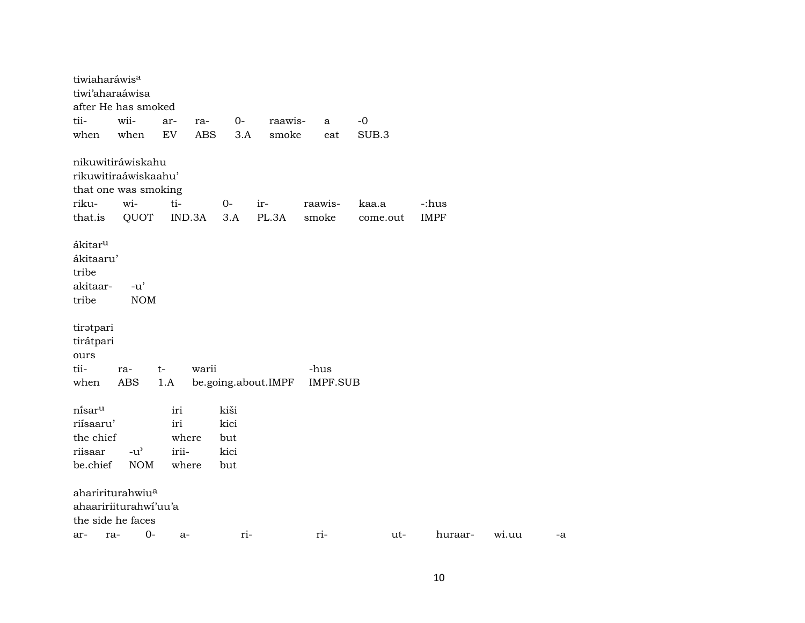| tiwiaharáwis <sup>a</sup> |     |                                     |                            |            |      |                     |         |                 |             |             |       |    |
|---------------------------|-----|-------------------------------------|----------------------------|------------|------|---------------------|---------|-----------------|-------------|-------------|-------|----|
| tiwi'aharaáwisa           |     |                                     |                            |            |      |                     |         |                 |             |             |       |    |
|                           |     | after He has smoked                 |                            |            |      |                     |         |                 |             |             |       |    |
| tii-                      |     | wii-                                | ar-                        | ra-        | 0-   | raawis-             |         | a               | $-0$        |             |       |    |
| when                      |     | when                                | $\mathop{\rm EV}\nolimits$ | <b>ABS</b> | 3.A  | smoke               |         | eat             | $\rm SUB.3$ |             |       |    |
|                           |     | nikuwitiráwiskahu                   |                            |            |      |                     |         |                 |             |             |       |    |
|                           |     | rikuwitiraáwiskaahu'                |                            |            |      |                     |         |                 |             |             |       |    |
|                           |     | that one was smoking                |                            |            |      |                     |         |                 |             |             |       |    |
| riku-                     |     | wi-                                 | ti-                        |            | $0-$ | ir-                 | raawis- |                 | kaa.a       | -:hus       |       |    |
| that.is                   |     | QUOT                                | IND.3A                     |            | 3.A  | PL.3A               | smoke   |                 | come.out    | <b>IMPF</b> |       |    |
| ákitar <sup>u</sup>       |     |                                     |                            |            |      |                     |         |                 |             |             |       |    |
| ákitaaru'                 |     |                                     |                            |            |      |                     |         |                 |             |             |       |    |
| tribe                     |     |                                     |                            |            |      |                     |         |                 |             |             |       |    |
| akitaar-                  |     | $-u'$                               |                            |            |      |                     |         |                 |             |             |       |    |
| tribe                     |     | <b>NOM</b>                          |                            |            |      |                     |         |                 |             |             |       |    |
| tiratpari                 |     |                                     |                            |            |      |                     |         |                 |             |             |       |    |
| tirátpari                 |     |                                     |                            |            |      |                     |         |                 |             |             |       |    |
| ours                      |     |                                     |                            |            |      |                     |         |                 |             |             |       |    |
| tii-                      |     | ra-                                 | $t-$                       | warii      |      |                     | -hus    |                 |             |             |       |    |
| when                      |     | ABS                                 | 1.A                        |            |      | be.going.about.IMPF |         | <b>IMPF.SUB</b> |             |             |       |    |
| ni̇̃sar <sup>u</sup>      |     |                                     | iri                        |            | kiši |                     |         |                 |             |             |       |    |
| riísaaru'                 |     |                                     | iri                        |            | kici |                     |         |                 |             |             |       |    |
| the chief                 |     |                                     | where                      |            | but  |                     |         |                 |             |             |       |    |
| riisaar                   |     | $-u$ <sup><math>\prime</math></sup> | irii-                      |            | kici |                     |         |                 |             |             |       |    |
| be.chief                  |     | <b>NOM</b>                          | where                      |            | but  |                     |         |                 |             |             |       |    |
|                           |     | ahaririturahwiu <sup>a</sup>        |                            |            |      |                     |         |                 |             |             |       |    |
|                           |     | ahaaririiturahwi'uu'a               |                            |            |      |                     |         |                 |             |             |       |    |
| the side he faces         |     |                                     |                            |            |      |                     |         |                 |             |             |       |    |
| ar-                       | ra- | $O -$                               | a-                         |            | ri-  |                     | ri-     |                 | ut-         | huraar-     | wi.uu | -a |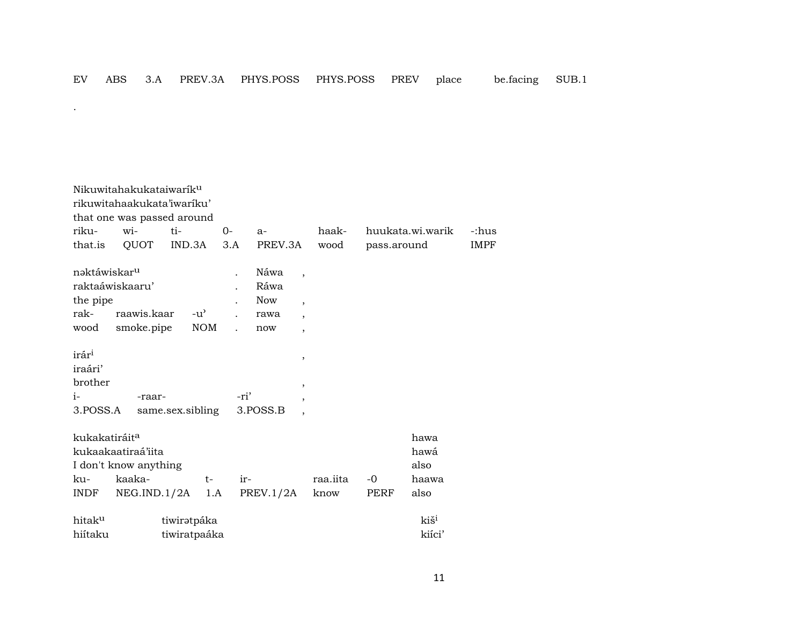$\mathcal{L}^{\text{max}}$ 

| riku-<br>that.is                                            | Nikuwitahakukataiwarik <sup>u</sup><br>rikuwitahaakukata'iwariku'<br>that one was passed around<br>wi-<br>QUOT | ti-<br>IND.3A               | $0-$<br>3.A          | $a-$<br>PREV.3A                                                                                                                                           | haak-<br>wood    | pass.around  | huukata.wi.warik                      | -:hus<br><b>IMPF</b> |
|-------------------------------------------------------------|----------------------------------------------------------------------------------------------------------------|-----------------------------|----------------------|-----------------------------------------------------------------------------------------------------------------------------------------------------------|------------------|--------------|---------------------------------------|----------------------|
| nəktáwiskar <sup>u</sup><br>the pipe<br>rak-<br>wood        | raktaáwiskaaru'<br>raawis.kaar<br>smoke.pipe                                                                   | $-u^{\prime}$<br><b>NOM</b> | $\ddot{\phantom{0}}$ | Náwa<br>$\overline{\phantom{a}}$<br>Ráwa<br><b>Now</b><br>$\overline{\phantom{a}}$<br>rawa<br>$\overline{\phantom{a}}$<br>now<br>$\overline{\phantom{a}}$ |                  |              |                                       |                      |
| irár <sup>i</sup><br>iraári'<br>brother<br>$i-$<br>3.POSS.A | -raar-                                                                                                         | same.sex.sibling            | -ri'                 | $\overline{\phantom{a}}$<br>$\overline{\phantom{a}}$<br>$\cdot$<br>3.POSS.B<br>$\overline{\phantom{a}}$                                                   |                  |              |                                       |                      |
| kukakatiráit <sup>a</sup><br>ku-<br><b>INDF</b>             | kukaakaatiraá'iita<br>I don't know anything<br>kaaka-<br>NEG.IND.1/2A                                          | $t-$<br>1.A                 | ir-                  | PREV.1/2A                                                                                                                                                 | raa.iita<br>know | $-0$<br>PERF | hawa<br>hawá<br>also<br>haawa<br>also |                      |
| hitak <sup>u</sup><br>hiítaku                               |                                                                                                                | tiwirətpáka<br>tiwiratpaáka |                      |                                                                                                                                                           |                  |              | kiš <sup>i</sup><br>kiíci'            |                      |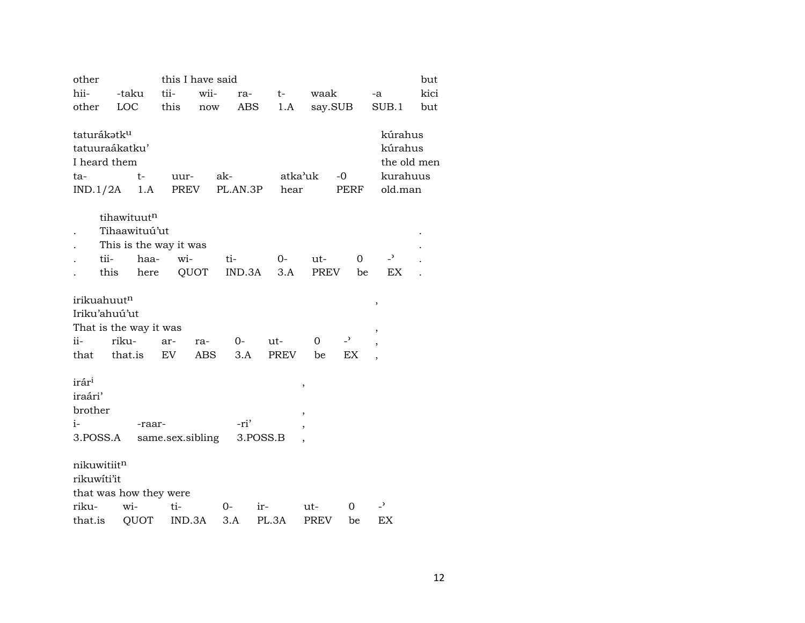| other                   |                        |                  | this I have said<br>but |          |          |             |                          |                          |      |  |  |  |
|-------------------------|------------------------|------------------|-------------------------|----------|----------|-------------|--------------------------|--------------------------|------|--|--|--|
| hii-                    | -taku                  | tii-             | wii-                    | ra-      | $t-$     | waak        |                          | -a                       | kici |  |  |  |
| other                   | LOC                    | this             | now                     | ABS      | 1.A      |             | say.SUB                  | SUB.1                    | but  |  |  |  |
|                         |                        |                  |                         |          |          |             |                          |                          |      |  |  |  |
| taturákatk <sup>u</sup> |                        |                  |                         |          |          |             |                          | kúrahus                  |      |  |  |  |
| tatuuraákatku'          |                        |                  |                         |          |          |             |                          | kúrahus                  |      |  |  |  |
| I heard them            |                        |                  |                         |          |          |             |                          | the old men              |      |  |  |  |
| ta-                     | $t-$                   | uur-             | ak-                     |          | atka'uk  |             | -0                       | kurahuus                 |      |  |  |  |
| IND.1/2A                | 1.A                    | PREV             |                         | PL.AN.3P | hear     |             | PERF                     | old.man                  |      |  |  |  |
|                         |                        |                  |                         |          |          |             |                          |                          |      |  |  |  |
|                         | tihawituutn            |                  |                         |          |          |             |                          |                          |      |  |  |  |
|                         | Tihaawituú'ut          |                  |                         |          |          |             |                          |                          |      |  |  |  |
|                         | This is the way it was |                  |                         |          |          |             |                          |                          |      |  |  |  |
| tii-                    | haa-                   | wi-              |                         | ti-      | $O-$     | ut-         | 0                        | $\overline{\phantom{0}}$ |      |  |  |  |
| this                    | here                   |                  | QUOT                    | IND.3A   | 3.A      | PREV        | be                       | ΕX                       |      |  |  |  |
|                         |                        |                  |                         |          |          |             |                          |                          |      |  |  |  |
| irikuahuutn             |                        |                  |                         |          |          |             |                          | ,                        |      |  |  |  |
| Iriku'ahuú'ut           |                        |                  |                         |          |          |             |                          |                          |      |  |  |  |
|                         | That is the way it was |                  |                         |          |          |             |                          | ,                        |      |  |  |  |
| ii-                     | riku-                  | ar-              | ra-                     | 0-       | ut-      | 0           | $\overline{\phantom{a}}$ | ,                        |      |  |  |  |
| that                    | that.is                | EV.              | ABS                     | 3.A      | PREV     | be          | EX                       | $\overline{\phantom{a}}$ |      |  |  |  |
|                         |                        |                  |                         |          |          |             |                          |                          |      |  |  |  |
| irár <sup>i</sup>       |                        |                  |                         |          |          | ,           |                          |                          |      |  |  |  |
| iraári'                 |                        |                  |                         |          |          |             |                          |                          |      |  |  |  |
| brother                 |                        |                  |                         |          |          | ,           |                          |                          |      |  |  |  |
| i-                      | -raar-                 |                  |                         | -ri'     |          | ,           |                          |                          |      |  |  |  |
| 3.POSS.A                |                        | same.sex.sibling |                         |          | 3.POSS.B |             |                          |                          |      |  |  |  |
|                         |                        |                  |                         |          |          |             |                          |                          |      |  |  |  |
| nikuwitiitn             |                        |                  |                         |          |          |             |                          |                          |      |  |  |  |
| rikuwíti'it             |                        |                  |                         |          |          |             |                          |                          |      |  |  |  |
|                         | that was how they were |                  |                         |          |          |             |                          |                          |      |  |  |  |
| riku-                   | wi-                    | ti-              |                         | $0-$     | ir-      | ut-         | 0                        | $\overline{\phantom{0}}$ |      |  |  |  |
| that.is                 | QUOT                   | IND.3A           |                         | 3.A      | PL.3A    | <b>PREV</b> | be                       | EX                       |      |  |  |  |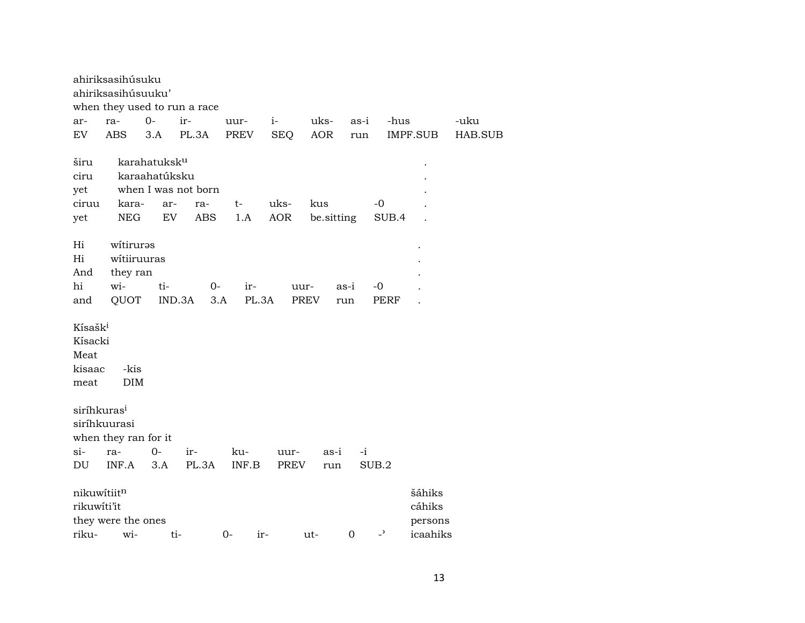|                                                          | ahiriksasihúsuku<br>ahiriksasihúsuuku'              |                                                               | when they used to run a race      |                |                    |                   |             |                          |                             |         |
|----------------------------------------------------------|-----------------------------------------------------|---------------------------------------------------------------|-----------------------------------|----------------|--------------------|-------------------|-------------|--------------------------|-----------------------------|---------|
| ar-                                                      | ra-                                                 | $0-$                                                          | ir-                               | uur-           | $i-$               | uks-              | as-i        | -hus                     |                             | -uku    |
| EV.                                                      | <b>ABS</b>                                          | 3.A                                                           | PL.3A                             | PREV           | <b>SEQ</b>         | <b>AOR</b>        | run         |                          | IMPF.SUB                    | HAB.SUB |
| širu<br>ciru<br>yet<br>ciruu<br>yet                      | kara-<br>${\rm NEG}$                                | karahatuksk <sup>u</sup><br>karaahatúksku<br>ar-<br><b>EV</b> | when I was not born<br>ra-<br>ABS | t-<br>1.A      | uks-<br><b>AOR</b> | kus<br>be.sitting |             | -0<br>SUB.4              |                             |         |
| Hi<br>Hi<br>And<br>hi<br>and                             | witiruras<br>witiiruuras<br>they ran<br>wi-<br>QUOT | ti-                                                           | $0-$<br>IND.3A<br>3.A             | ir-<br>PL.3A   | uur-               | PREV              | as-i<br>run | -0<br><b>PERF</b>        |                             |         |
| Kísašk <sup>i</sup><br>Kísacki<br>Meat<br>kisaac<br>meat | -kis<br><b>DIM</b>                                  |                                                               |                                   |                |                    |                   |             |                          |                             |         |
| siríhkuras <sup>i</sup>                                  | siríhkuurasi<br>when they ran for it                |                                                               |                                   |                |                    |                   |             |                          |                             |         |
| $si-$                                                    | ra-                                                 | $0-$                                                          | ir-                               | ku-            | uur-               | as-i              | $-i$        |                          |                             |         |
| DU                                                       | INF.A                                               | 3.A                                                           | PL.3A                             | INF.B          | PREV               | run               |             | SUB.2                    |                             |         |
| nikuwítiitn<br>rikuwíti'it                               | they were the ones                                  |                                                               |                                   |                |                    |                   |             | $\overline{\phantom{a}}$ | šáhiks<br>cáhiks<br>persons |         |
| riku-                                                    | wi-                                                 |                                                               | ti-                               | $0 -$<br>$ir-$ |                    | ut-               | $\mathbf 0$ |                          | icaahiks                    |         |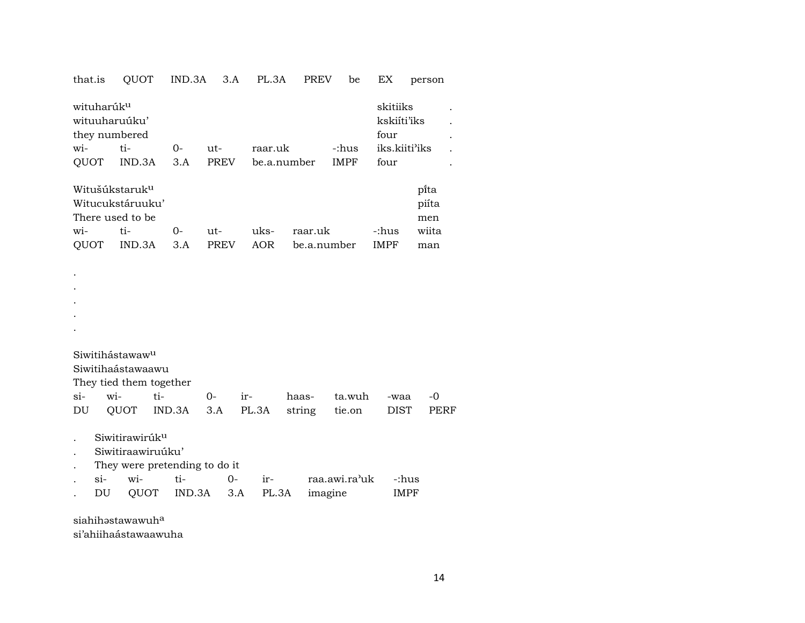|  |  | that.is QUOT IND.3A 3.A PL.3A PREV be EX person |  |  |  |  |  |  |
|--|--|-------------------------------------------------|--|--|--|--|--|--|
|--|--|-------------------------------------------------|--|--|--|--|--|--|

| wituharúk <sup>u</sup><br>wituuharuúku'<br>they numbered<br>wi- | ti-<br>QUOT IND.3A | $O -$<br>3.A | ut-<br>PREV | raar.uk<br>be.a.number |         | -:hus<br><b>IMPF</b> | skitiiks<br>kskiíti'iks<br>four<br>iks.kiiti <sup>3</sup> iks<br>four |                      |  |
|-----------------------------------------------------------------|--------------------|--------------|-------------|------------------------|---------|----------------------|-----------------------------------------------------------------------|----------------------|--|
| Witušúkstaruk <sup>u</sup><br>There used to be                  | Witucukstáruuku'   |              |             |                        |         |                      |                                                                       | pīta<br>piíta<br>men |  |
| $\overline{w}$ <i>i</i> -                                       | ti-                | $O -$        | ut-         | uks-                   | raar.uk |                      | -:hus                                                                 | wiita                |  |
|                                                                 | QUOT IND.3A        | 3.A          | PREV        | AOR                    |         | be.a.number          | <b>IMPF</b>                                                           | man                  |  |

- Siwitihástawaw<sup>u</sup> Siwitihaástawaawu They tied them together si- wi- ti- 0- ir- haas- ta.wuh -waa -0 DU QUOT IND.3A 3.A PL.3A string tie.on DIST PERF
- . Siwitirawirúk<sup>u</sup>

. . . . .

- . Siwitiraawiruúku'
- . They were pretending to do it

| $S1-$ | $W1$ - |                                  | $\Omega$ | $ir-$ | raa.awi.ra'uk -:hus |      |
|-------|--------|----------------------------------|----------|-------|---------------------|------|
|       |        | DU QUOT IND.3A 3.A PL.3A imagine |          |       |                     | IMPF |

siahih $\mathsf{s}$ stawawuh $^\mathrm{a}$ 

si'ahiihaástawaawuha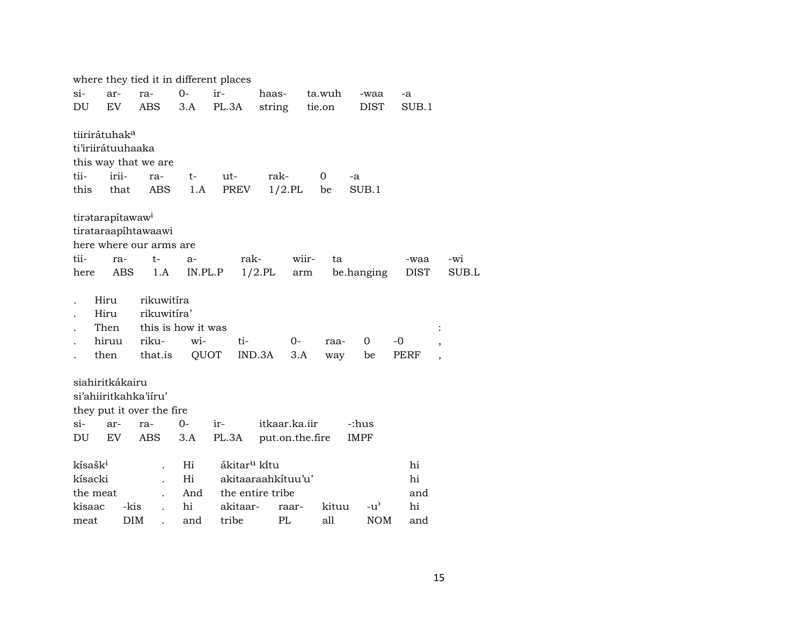where they tied it in different places si- ar- ra- 0- ir- haas- ta.wuh -waa -a DU EV ABS 3.A PL.3A string tie.on DIST SUB.1 tiirirátuhak° ti'iriirátuuhaaka this way that we are tii- irii- ra- t- ut- rak- 0 -a this that ABS 1.A PREV 1/2.PL be SUB.1 tiratarapítawaw<sup>i</sup> tirataraapíhtawaawi here where our arms are tii- ra- t- a- rak- wiir- ta -waa -wi here ABS 1.A IN.PL.P 1/2.PL arm be.hanging DIST SUB.L . Hiru rikuwitíra . Hiru rikuwitíra' Then this is how it was : . hiruu riku- wi- ti- 0- raa- 0 -0 , . then that.is QUOT IND.3A 3.A way be PERF , siahiritkákairu si'ahiiritkahka'iíru' they put it over the fire si- ar- ra- 0- ir- itkaar.ka.iir -:hus DU EV ABS 3.A PL.3A put.on.the.fire IMPF kísašk<sup>i</sup> . Hi ákitar<sup>u</sup> kítu . hi kísacki . Hi akitaaraahkítuu'u' hi the meat . And the entire tribe and and kisaac -kis . hi akitaar- raar- kituu -u" hi meat DIM . and tribe PL all NOM and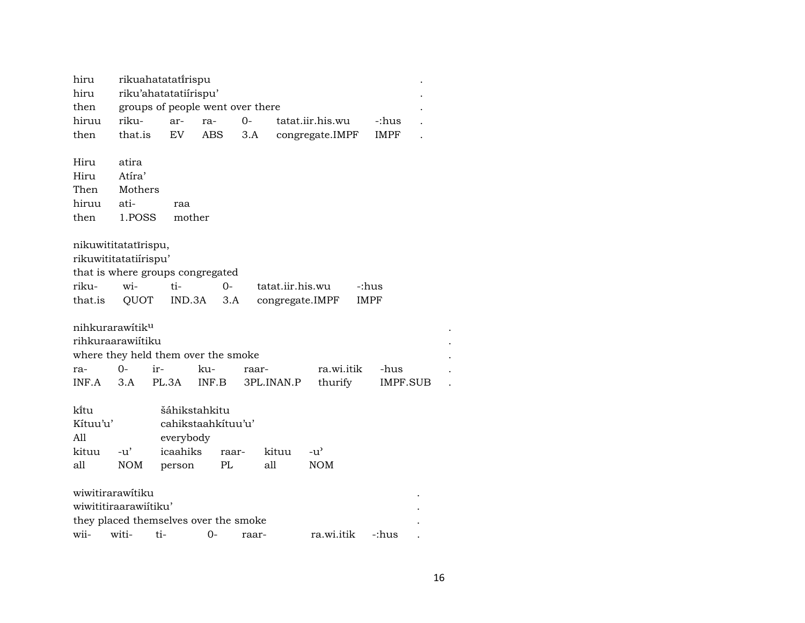| hiru  |                       | rikuahatatatirispu               |            |  |                            |       |  |  |  |  |  |
|-------|-----------------------|----------------------------------|------------|--|----------------------------|-------|--|--|--|--|--|
| hiru  | riku'ahatatatiirispu' |                                  |            |  |                            |       |  |  |  |  |  |
| then  |                       | groups of people went over there |            |  |                            |       |  |  |  |  |  |
| hiruu | riku-                 |                                  | ar- ra- 0- |  | tatat.iir.his.wu           | -:hus |  |  |  |  |  |
| then  | that.is               |                                  |            |  | EV ABS 3.A congregate.IMPF | IMPF  |  |  |  |  |  |
|       |                       |                                  |            |  |                            |       |  |  |  |  |  |
| Hiru  | atira                 |                                  |            |  |                            |       |  |  |  |  |  |
| Hiru  | Atíra'                |                                  |            |  |                            |       |  |  |  |  |  |

Then Mothers hiruu ati- raa<br>then 1.POSS mother 1.POSS

nikuwititatatîrispu, rikuwititatatiírispu' that is where groups congregated riku- wi- ti- 0- tatat.iir.his.wu -:hus IND.3A 3.A congregate.IMPF IMPF

 $\label{eq:2.1} \text{nikurarawitik}^{\rm u}$ 

| rihkuraarawiítiku                   |  |                |  |                                                     |  |  |  |  |  |  |
|-------------------------------------|--|----------------|--|-----------------------------------------------------|--|--|--|--|--|--|
| where they held them over the smoke |  |                |  |                                                     |  |  |  |  |  |  |
|                                     |  | ra- 0- ir- ku- |  |                                                     |  |  |  |  |  |  |
|                                     |  |                |  | INF.A 3.A PL.3A INF.B 3PL.INAN.P thurify IMPF.SUB . |  |  |  |  |  |  |

| ki̇̃tu   |        | šáhikstahkitu      |       |       |                    |  |  |  |
|----------|--------|--------------------|-------|-------|--------------------|--|--|--|
| Kítuu'u' |        | cahikstaahkituu'u' |       |       |                    |  |  |  |
| All      |        | everybody          |       |       |                    |  |  |  |
| kituu    | $-11'$ | icaahiks           | raar- | kituu | $-11$ <sup>2</sup> |  |  |  |
| all      | NOM    | person             | PL.   | all   | <b>NOM</b>         |  |  |  |

| wiwitirarawitiku      |                                       |       |                  |  |
|-----------------------|---------------------------------------|-------|------------------|--|
| wiwititiraarawiitiku' |                                       |       |                  |  |
|                       | they placed themselves over the smoke |       |                  |  |
| wii- witi- ti- 0-     |                                       | raar- | ra.wi.itik -:hus |  |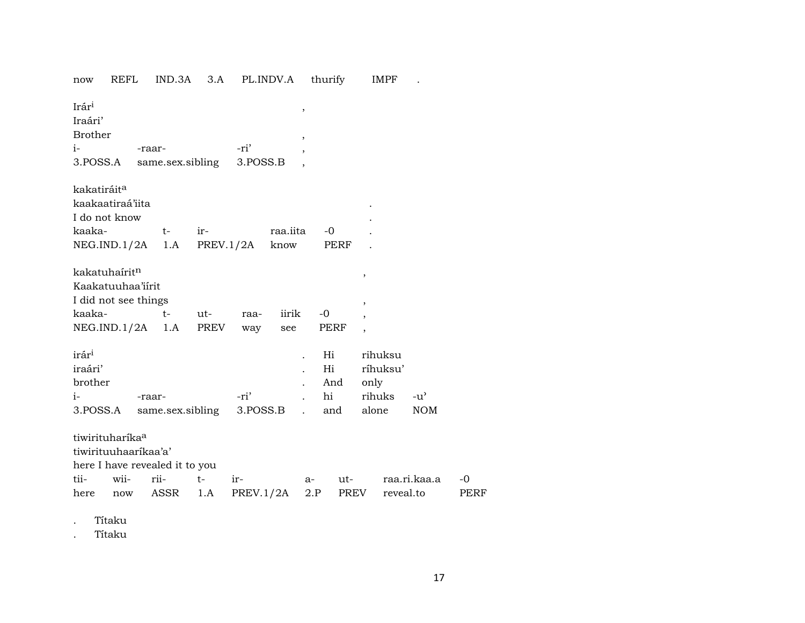| now                                                         | REFL                                                               | IND.3A                                         | 3.A         |                  | PL.INDV.A        |                                    | thurify                      |                                    | IMPF                |                             |                   |
|-------------------------------------------------------------|--------------------------------------------------------------------|------------------------------------------------|-------------|------------------|------------------|------------------------------------|------------------------------|------------------------------------|---------------------|-----------------------------|-------------------|
| Irári<br>Iraári'<br>Brother<br>$i-$<br>3.POSS.A             |                                                                    | -raar-<br>same.sex.sibling                     |             | -ri'<br>3.POSS.B |                  | $\, ,$<br>$\overline{\phantom{a}}$ |                              |                                    |                     |                             |                   |
| kakatiráit <sup>a</sup><br>I do not know<br>kaaka-          | kaakaatiraá'iita                                                   | $t-$<br>NEG.ID.1/2A 1.A                        | ir-         | PREV.1/2A        | raa.iita<br>know |                                    | -0<br>PERF                   |                                    |                     |                             |                   |
| kakatuhaírit <sup>n</sup><br>kaaka-                         | Kaakatuuhaa'iirit<br>I did not see things<br>NEG.IND.1/2A          | $t-$<br>1.A                                    | ut-<br>PREV | raa-<br>way      | iirik<br>see     | $-0$                               | PERF                         | ,<br>,<br>$\overline{\phantom{a}}$ |                     |                             |                   |
| irár <sup>i</sup><br>iraári'<br>brother<br>$i-$<br>3.POSS.A |                                                                    | -raar-<br>same.sex.sibling                     |             | -ri'<br>3.POSS.B |                  |                                    | Hi<br>Hi<br>And<br>hi<br>and | only<br>rihuks<br>alone            | rihuksu<br>ríhuksu' | $-u^{\prime}$<br><b>NOM</b> |                   |
| tii-<br>here                                                | tiwirituharíka <sup>a</sup><br>tiwirituuhaarikaa'a'<br>wii-<br>now | here I have revealed it to you<br>rii-<br>ASSR | $t-$<br>1.A | ir-<br>PREV.1/2A |                  | a-<br>2.P                          | ut-<br>PREV                  |                                    | reveal.to           | raa.ri.kaa.a                | -0<br><b>PERF</b> |

. Títaku

. Títaku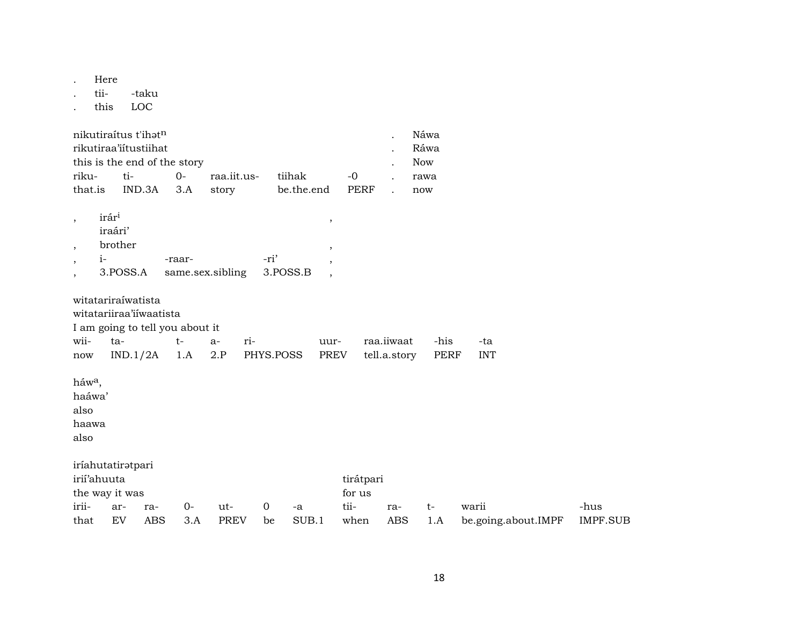. Here

. tii- -taku

. this LOC

| nikutiraítus t'ihət <sup>n</sup> |                          |            |             |                 |      |  | Náwa |  |  |
|----------------------------------|--------------------------|------------|-------------|-----------------|------|--|------|--|--|
|                                  | rikutiraa'iítustiihat    |            |             |                 |      |  |      |  |  |
| this is the end of the story     |                          | <b>Now</b> |             |                 |      |  |      |  |  |
| riku-                            | $t_i$ $\sim$ 0-          |            | -raa.iit.us | tiihak          | $-0$ |  | rawa |  |  |
|                                  | that.is IND.3A 3.A story |            |             | be.the.end PERF |      |  | now  |  |  |

| irár <sup>i</sup> |                  |          |  |
|-------------------|------------------|----------|--|
| iraári'           |                  |          |  |
| brother           |                  |          |  |
|                   | -raar-           | -ri'     |  |
| 3.POSS.A          | same.sex.sibling | 3.POSS.B |  |

|                                 | witatariraíwatista      |               |  |                                                   |  |                 |      |            |  |  |
|---------------------------------|-------------------------|---------------|--|---------------------------------------------------|--|-----------------|------|------------|--|--|
|                                 | witatariiraa'iiwaatista |               |  |                                                   |  |                 |      |            |  |  |
| I am going to tell you about it |                         |               |  |                                                   |  |                 |      |            |  |  |
| $wii$ - $ta$ -                  |                         | <b>t</b> - a- |  | $ri-$                                             |  | uur- raa.iiwaat | -his | -ta l      |  |  |
| now                             |                         |               |  | IND.1/2A 1.A 2.P PHYS.POSS PREV tell.a.story PERF |  |                 |      | <b>INT</b> |  |  |
|                                 |                         |               |  |                                                   |  |                 |      |            |  |  |

 $h$ áw $a$ ,

haáwa'

also

haawa

also

| iríahutatirətpari |     |     |       |             |    |       |           |         |    |                     |          |
|-------------------|-----|-----|-------|-------------|----|-------|-----------|---------|----|---------------------|----------|
| irií'ahuuta       |     |     |       |             |    |       | tirátpari |         |    |                     |          |
| the way it was    |     |     |       |             |    |       | for us    |         |    |                     |          |
| irii-             | ar- | -ra | $O -$ | ut-         | 0  | $-a$  | tii-      | ra-     | t- | warii               | -hus     |
| that              | EV  | ABS | 3.A   | <b>PREV</b> | be | SUB.1 | when      | ABS 1.A |    | be.going.about.IMPF | IMPF.SUB |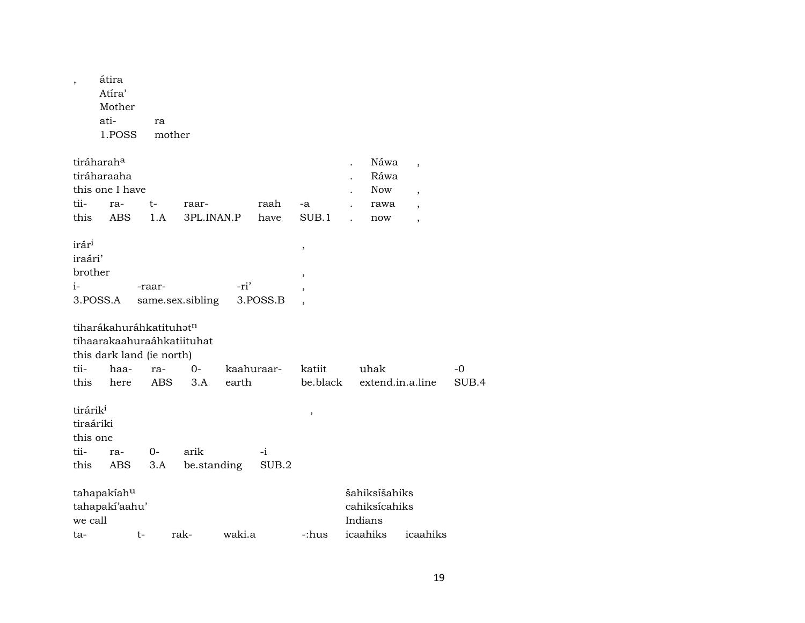| $\overline{\phantom{a}}$                                              | átira<br>Atíra'<br>Mother<br>ati-<br>1.POSS                                                |        | ra<br>mother            |                            |            |               |                                       |                                           |                                                                                   |       |
|-----------------------------------------------------------------------|--------------------------------------------------------------------------------------------|--------|-------------------------|----------------------------|------------|---------------|---------------------------------------|-------------------------------------------|-----------------------------------------------------------------------------------|-------|
| tii-<br>this                                                          | tiráharah <sup>a</sup><br>tiráharaaha<br>this one I have<br>ra-<br><b>ABS</b>              | t-     | 1.A                     | raar-<br>3PL.INAN.P        |            | raah<br>have  | -a<br>SUB.1                           | Náwa<br>Ráwa<br><b>Now</b><br>rawa<br>now | $\overline{\phantom{a}}$<br>$\cdot$<br>$\overline{\phantom{a}}$<br>$\overline{ }$ |       |
| irár <sup>i</sup><br>iraári'<br>brother<br>$i-$                       | 3.POSS.A                                                                                   | -raar- |                         | same.sex.sibling           | -ri'       | 3.POSS.B      | $\,$<br>$\overline{\phantom{a}}$<br>, |                                           |                                                                                   |       |
| tii-                                                                  | tiharákahuráhkatituhatn<br>tihaarakaahuraáhkatiituhat<br>this dark land (ie north)<br>haa- |        | ra-                     | $0-$                       | kaahuraar- |               | katiit                                | uhak                                      |                                                                                   | $-0$  |
| this<br>tirárik <sup>i</sup><br>tiraáriki<br>this one<br>tii-<br>this | here<br>ra-<br>ABS                                                                         |        | <b>ABS</b><br>0-<br>3.A | 3.A<br>arik<br>be.standing | earth      | $-i$<br>SUB.2 | be.black<br>$\, ,$                    | extend.in.a.line                          |                                                                                   | SUB.4 |
|                                                                       |                                                                                            |        |                         |                            |            |               |                                       |                                           |                                                                                   |       |
| we call                                                               | tahapakiahu<br>tahapakí'aahu'                                                              |        |                         |                            |            |               |                                       | šahiksíšahiks<br>cahiksícahiks<br>Indians |                                                                                   |       |
| ta-                                                                   |                                                                                            | t-     |                         | rak-                       | waki.a     |               | -:hus                                 | icaahiks                                  | icaahiks                                                                          |       |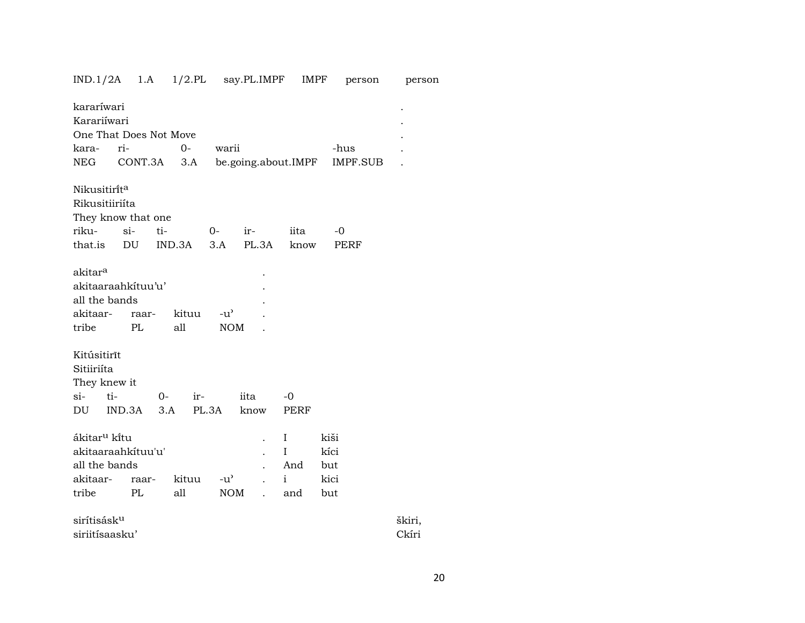| IND.1/2A                 | 1.A     |        |               | 1/2.PL say.PL.IMPF  | IMPF         | person   | person |
|--------------------------|---------|--------|---------------|---------------------|--------------|----------|--------|
| kararíwari               |         |        |               |                     |              |          |        |
| Karariíwari              |         |        |               |                     |              |          |        |
| One That Does Not Move   |         |        |               |                     |              |          |        |
| kara-                    | ri-     | $0-$   | warii         |                     |              | -hus     |        |
| NEG                      | CONT.3A |        | 3.A           | be.going.about.IMPF |              | IMPF.SUB |        |
|                          |         |        |               |                     |              |          |        |
| Nikusitirita             |         |        |               |                     |              |          |        |
| Rikusitiiriíta           |         |        |               |                     |              |          |        |
| They know that one       |         |        |               |                     |              |          |        |
| riku-                    | $si-$   | ti-    | $0-$          | ir-                 | iita         | -0       |        |
| that.is                  | DU      | IND.3A | 3.A           | PL.3A               | know         | PERF     |        |
|                          |         |        |               |                     |              |          |        |
| akitar <sup>a</sup>      |         |        |               |                     |              |          |        |
| akitaaraahkituu'u'       |         |        |               |                     |              |          |        |
| all the bands            |         |        |               |                     |              |          |        |
| akitaar-                 | raar-   | kituu  | -u'           |                     |              |          |        |
| tribe                    | PL      | all    | <b>NOM</b>    |                     |              |          |        |
|                          |         |        |               |                     |              |          |        |
| Kitúsitirīt              |         |        |               |                     |              |          |        |
| Sitiiriíta               |         |        |               |                     |              |          |        |
| They knew it             |         |        |               |                     |              |          |        |
| si-<br>ti-               |         | $O-$   | ir-           | iita                | -0           |          |        |
| DU                       | IND.3A  | 3.A    | PL.3A         | know                | PERF         |          |        |
|                          |         |        |               |                     |              |          |        |
| ákitar <sup>u</sup> kítu |         |        |               |                     | Ι            | kiši     |        |
| akitaaraahkituu'u'       |         |        |               |                     | $\mathbf I$  | kíci     |        |
| all the bands            |         |        |               |                     | And          | but      |        |
| akitaar-                 | raar-   | kituu  | $-u^{\prime}$ |                     | $\mathbf{i}$ | kici     |        |
| tribe                    | PL      | all    | <b>NOM</b>    | $\overline{a}$      | and          | but      |        |
|                          |         |        |               |                     |              |          |        |
| sirítisásk <sup>u</sup>  |         |        |               |                     |              |          | škiri, |
| siriitísaasku'           |         |        |               |                     |              |          | Ckíri  |

20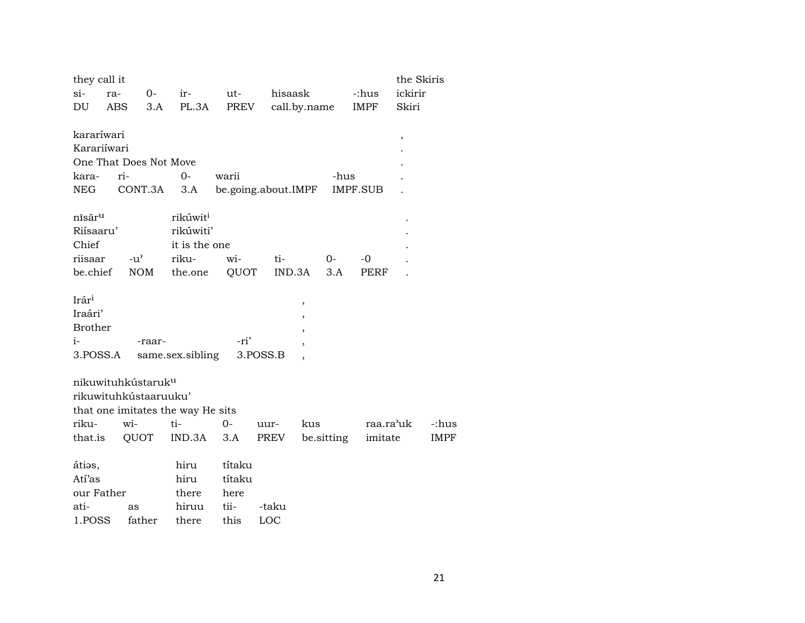| $si-$<br>hisaask<br>ickirir<br>0-<br>$ir-$<br>ut-<br>-:hus<br>ra-<br>PL.3A<br>call.by.name<br>DU<br>ABS<br>3.A<br>PREV<br>IMPF<br>Skiri<br>kararíwari<br>$\, ,$<br>Karariíwari<br>One That Does Not Move<br>ri-<br>$0 -$<br>kara-<br>warii<br>-hus<br>CONT.3A<br>be.going.about.IMPF<br><b>IMPF.SUB</b><br>NEG<br>3.A<br>rikúwit <sup>i</sup><br>nīsār <sup>u</sup><br>Riísaaru'<br>rikúwiti'<br>Chief<br>it is the one<br>riisaar<br>$-u^{\prime}$<br>riku-<br>$0 -$<br>$-0$<br>wi-<br>ti-<br><b>NOM</b><br>QUOT<br>be.chief<br>the.one<br>IND.3A<br>3.A<br>PERF<br>Irár <sup>i</sup><br>$\, ,$<br>Iraári'<br><b>Brother</b><br>$i-$<br>-ri'<br>-raar-<br>3.POSS.A<br>same.sex.sibling<br>3.POSS.B<br>nikuwituhkústaruk <sup>u</sup> |
|---------------------------------------------------------------------------------------------------------------------------------------------------------------------------------------------------------------------------------------------------------------------------------------------------------------------------------------------------------------------------------------------------------------------------------------------------------------------------------------------------------------------------------------------------------------------------------------------------------------------------------------------------------------------------------------------------------------------------------------|
|                                                                                                                                                                                                                                                                                                                                                                                                                                                                                                                                                                                                                                                                                                                                       |
|                                                                                                                                                                                                                                                                                                                                                                                                                                                                                                                                                                                                                                                                                                                                       |
|                                                                                                                                                                                                                                                                                                                                                                                                                                                                                                                                                                                                                                                                                                                                       |
|                                                                                                                                                                                                                                                                                                                                                                                                                                                                                                                                                                                                                                                                                                                                       |
|                                                                                                                                                                                                                                                                                                                                                                                                                                                                                                                                                                                                                                                                                                                                       |
|                                                                                                                                                                                                                                                                                                                                                                                                                                                                                                                                                                                                                                                                                                                                       |
|                                                                                                                                                                                                                                                                                                                                                                                                                                                                                                                                                                                                                                                                                                                                       |
|                                                                                                                                                                                                                                                                                                                                                                                                                                                                                                                                                                                                                                                                                                                                       |
|                                                                                                                                                                                                                                                                                                                                                                                                                                                                                                                                                                                                                                                                                                                                       |
|                                                                                                                                                                                                                                                                                                                                                                                                                                                                                                                                                                                                                                                                                                                                       |
|                                                                                                                                                                                                                                                                                                                                                                                                                                                                                                                                                                                                                                                                                                                                       |
|                                                                                                                                                                                                                                                                                                                                                                                                                                                                                                                                                                                                                                                                                                                                       |
|                                                                                                                                                                                                                                                                                                                                                                                                                                                                                                                                                                                                                                                                                                                                       |
|                                                                                                                                                                                                                                                                                                                                                                                                                                                                                                                                                                                                                                                                                                                                       |
|                                                                                                                                                                                                                                                                                                                                                                                                                                                                                                                                                                                                                                                                                                                                       |
|                                                                                                                                                                                                                                                                                                                                                                                                                                                                                                                                                                                                                                                                                                                                       |
|                                                                                                                                                                                                                                                                                                                                                                                                                                                                                                                                                                                                                                                                                                                                       |
|                                                                                                                                                                                                                                                                                                                                                                                                                                                                                                                                                                                                                                                                                                                                       |
|                                                                                                                                                                                                                                                                                                                                                                                                                                                                                                                                                                                                                                                                                                                                       |
|                                                                                                                                                                                                                                                                                                                                                                                                                                                                                                                                                                                                                                                                                                                                       |
|                                                                                                                                                                                                                                                                                                                                                                                                                                                                                                                                                                                                                                                                                                                                       |
|                                                                                                                                                                                                                                                                                                                                                                                                                                                                                                                                                                                                                                                                                                                                       |
| rikuwituhkústaaruuku'                                                                                                                                                                                                                                                                                                                                                                                                                                                                                                                                                                                                                                                                                                                 |
| that one imitates the way He sits                                                                                                                                                                                                                                                                                                                                                                                                                                                                                                                                                                                                                                                                                                     |
| riku-<br>wi-<br>ti-<br>$0-$<br>kus<br>raa.ra'uk<br>-:hus<br>uur-                                                                                                                                                                                                                                                                                                                                                                                                                                                                                                                                                                                                                                                                      |
|                                                                                                                                                                                                                                                                                                                                                                                                                                                                                                                                                                                                                                                                                                                                       |
| QUOT<br>IND.3A<br>be sitting<br>imitate<br>that.is<br>3.A<br>PREV<br><b>IMPF</b>                                                                                                                                                                                                                                                                                                                                                                                                                                                                                                                                                                                                                                                      |
| hiru<br>títaku<br>áties,                                                                                                                                                                                                                                                                                                                                                                                                                                                                                                                                                                                                                                                                                                              |
| Atí'as<br>hiru<br>títaku                                                                                                                                                                                                                                                                                                                                                                                                                                                                                                                                                                                                                                                                                                              |
| our Father<br>there<br>here                                                                                                                                                                                                                                                                                                                                                                                                                                                                                                                                                                                                                                                                                                           |
| hiruu<br>tii-<br>ati-<br>-taku<br>as                                                                                                                                                                                                                                                                                                                                                                                                                                                                                                                                                                                                                                                                                                  |
| 1.POSS<br>there<br>this<br>LOC<br>father                                                                                                                                                                                                                                                                                                                                                                                                                                                                                                                                                                                                                                                                                              |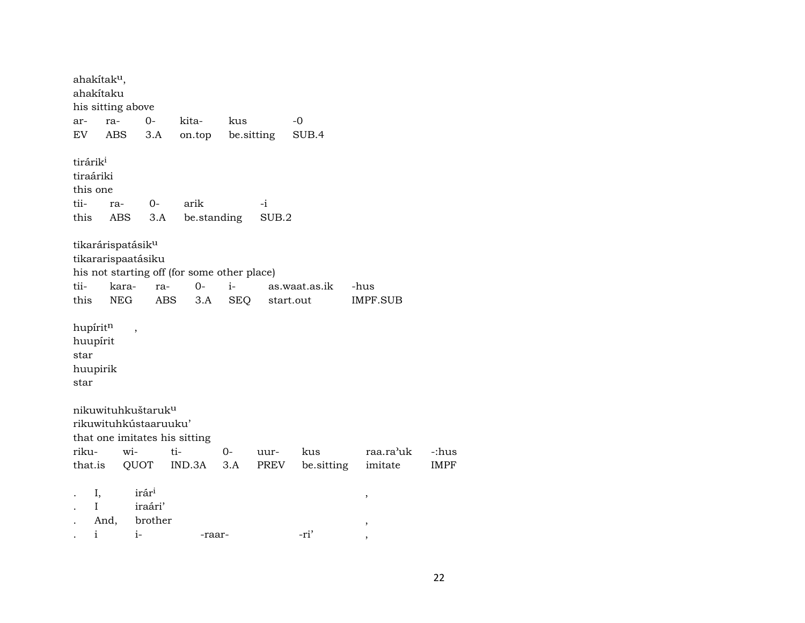ahakítakµ, ahakítaku his sitting above ar- ra- 0- kita- kus -0 EV ABS 3.A on.top be.sitting SUB.4 tirárik $^i$ tiraáriki this one tii- ra- 0- arik -i this ABS 3.A be.standing SUB.2 tikarárispatásikµ tikararispaatásiku his not starting off (for some other place) tii- kara- ra- 0- i- as.waat.as.ik -hus this NEG ABS 3.A SEQ start.out IMPF.SUB hupírit $^{\rm n}$ , huupírit star huupirik star nikuwituhkuštarukµ rikuwituhkústaaruuku' that one imitates his sitting riku- wi- ti- 0- uur- kus raa.ra"uk -:hus that.is QUOT IND.3A 3.A PREV be.sitting imitate IMPF . I, irár³ , . I iraári' . And, brother , . i i- -raar- -ri' ,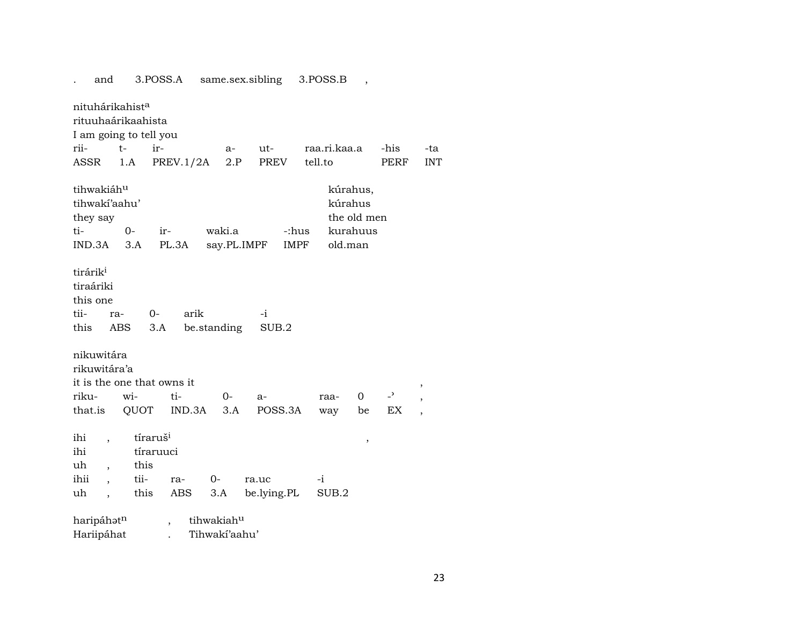. and 3.POSS.A same.sex.sibling 3.POSS.B , nituhárikahist<sup>a</sup> rituuhaárikaahista I am going to tell you rii- t- ir- a- ut- raa.ri.kaa.a -his -ta ASSR 1.A PREV.1/2A 2.P PREV tell.to PERF INT tihwakiáh<sup>u</sup> kúrahus, tihwakí'aahu' kúrahus they say the old men ti- 0- ir- waki.a -:hus kurahuus IND.3A 3.A PL.3A say.PL.IMPF IMPF old.man tirárik<sup>i</sup> tiraáriki this one tii- ra- 0- arik -i this ABS 3.A be.standing SUB.2 nikuwitára rikuwitára'a it is the one that owns it  $\,$  ,  $\,$ riku- wi- ti- 0- a- raa- 0 -" , that.is QUOT IND.3A 3.A POSS.3A way be EX , ihi , tíraruš³ , ihi tíraruuci uh , this ihii , tii- ra- 0- ra.uc -i uh , this ABS 3.A be.lying.PL SUB.2 haripáhat<sup>n</sup> , tihwakiah<sup>u</sup> Hariipáhat . Tihwakí'aahu'

23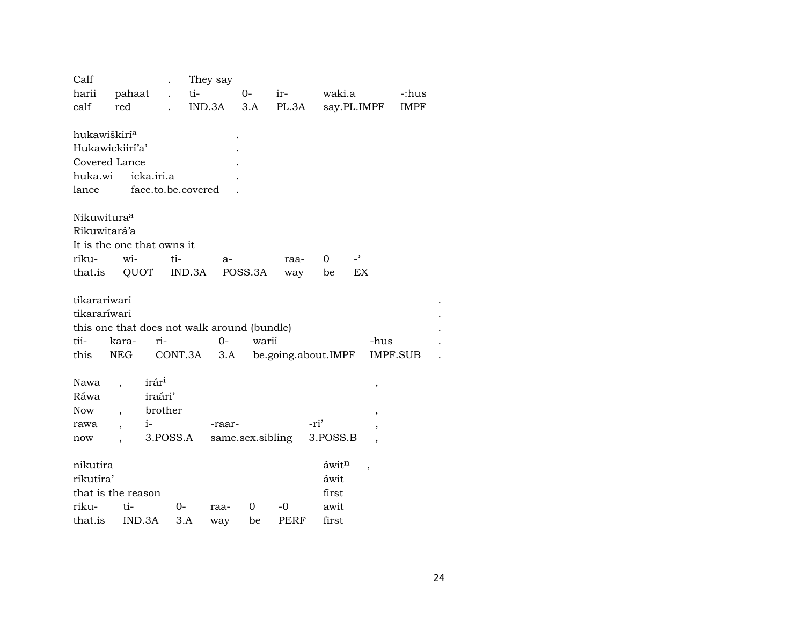| Calf                     |                            |                      | They say                                    |                  |       |                     |                          |             |  |
|--------------------------|----------------------------|----------------------|---------------------------------------------|------------------|-------|---------------------|--------------------------|-------------|--|
| harii                    | pahaat                     | $\ddot{\phantom{a}}$ | ti-                                         | $0-$             | ir-   | waki.a              |                          | -:hus       |  |
| calf                     | red                        |                      | IND.3A                                      | 3.A              | PL.3A |                     | say.PL.IMPF              | <b>IMPF</b> |  |
|                          |                            |                      |                                             |                  |       |                     |                          |             |  |
| hukawiškirí <sup>a</sup> |                            |                      |                                             |                  |       |                     |                          |             |  |
|                          | Hukawickiirí'a'            |                      |                                             |                  |       |                     |                          |             |  |
|                          | Covered Lance              |                      |                                             |                  |       |                     |                          |             |  |
| huka.wi                  |                            | icka.iri.a           |                                             |                  |       |                     |                          |             |  |
| lance                    |                            | face.to.be.covered   |                                             |                  |       |                     |                          |             |  |
|                          |                            |                      |                                             |                  |       |                     |                          |             |  |
| Nikuwitura <sup>a</sup>  |                            |                      |                                             |                  |       |                     |                          |             |  |
| Rikuwitará'a             |                            |                      |                                             |                  |       |                     |                          |             |  |
|                          | It is the one that owns it |                      |                                             |                  |       |                     |                          |             |  |
| riku-                    | wi-                        | ti-                  | a-                                          |                  | raa-  | 0                   | $\overline{\phantom{0}}$ |             |  |
| that.is                  | QUOT                       | IND.3A               |                                             | POSS.3A          | way   | be                  | EX                       |             |  |
|                          |                            |                      |                                             |                  |       |                     |                          |             |  |
| tikarariwari             |                            |                      |                                             |                  |       |                     |                          |             |  |
| tikararíwari             |                            |                      |                                             |                  |       |                     |                          |             |  |
|                          |                            |                      | this one that does not walk around (bundle) |                  |       |                     |                          |             |  |
| tii-                     | kara-                      | ri-                  | $O -$                                       | warii            |       |                     | -hus                     |             |  |
| this                     | NEG                        | CONT.3A              | 3.A                                         |                  |       | be.going.about.IMPF |                          | IMPF.SUB    |  |
|                          |                            |                      |                                             |                  |       |                     |                          |             |  |
| Nawa                     |                            | irár <sup>i</sup>    |                                             |                  |       |                     | $\, ,$                   |             |  |
| Ráwa                     |                            | iraári'              |                                             |                  |       |                     |                          |             |  |
| <b>Now</b>               | $\cdot$                    | brother              |                                             |                  |       |                     | $\overline{\phantom{a}}$ |             |  |
| rawa                     | $i-$                       |                      | -raar-                                      |                  |       | -ri'                | $\overline{\phantom{a}}$ |             |  |
| now                      | $\overline{\phantom{a}}$   | 3.POSS.A             |                                             | same.sex.sibling |       | 3.POSS.B            |                          |             |  |
| nikutira                 |                            |                      |                                             |                  |       | áwitn               |                          |             |  |
| rikutíra'                |                            |                      |                                             |                  |       | áwit                | $\overline{\phantom{a}}$ |             |  |
|                          | that is the reason         |                      |                                             |                  |       | first               |                          |             |  |
| riku-                    | ti-                        | 0-                   | raa-                                        | 0                | -0    | awit                |                          |             |  |
| that.is                  | IND.3A                     | 3.A                  |                                             | be               | PERF  | first               |                          |             |  |
|                          |                            |                      | way                                         |                  |       |                     |                          |             |  |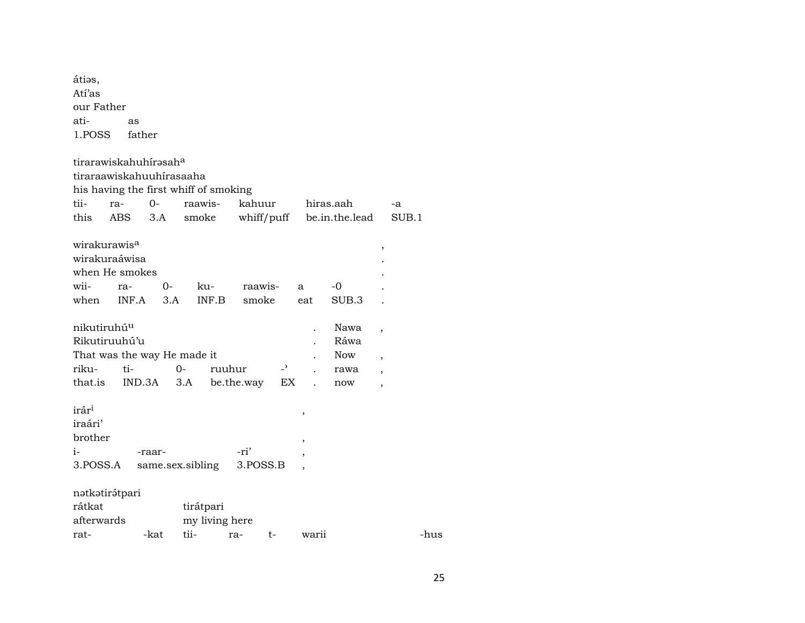átios,  $\mathrm{Ati'as}$ our Father atias 1.POSS father tirarawiskahuhírəsah $^{\rm a}$ tiraraawiskahuuhírasaaha his having the first whiff of smoking

| tii-                     | ra-                | 0-     | raawis-                     | kahuur     |      |                          | hiras.aah                 |                          | $-a$  |
|--------------------------|--------------------|--------|-----------------------------|------------|------|--------------------------|---------------------------|--------------------------|-------|
| this                     | ABS                | 3.A    | smoke                       |            |      |                          | whiff/puff be.in.the.lead |                          | SUB.1 |
|                          |                    |        |                             |            |      |                          |                           |                          |       |
| wirakurawis <sup>a</sup> |                    |        |                             |            |      |                          |                           | ,                        |       |
|                          | wirakuraáwisa      |        |                             |            |      |                          |                           |                          |       |
|                          | when He smokes     |        |                             |            |      |                          |                           |                          |       |
| wii-                     | ra-                | $O -$  | ku-                         | raawis-    |      | a                        | -0                        |                          |       |
|                          | when INF.A         | 3.A    | INF.B                       | smoke      |      | eat                      | SUB.3                     |                          |       |
|                          |                    |        |                             |            |      |                          |                           |                          |       |
| nikutiruhú <sup>u</sup>  |                    |        |                             |            |      |                          | Nawa                      | $\overline{\phantom{a}}$ |       |
|                          | Rikutiruuhú'u      |        |                             |            |      |                          | Ráwa                      |                          |       |
|                          |                    |        | That was the way He made it |            |      |                          | <b>Now</b>                | $\overline{ }$           |       |
| riku-                    | ti-                |        | 0-<br>ruuhur                |            | $-2$ |                          | rawa                      | $\overline{ }$           |       |
|                          | that.is IND.3A 3.A |        |                             | be.the.way | EX   |                          | now                       | $\overline{ }$           |       |
|                          |                    |        |                             |            |      |                          |                           |                          |       |
| irár <sup>i</sup>        |                    |        |                             |            |      | $\overline{\phantom{a}}$ |                           |                          |       |
| iraári'                  |                    |        |                             |            |      |                          |                           |                          |       |
| brother                  |                    |        |                             |            |      | ,                        |                           |                          |       |
| $i-$                     |                    | -raar- |                             | -ri'       |      | $\cdot$                  |                           |                          |       |
| 3.POSS.A                 |                    |        | same.sex.sibling            | 3.POSS.B   |      | ,                        |                           |                          |       |

| nətkətirətpari |  |
|----------------|--|
|                |  |
|                |  |

| rátkat     |      | tirátpari      |     |      |       |      |
|------------|------|----------------|-----|------|-------|------|
| afterwards |      | my living here |     |      |       |      |
| rat-       | -kat | tii-           | ra- | $t-$ | warii | -hus |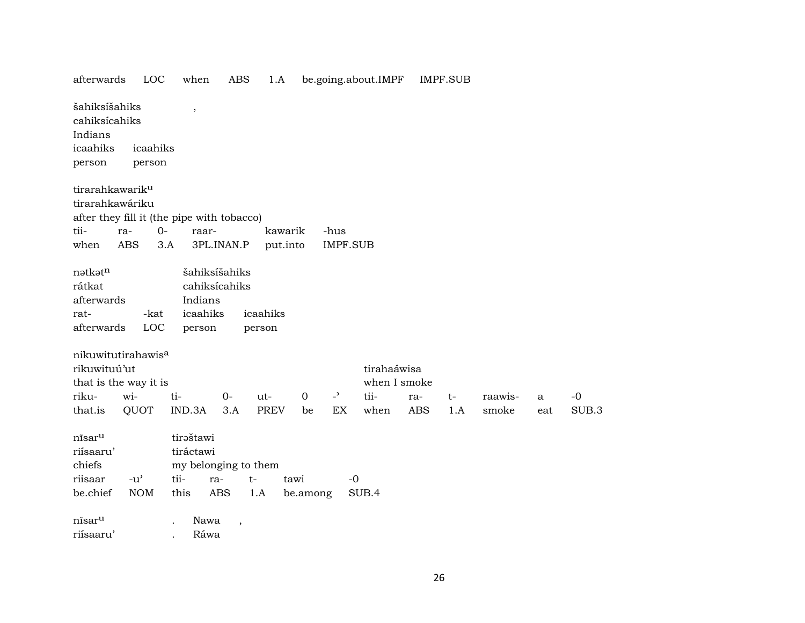| afterwards                                     | LOC                                 | when                                       | <b>ABS</b>               | 1.A         |             |                 | be.going.about.IMPF |            | <b>IMPF.SUB</b> |         |     |       |
|------------------------------------------------|-------------------------------------|--------------------------------------------|--------------------------|-------------|-------------|-----------------|---------------------|------------|-----------------|---------|-----|-------|
| šahiksíšahiks<br>cahiksícahiks<br>Indians      |                                     | $\overline{\phantom{a}}$                   |                          |             |             |                 |                     |            |                 |         |     |       |
| icaahiks                                       | icaahiks                            |                                            |                          |             |             |                 |                     |            |                 |         |     |       |
| person                                         | person                              |                                            |                          |             |             |                 |                     |            |                 |         |     |       |
| tirarahkawarik <sup>u</sup><br>tirarahkawáriku |                                     |                                            |                          |             |             |                 |                     |            |                 |         |     |       |
|                                                |                                     | after they fill it (the pipe with tobacco) |                          |             |             |                 |                     |            |                 |         |     |       |
| tii-                                           | ra-                                 | $0-$<br>raar-                              |                          | kawarik     |             | -hus            |                     |            |                 |         |     |       |
| when                                           | <b>ABS</b>                          | 3.A                                        | 3PL.INAN.P               | put.into    |             | <b>IMPF.SUB</b> |                     |            |                 |         |     |       |
|                                                |                                     |                                            |                          |             |             |                 |                     |            |                 |         |     |       |
| nətkətn                                        |                                     |                                            | šahiksíšahiks            |             |             |                 |                     |            |                 |         |     |       |
| rátkat                                         |                                     |                                            | cahiksícahiks            |             |             |                 |                     |            |                 |         |     |       |
| afterwards                                     |                                     | Indians                                    |                          |             |             |                 |                     |            |                 |         |     |       |
| rat-                                           | -kat                                | icaahiks                                   |                          | icaahiks    |             |                 |                     |            |                 |         |     |       |
| afterwards                                     | LOC                                 | person                                     |                          | person      |             |                 |                     |            |                 |         |     |       |
|                                                |                                     |                                            |                          |             |             |                 |                     |            |                 |         |     |       |
| nikuwitutirahawis <sup>a</sup>                 |                                     |                                            |                          |             |             |                 |                     |            |                 |         |     |       |
| rikuwituú'ut                                   |                                     |                                            |                          |             |             |                 | tirahaáwisa         |            |                 |         |     |       |
| that is the way it is                          |                                     |                                            |                          |             |             |                 | when I smoke        |            |                 |         |     |       |
| riku-                                          | wi-                                 | ti-                                        | $0-$                     | $ut -$      | $\mathbf 0$ | $\overline{a}$  | tii-                | ra-        | $t-$            | raawis- | a   | $-0$  |
| that.is                                        | QUOT                                | IND.3A                                     | 3.A                      | <b>PREV</b> | be          | EX              | when                | <b>ABS</b> | 1.A             | smoke   | eat | SUB.3 |
| nīsar <sup>u</sup>                             |                                     | tiraštawi                                  |                          |             |             |                 |                     |            |                 |         |     |       |
| riísaaru'                                      |                                     | tiráctawi                                  |                          |             |             |                 |                     |            |                 |         |     |       |
| chiefs                                         |                                     |                                            | my belonging to them     |             |             |                 |                     |            |                 |         |     |       |
| riisaar                                        | $-u$ <sup><math>\prime</math></sup> | tii-                                       | ra-<br>t-                |             | tawi        | $-0$            |                     |            |                 |         |     |       |
| be.chief                                       | <b>NOM</b>                          | this                                       | <b>ABS</b>               | 1.A         | be.among    |                 | SUB.4               |            |                 |         |     |       |
| nisar <sup>u</sup>                             |                                     | Nawa                                       | $\overline{\phantom{a}}$ |             |             |                 |                     |            |                 |         |     |       |
| riísaaru'                                      |                                     | Ráwa                                       |                          |             |             |                 |                     |            |                 |         |     |       |
|                                                |                                     |                                            |                          |             |             |                 |                     |            |                 |         |     |       |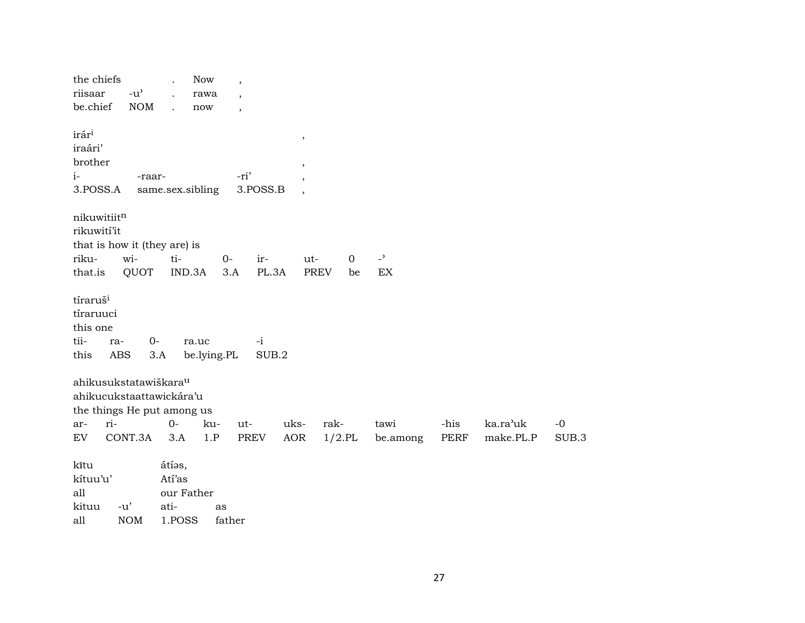| the chiefs<br>riisaar<br>be.chief                             |            | $-u^{\prime}$<br><b>NOM</b>       | $\ddot{\phantom{a}}$     | Now<br>rawa<br>now   | $\overline{\phantom{a}}$<br>$\overline{\phantom{a}}$ |               |                          |             |             |                |      |           |       |
|---------------------------------------------------------------|------------|-----------------------------------|--------------------------|----------------------|------------------------------------------------------|---------------|--------------------------|-------------|-------------|----------------|------|-----------|-------|
| irár <sup>i</sup><br>iraári'                                  |            |                                   |                          |                      |                                                      |               | $\, ,$                   |             |             |                |      |           |       |
| brother                                                       |            |                                   |                          |                      |                                                      |               | $\,$                     |             |             |                |      |           |       |
| $i-$                                                          |            | -raar-                            |                          |                      | -ri'                                                 |               | $\overline{\phantom{a}}$ |             |             |                |      |           |       |
| 3.POSS.A                                                      |            | same.sex.sibling                  |                          |                      |                                                      | 3.POSS.B      | $\,$                     |             |             |                |      |           |       |
| nikuwitiitn<br>rikuwití'it                                    |            |                                   |                          |                      |                                                      |               |                          |             |             |                |      |           |       |
|                                                               |            | that is how it (they are) is      |                          |                      |                                                      |               |                          |             |             |                |      |           |       |
| riku-                                                         |            | wi-                               | ti-                      |                      | $0-$                                                 | ir-           | ut-                      |             | $\mathbf 0$ | $\overline{a}$ |      |           |       |
| that.is                                                       |            | QUOT                              | IND.3A                   |                      | 3.A                                                  | PL.3A         |                          | <b>PREV</b> | be          | EX             |      |           |       |
| tíraruš <sup>i</sup><br>tíraruuci<br>this one<br>tii-<br>this | ra-<br>ABS | $0-$<br>3.A                       |                          | ra.uc<br>be.lying.PL |                                                      | $-i$<br>SUB.2 |                          |             |             |                |      |           |       |
|                                                               |            | ahikusukstatawiškara <sup>u</sup> |                          |                      |                                                      |               |                          |             |             |                |      |           |       |
|                                                               |            | ahikucukstaattawickára'u          |                          |                      |                                                      |               |                          |             |             |                |      |           |       |
|                                                               |            | the things He put among us        |                          |                      |                                                      |               |                          |             |             |                |      |           |       |
| ar-                                                           | ri-        |                                   | $0-$                     | ku-                  | ut-                                                  |               | uks-                     | rak-        |             | tawi           | -his | ka.ra'uk  | $-0$  |
| EV                                                            |            | CONT.3A                           | 3.A                      | 1.P                  |                                                      | PREV          | AOR                      | $1/2$ .PL   |             | be.among       | PERF | make.PL.P | SUB.3 |
| kĩtu<br>kítuu'u'<br>all<br>kituu                              | $-u'$      |                                   | átías,<br>Atí'as<br>ati- | our Father           | as                                                   |               |                          |             |             |                |      |           |       |

 $\mathop{\rm all}\nolimits$  $NOM$ 1.POSS father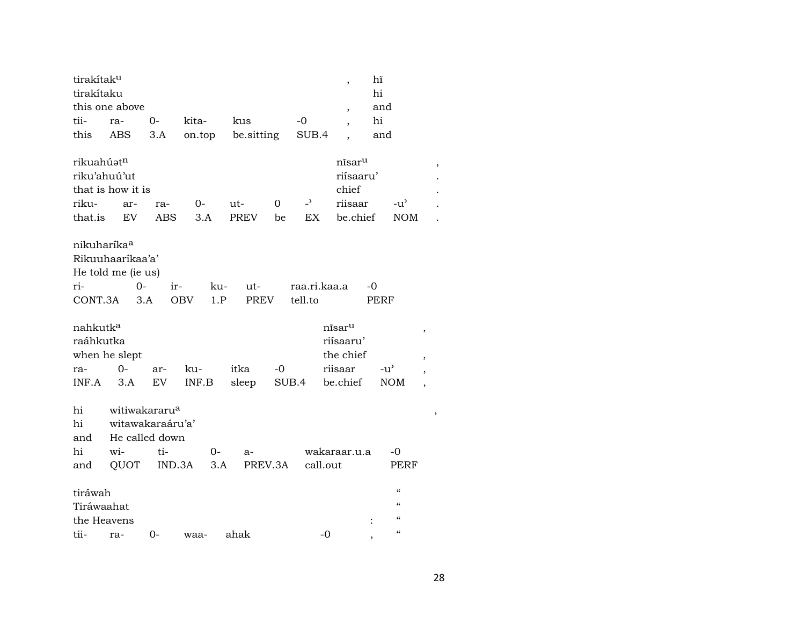| tirakítaku<br>hi<br>this one above<br>and<br>$\overline{\phantom{a}}$<br>tii-<br>hi<br>$0-$<br>kita-<br>kus<br>$-0$<br>ra-<br>$\overline{\phantom{a}}$<br>this<br>ABS<br>3.A<br>on.top<br>be.sitting<br>SUB.4<br>and<br>$\ddot{\phantom{0}}$ |  |
|----------------------------------------------------------------------------------------------------------------------------------------------------------------------------------------------------------------------------------------------|--|
|                                                                                                                                                                                                                                              |  |
|                                                                                                                                                                                                                                              |  |
|                                                                                                                                                                                                                                              |  |
|                                                                                                                                                                                                                                              |  |
| rikuahúatn<br>nīsar <sup>u</sup><br>$\,$                                                                                                                                                                                                     |  |
| riísaaru'<br>riku'ahuú'ut                                                                                                                                                                                                                    |  |
| that is how it is<br>chief                                                                                                                                                                                                                   |  |
| $\overline{\phantom{0}}$<br>riisaar<br>riku-<br>0<br>$0-$<br>ut-<br>$-u'$<br>ar-<br>ra-                                                                                                                                                      |  |
| EX<br>be.chief<br>that.is<br>EV<br>ABS<br>3.A<br>PREV<br><b>NOM</b><br>be                                                                                                                                                                    |  |
| nikuharíka <sup>a</sup>                                                                                                                                                                                                                      |  |
| Rikuuhaaríkaa'a'                                                                                                                                                                                                                             |  |
| He told me (ie us)                                                                                                                                                                                                                           |  |
| $0-$<br>raa.ri.kaa.a<br>ri-<br>ir-<br>ku-<br>ut-<br>-0                                                                                                                                                                                       |  |
| CONT.3A<br>3.A<br><b>OBV</b><br>1.P<br><b>PREV</b><br>tell.to<br>PERF                                                                                                                                                                        |  |
| nahkutk <sup>a</sup><br>nīsaru<br>$\,$                                                                                                                                                                                                       |  |
| riísaaru'<br>raáhkutka                                                                                                                                                                                                                       |  |
| when he slept<br>the chief<br>$\, ,$                                                                                                                                                                                                         |  |
| $0 -$<br>riisaar<br>itka<br>$-0$<br>$-u^{\prime}$<br>ku-<br>ra-<br>ar-<br>$\overline{\phantom{a}}$                                                                                                                                           |  |
| be.chief<br>INF.A<br>3.A<br>EV<br>INF.B<br>sleep<br>SUB.4<br><b>NOM</b><br>$\overline{\phantom{a}}$                                                                                                                                          |  |
| witiwakararu <sup>a</sup><br>hi                                                                                                                                                                                                              |  |
| $\,$<br>witawakaraáru'a'<br>hi                                                                                                                                                                                                               |  |
| He called down<br>and                                                                                                                                                                                                                        |  |
| hi<br>wi-<br>ti-<br>wakaraar.u.a<br>0-<br>-0<br>a-                                                                                                                                                                                           |  |
| QUOT<br>IND.3A<br>3.A<br>PREV.3A<br>call.out<br>PERF<br>and                                                                                                                                                                                  |  |
|                                                                                                                                                                                                                                              |  |
|                                                                                                                                                                                                                                              |  |
| $\mathcal{C}$<br>tiráwah                                                                                                                                                                                                                     |  |
| $\boldsymbol{\zeta}\boldsymbol{\zeta}$<br>Tiráwaahat                                                                                                                                                                                         |  |
| $\mathcal{C}\mathcal{C}$<br>the Heavens                                                                                                                                                                                                      |  |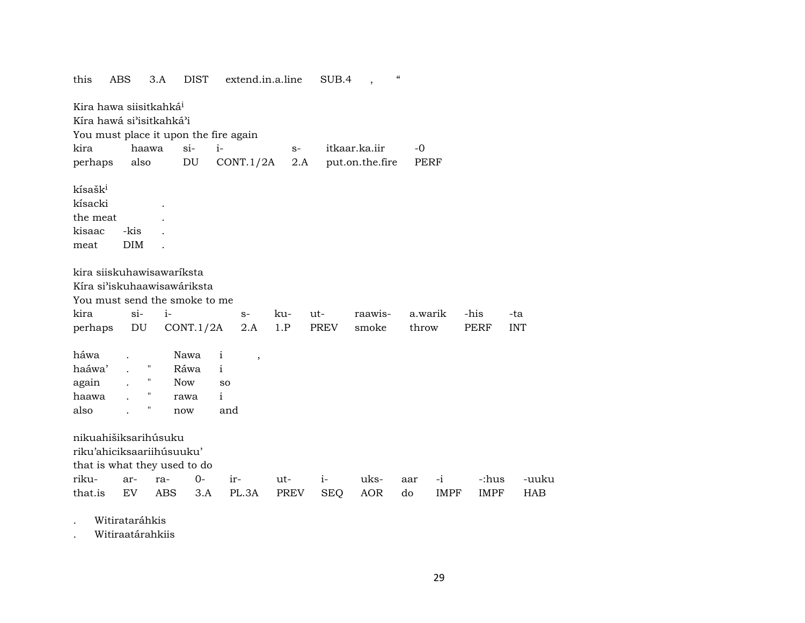| this<br>ABS                                                                       |                    | 3.A        | <b>DIST</b> |              | extend.in.a.line |      | SUB.4      |                 | $\epsilon\epsilon$ |             |             |            |
|-----------------------------------------------------------------------------------|--------------------|------------|-------------|--------------|------------------|------|------------|-----------------|--------------------|-------------|-------------|------------|
| Kira hawa siisitkahká <sup>i</sup>                                                |                    |            |             |              |                  |      |            |                 |                    |             |             |            |
| Kíra hawá si'isitkahká'i                                                          |                    |            |             |              |                  |      |            |                 |                    |             |             |            |
| You must place it upon the fire again                                             |                    |            |             |              |                  |      |            |                 |                    |             |             |            |
| kira                                                                              | haawa              | $si-$      |             | $i-$         |                  | $S-$ |            | itkaar.ka.iir   | $-0$               |             |             |            |
| perhaps                                                                           | also               | DU         |             |              | CONT.1/2A        | 2.A  |            | put.on.the.fire | <b>PERF</b>        |             |             |            |
| kísašk <sup>i</sup><br>kísacki<br>the meat<br>kisaac<br>meat                      | -kis<br><b>DIM</b> |            |             |              |                  |      |            |                 |                    |             |             |            |
| kira siiskuhawisawaríksta                                                         |                    |            |             |              |                  |      |            |                 |                    |             |             |            |
| Kíra si'iskuhaawisawáriksta                                                       |                    |            |             |              |                  |      |            |                 |                    |             |             |            |
| You must send the smoke to me                                                     |                    |            |             |              |                  |      |            |                 |                    |             |             |            |
| kira                                                                              | $si-$              | $i-$       |             |              | $S-$             | ku-  | ut-        | raawis-         | a.warik            |             | -his        | -ta        |
|                                                                                   |                    |            |             |              |                  |      |            |                 |                    |             |             |            |
| perhaps                                                                           | DU                 | CONT.1/2A  |             |              | 2.A              | 1.P  | PREV       | smoke           | throw              |             | <b>PERF</b> | <b>INT</b> |
|                                                                                   |                    |            |             |              |                  |      |            |                 |                    |             |             |            |
| háwa                                                                              |                    | Nawa       |             | i            | $\overline{ }$   |      |            |                 |                    |             |             |            |
| haáwa'                                                                            | П                  | Ráwa       |             | $\mathbf{i}$ |                  |      |            |                 |                    |             |             |            |
| again                                                                             | Н                  | <b>Now</b> |             | SO           |                  |      |            |                 |                    |             |             |            |
| haawa                                                                             |                    | rawa       |             | $\mathbf{i}$ |                  |      |            |                 |                    |             |             |            |
| also                                                                              | Π                  | now        |             | and          |                  |      |            |                 |                    |             |             |            |
| nikuahišiksarihúsuku<br>riku'ahiciksaariihúsuuku'<br>that is what they used to do |                    |            |             |              |                  |      |            |                 |                    |             |             |            |
| riku-                                                                             | ar-                | ra-        | $0-$        | ir-          |                  | ut-  | $i-$       | uks-            | aar                | $-i$        | -:hus       | -uuku      |
| that.is                                                                           | EV                 | <b>ABS</b> | 3.A         |              | PL.3A            | PREV | <b>SEQ</b> | <b>AOR</b>      | do                 | <b>IMPF</b> | <b>IMPF</b> | <b>HAB</b> |

. Witirataráhkis

. Witiraatárahkiis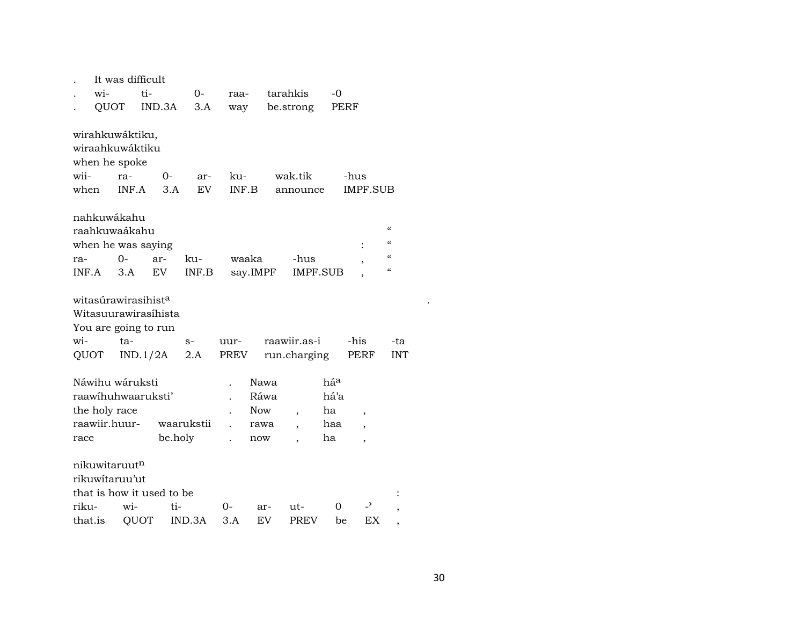|         |               | It was difficult                |         |            |       |            |                          |      |                          |                                        |  |
|---------|---------------|---------------------------------|---------|------------|-------|------------|--------------------------|------|--------------------------|----------------------------------------|--|
|         | wi-           | ti-                             |         | $0-$       | raa-  |            | tarahkis                 | -0   |                          |                                        |  |
|         | QUOT          |                                 | IND.3A  | 3.A        | way   |            | be.strong                | PERF |                          |                                        |  |
|         |               |                                 |         |            |       |            |                          |      |                          |                                        |  |
|         |               | wirahkuwáktiku,                 |         |            |       |            |                          |      |                          |                                        |  |
|         |               | wiraahkuwáktiku                 |         |            |       |            |                          |      |                          |                                        |  |
|         |               | when he spoke                   |         |            |       |            |                          |      |                          |                                        |  |
| wii-    |               | ra-                             | 0-      | ar-        | ku-   |            | wak.tik                  |      | -hus                     |                                        |  |
| when    |               | INF.A                           | 3.A     | EV.        | INF.B |            | announce                 |      | <b>IMPF.SUB</b>          |                                        |  |
|         |               |                                 |         |            |       |            |                          |      |                          |                                        |  |
|         |               | nahkuwákahu                     |         |            |       |            |                          |      |                          |                                        |  |
|         |               | raahkuwaákahu                   |         |            |       |            |                          |      |                          | $\mathcal{C}\mathcal{C}$               |  |
|         |               | when he was saying              |         |            |       |            |                          |      |                          | $\boldsymbol{\zeta}\boldsymbol{\zeta}$ |  |
| ra-     |               | 0-                              | ar-     | ku-        |       | waaka      | -hus                     |      | $\overline{\phantom{a}}$ | $\mathcal{C}\mathcal{C}$               |  |
| INF.A   |               | 3.A                             | EV      | INF.B      |       | say.IMPF   | IMPF.SUB                 |      |                          | $\boldsymbol{\zeta}\boldsymbol{\zeta}$ |  |
|         |               |                                 |         |            |       |            |                          |      |                          |                                        |  |
|         |               | witasúrawirasihist <sup>a</sup> |         |            |       |            |                          |      |                          |                                        |  |
|         |               | Witasuurawirasihista            |         |            |       |            |                          |      |                          |                                        |  |
|         |               | You are going to run            |         |            |       |            |                          |      |                          |                                        |  |
| wi-     |               | ta-                             |         | $S-$       | uur-  |            | raawiir.as-i             |      | -his                     | -ta                                    |  |
| QUOT    |               | IND.1/2A                        |         | 2.A        | PREV  |            | run.charging             |      | PERF                     | <b>INT</b>                             |  |
|         |               |                                 |         |            |       |            |                          |      |                          |                                        |  |
|         |               | Náwihu wáruksti                 |         |            |       | Nawa       |                          | háa  |                          |                                        |  |
|         |               | raawihuhwaaruksti'              |         |            |       | Ráwa       |                          | há'a |                          |                                        |  |
|         | the holy race |                                 |         |            |       | <b>Now</b> | $\overline{\phantom{a}}$ | ha   | $\overline{\phantom{a}}$ |                                        |  |
|         |               | raawiir.huur-                   |         | waarukstii |       | rawa       | $\overline{\phantom{a}}$ | haa  | $\overline{\phantom{a}}$ |                                        |  |
| race    |               |                                 | be.holy |            |       | now        |                          | ha   | ,                        |                                        |  |
|         |               |                                 |         |            |       |            |                          |      |                          |                                        |  |
|         |               | nikuwitaruut <sup>n</sup>       |         |            |       |            |                          |      |                          |                                        |  |
|         |               | rikuwitaruu'ut                  |         |            |       |            |                          |      |                          |                                        |  |
|         |               | that is how it used to be       |         |            |       |            |                          |      |                          |                                        |  |
| riku-   |               | wi-                             | ti-     |            | 0-    | ar-        | ut-                      | 0    | -,                       |                                        |  |
| that.is |               | QUOT                            |         | IND.3A     | 3.A   | EV         | PREV                     | be   | ЕX                       |                                        |  |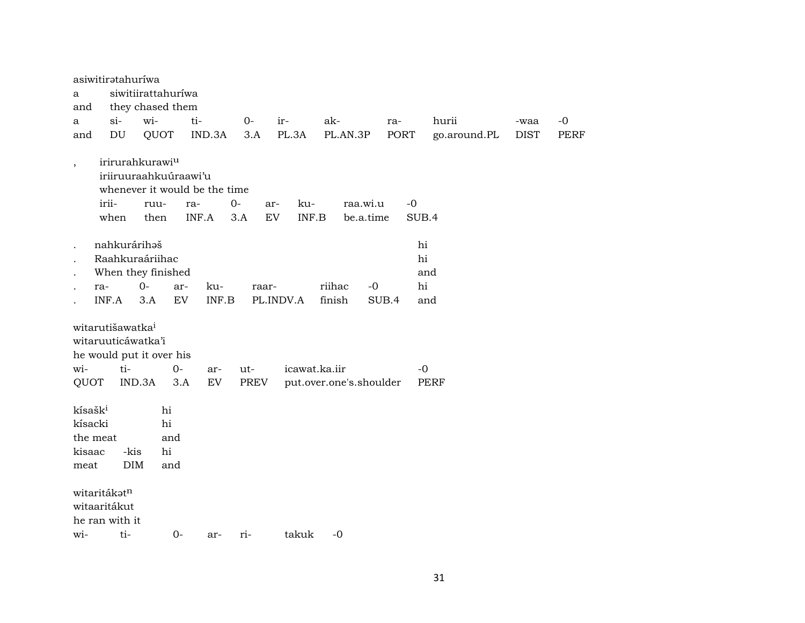|                          | asiwitiratahuríwa                                         |                                                                                                       |              |           |             |                           |                         |       |               |             |             |
|--------------------------|-----------------------------------------------------------|-------------------------------------------------------------------------------------------------------|--------------|-----------|-------------|---------------------------|-------------------------|-------|---------------|-------------|-------------|
| a                        |                                                           | siwitiirattahuríwa                                                                                    |              |           |             |                           |                         |       |               |             |             |
| and                      |                                                           | they chased them                                                                                      |              |           |             |                           |                         |       |               |             |             |
| a                        | $\sin$                                                    | wi-                                                                                                   | ti-          |           | $O -$       | ir-                       | ak-                     | ra-   | hurii         | -waa        | $-0$        |
| and                      | DU                                                        | QUOT                                                                                                  |              | IND.3A    | 3.A         | PL.3A                     | PL.AN.3P                | PORT  | go.around.PL  | <b>DIST</b> | <b>PERF</b> |
| $\overline{\phantom{a}}$ | irii-<br>when                                             | irirurahkurawi <sup>u</sup><br>iriiruuraahkuúraawi'u<br>whenever it would be the time<br>ruu-<br>then | ra-<br>INF.A |           | $0-$<br>3.A | ku-<br>ar-<br>EV<br>INF.B | raa.wi.u<br>be.a.time   |       | $-0$<br>SUB.4 |             |             |
|                          | nahkurárihaš                                              |                                                                                                       |              |           |             |                           |                         |       | hi            |             |             |
|                          |                                                           | Raahkuraáriihac                                                                                       |              |           |             |                           |                         |       | hi            |             |             |
|                          |                                                           | When they finished                                                                                    |              |           |             |                           |                         |       | and           |             |             |
|                          | ra-                                                       | $0-$                                                                                                  | ar-          | ku-       | raar-       |                           | riihac<br>-0            |       | hi            |             |             |
|                          | INF.A                                                     | 3.A                                                                                                   | EV           | INF.B     |             | PL.INDV.A                 | finish                  | SUB.4 | and           |             |             |
| wi-<br>QUOT              | witarutišawatka <sup>i</sup><br>witaruuticáwatka'i<br>ti- | he would put it over his<br>IND.3A                                                                    | $0-$<br>3.A  | ar-<br>EV | ut-<br>PREV | icawat.ka.iir             | put.over.one's.shoulder |       | $-0$<br>PERF  |             |             |
| kísašk <sup>i</sup>      |                                                           | hi                                                                                                    |              |           |             |                           |                         |       |               |             |             |
| kísacki                  |                                                           | hi                                                                                                    |              |           |             |                           |                         |       |               |             |             |
| the meat                 |                                                           |                                                                                                       | and          |           |             |                           |                         |       |               |             |             |
| kisaac                   | -kis                                                      | hi                                                                                                    |              |           |             |                           |                         |       |               |             |             |
| meat                     | <b>DIM</b>                                                |                                                                                                       | and          |           |             |                           |                         |       |               |             |             |
|                          | witaritákatn<br>witaaritákut<br>he ran with it            |                                                                                                       |              |           |             |                           |                         |       |               |             |             |
| wi-                      | ti-                                                       |                                                                                                       | $0-$         | ar-       | ri-         | takuk                     | $-0$                    |       |               |             |             |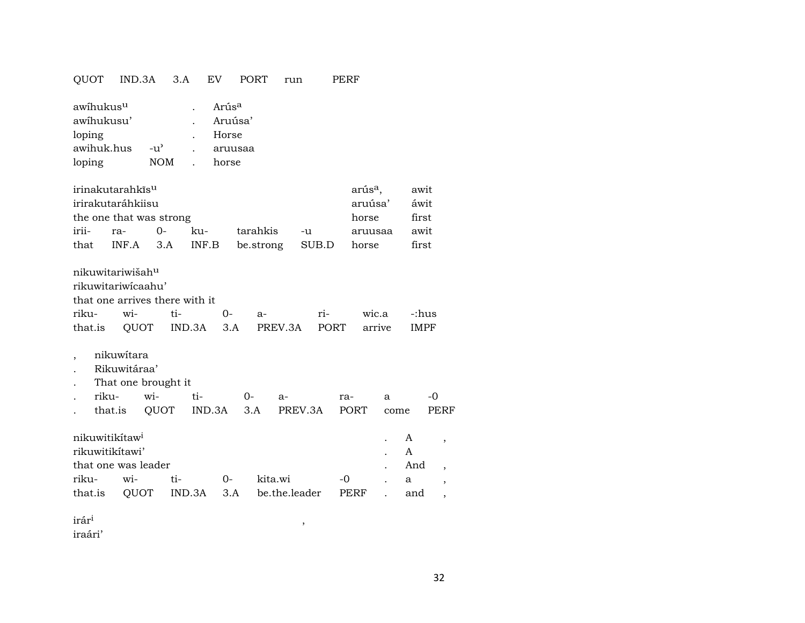## QUOT IND.3A 3.A EV PORT run PERF

| awihukus <sup>u</sup> |                    | Arús <sup>a</sup> |
|-----------------------|--------------------|-------------------|
| awihukusu'            |                    | Aruúsa'           |
| loping                |                    | Horse             |
| awihuk.hus            | $-11$ <sup>2</sup> | aruusaa           |
| loping                | <b>NOM</b>         | horse             |

| irinakutarahkīs <sup>u</sup> |          | arús <sup>a</sup> ,                        | awit |         |       |
|------------------------------|----------|--------------------------------------------|------|---------|-------|
| irirakutaráhkiisu            |          | aruúsa'                                    | áwit |         |       |
| the one that was strong      | horse    | first                                      |      |         |       |
| irii- ra- 0-                 | $k_{11}$ | tarahkis -u                                |      | aruusaa | awit  |
|                              |          | that INF.A 3.A INF.B be.strong SUB.D horse |      |         | first |

| nikuwitariwišah <sup>u</sup>   |  |  |                                                  |  |  |  |  |  |  |  |  |
|--------------------------------|--|--|--------------------------------------------------|--|--|--|--|--|--|--|--|
| rikuwitariwicaahu'             |  |  |                                                  |  |  |  |  |  |  |  |  |
| that one arrives there with it |  |  |                                                  |  |  |  |  |  |  |  |  |
|                                |  |  | riku- wi- ti-  0- a-  ri-  wic.a -:hus           |  |  |  |  |  |  |  |  |
|                                |  |  | that.is QUOT IND.3A 3.A PREV.3A PORT arrive IMPF |  |  |  |  |  |  |  |  |

- , nikuwítara
- . Rikuwitáraa'
- . That one brought it

|  |  |                                                  | ra- a -0 |  |
|--|--|--------------------------------------------------|----------|--|
|  |  | . that.is QUOT IND.3A 3.A PREV.3A PORT come PERF |          |  |

| nikuwitikitaw <sup>i</sup> |                     | . A |          |                                              |      |     |     |  |  |  |
|----------------------------|---------------------|-----|----------|----------------------------------------------|------|-----|-----|--|--|--|
| rikuwitikitawi'            |                     |     |          |                                              |      |     |     |  |  |  |
|                            | that one was leader |     |          |                                              |      |     |     |  |  |  |
| riku- wi- ti-              |                     |     | $\Omega$ | kita.wi                                      | $-0$ | . а |     |  |  |  |
|                            |                     |     |          | that.is QUOT IND.3A 3.A be.the.leader PERF . |      |     | and |  |  |  |

irár³ ,

iraári'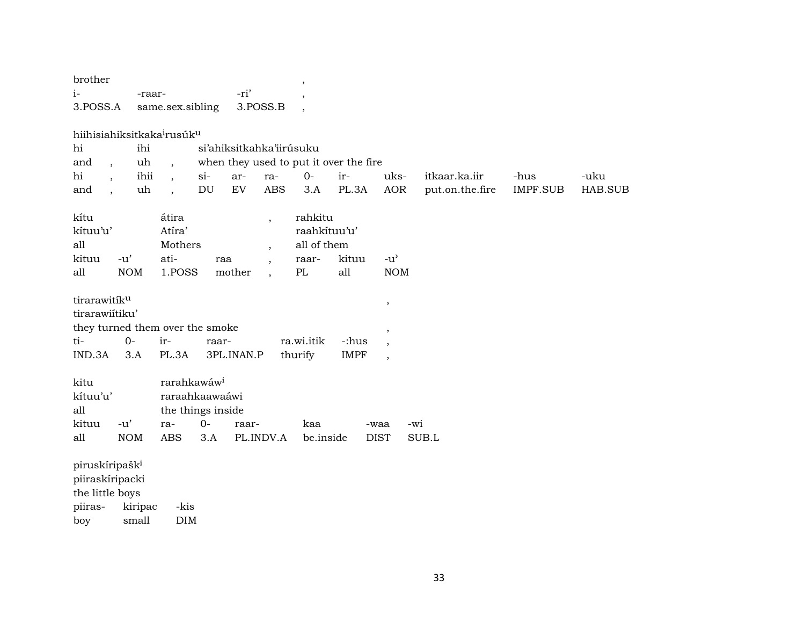| brother                                                                 | $^\mathrm{,}$                                   |                                              |                 |                 |         |
|-------------------------------------------------------------------------|-------------------------------------------------|----------------------------------------------|-----------------|-----------------|---------|
| $i-$<br>-raar-                                                          | -ri'<br>$\overline{\phantom{a}}$                |                                              |                 |                 |         |
| 3.POSS.A<br>same.sex.sibling                                            | 3.POSS.B<br>$\overline{\phantom{a}}$            |                                              |                 |                 |         |
|                                                                         |                                                 |                                              |                 |                 |         |
| hiihisiahiksitkaka <sup>i</sup> rusúk <sup>u</sup>                      |                                                 |                                              |                 |                 |         |
| hi<br>ihi                                                               | si'ahiksitkahka'iirúsuku                        |                                              |                 |                 |         |
| uh<br>and<br>$\overline{\phantom{a}}$<br>$\overline{\phantom{a}}$       | when they used to put it over the fire          |                                              |                 |                 |         |
| hi<br>ihii<br>$si-$<br>$\overline{\phantom{a}}$                         | $0-$<br>ar-<br>ra-                              | ir-<br>uks-                                  | itkaar.ka.iir   | -hus            | -uku    |
| DU<br>uh<br>and<br>$\overline{\phantom{a}}$<br>$\overline{\phantom{a}}$ | $\mathop{\rm EV}\nolimits$<br><b>ABS</b><br>3.A | PL.3A<br><b>AOR</b>                          | put.on.the.fire | <b>IMPF.SUB</b> | HAB.SUB |
| átira<br>kítu                                                           | rahkitu<br>$\overline{ }$                       |                                              |                 |                 |         |
| kítuu'u'<br>Atíra'                                                      |                                                 | raahkituu'u'                                 |                 |                 |         |
| Mothers<br>all                                                          | all of them<br>$\overline{ }$                   |                                              |                 |                 |         |
| ati-<br>kituu<br>$-u'$                                                  | raa<br>raar-<br>$\ddot{\phantom{0}}$            | kituu<br>$-u$ <sup><math>\prime</math></sup> |                 |                 |         |
| <b>NOM</b><br>all<br>1.POSS                                             | PL<br>mother                                    | all<br><b>NOM</b>                            |                 |                 |         |
|                                                                         |                                                 |                                              |                 |                 |         |
| tirarawitíku                                                            |                                                 | $\,$                                         |                 |                 |         |
| tirarawiitiku'                                                          |                                                 |                                              |                 |                 |         |
| they turned them over the smoke                                         |                                                 | $^\mathrm{,}$                                |                 |                 |         |
| ti-<br>$0-$<br>ir-                                                      | ra.wi.itik<br>raar-                             | -:hus<br>$\,$                                |                 |                 |         |
| IND.3A<br>PL.3A<br>3.A                                                  | 3PL.INAN.P<br>thurify                           | <b>IMPF</b><br>$\overline{\phantom{a}}$      |                 |                 |         |
|                                                                         |                                                 |                                              |                 |                 |         |
| rarahkawáw <sup>i</sup><br>kitu                                         |                                                 |                                              |                 |                 |         |
| kítuu'u'<br>raraahkaawaáwi                                              |                                                 |                                              |                 |                 |         |
| the things inside<br>all                                                |                                                 |                                              |                 |                 |         |
| $0-$<br>kituu<br>$-u'$<br>ra-                                           | kaa<br>raar-                                    | -waa                                         | -wi             |                 |         |
| <b>NOM</b><br>all<br><b>ABS</b><br>3.A                                  | PL.INDV.A                                       | be.inside<br><b>DIST</b>                     | SUB.L           |                 |         |
| piruskíripašk <sup>i</sup>                                              |                                                 |                                              |                 |                 |         |
| piiraskíripacki                                                         |                                                 |                                              |                 |                 |         |
| the little boys                                                         |                                                 |                                              |                 |                 |         |
| piiras-<br>kiripac<br>-kis                                              |                                                 |                                              |                 |                 |         |
| <b>DIM</b><br>small<br>boy                                              |                                                 |                                              |                 |                 |         |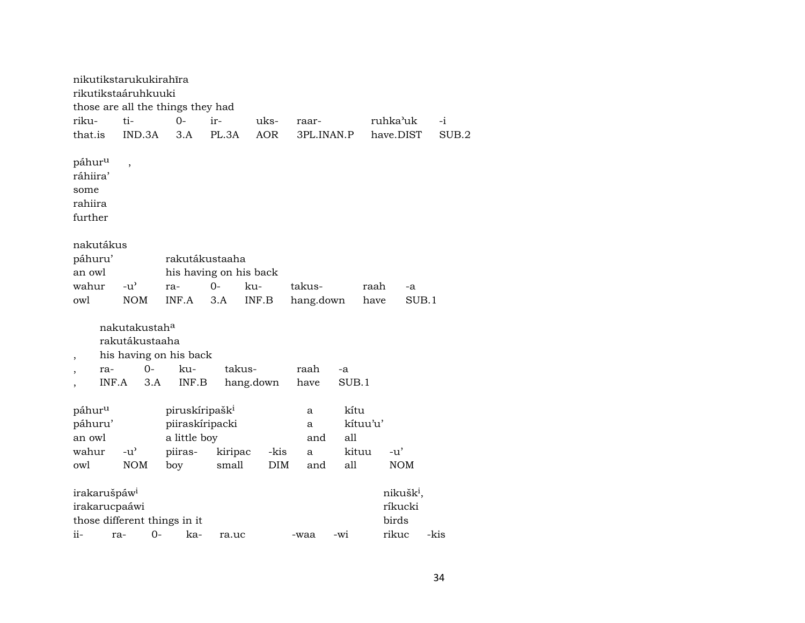nikutikstarukukirahîra rikutikstaáruhkuuki those are all the things they had riku- ti- 0- ir- uks- raar- ruhka"uk -i that.is IND.3A 3.A PL.3A AOR 3PL.INAN.P have.DIST SUB.2 páhur<sup>u</sup> , ráhiira' some rahiira further nakutákus páhuru' rakutákustaaha an owl his having on his back wahur -u" ra- 0- ku- takus- raah -a owl NOM INF.A 3.A INF.B hang.down have SUB.1 nakutakustah° rakutákustaaha , his having on his back , ra- 0- ku- takus- raah -a , INF.A 3.A INF.B hang.down have SUB.1 páhur<sup>u</sup> piruskíripašk<sup>i</sup> a kítu páhuru' piiraskíripacki a kítuu'u' an owl a little boy and all wahur -u" piiras- kiripac -kis a kituu -u' owl NOM boy small DIM and all NOM irakarušpáw<sup>i</sup> hospodaru nikušk<sup>i</sup>, irakarucpaáwi **ríkucki** ríkucki those different things in it birds ii- ra- 0- ka- ra.uc -waa -wi rikuc -kis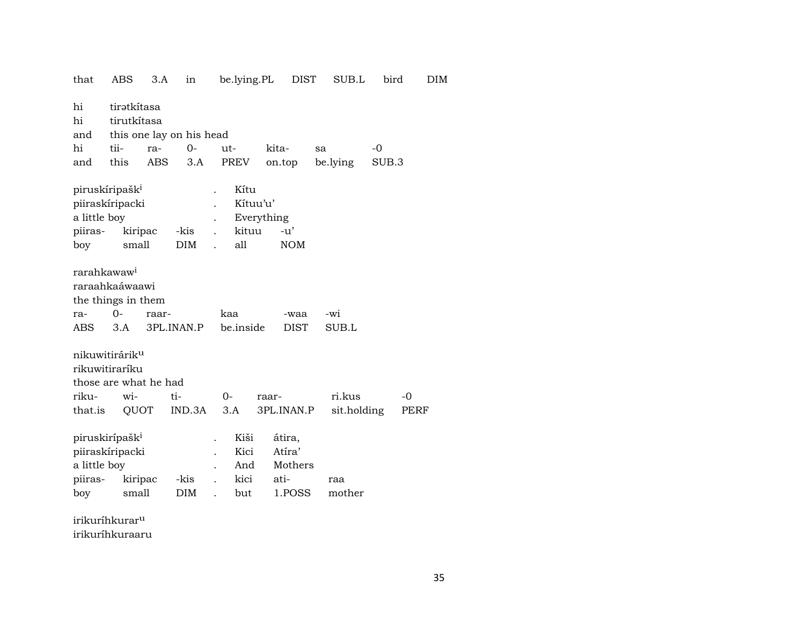| that                                                                                                                                                                             | ABS                                                                          | 3.A        | in                       | be.lying.PL                          |                        | <b>DIST</b>                           | SUB.L         | bird        |            | DIM |
|----------------------------------------------------------------------------------------------------------------------------------------------------------------------------------|------------------------------------------------------------------------------|------------|--------------------------|--------------------------------------|------------------------|---------------------------------------|---------------|-------------|------------|-----|
| hi<br>hi                                                                                                                                                                         | tiratkítasa<br>tirutkítasa                                                   |            |                          |                                      |                        |                                       |               |             |            |     |
| and                                                                                                                                                                              |                                                                              |            | this one lay on his head |                                      |                        |                                       |               |             |            |     |
| hi                                                                                                                                                                               | tii-                                                                         | ra-        | $0-$                     | ut-                                  | kita-                  |                                       | sa            | $-0$        |            |     |
| and                                                                                                                                                                              | this                                                                         | <b>ABS</b> | 3.A                      | PREV                                 | on.top                 |                                       | be.lying      | SUB.3       |            |     |
| piruskíripašk <sup>i</sup><br>piiraskíripacki<br>a little boy<br>piiras-<br>boy                                                                                                  | kiripac<br>small                                                             |            | -kis<br><b>DIM</b>       | Kítu<br>kituu<br>all<br>$\mathbf{r}$ | Kítuu'u'<br>Everything | -u'<br><b>NOM</b>                     |               |             |            |     |
| rarahkawaw <sup>i</sup><br>raraahkaáwaawi<br>the things in them<br>$O -$<br>kaa<br>-wi<br>ra-<br>raar-<br>-waa<br>3.A<br>3PL.INAN.P<br>be.inside<br><b>DIST</b><br>SUB.L<br>ABS. |                                                                              |            |                          |                                      |                        |                                       |               |             |            |     |
| riku-<br>that.is                                                                                                                                                                 | nikuwitirárik <sup>u</sup><br>rikuwitiraríku<br>those are what he had<br>wi- | QUOT       | ti-<br>IND.3A            | $O -$<br>3.A                         | raar-                  | 3PL.INAN.P                            | ri.kus        | sit.holding | -0<br>PERF |     |
| piruskirípašk <sup>i</sup><br>a little boy<br>piiras-<br>boy                                                                                                                     | piiraskíripacki<br>kiripac<br>small                                          |            | -kis<br>DIM              | Kiši<br>Kici<br>And<br>kici<br>but   | ati-                   | átira,<br>Atíra'<br>Mothers<br>1.POSS | raa<br>mother |             |            |     |
|                                                                                                                                                                                  | irilayúhlamorl                                                               |            |                          |                                      |                        |                                       |               |             |            |     |

irikuríhkurar<sup>u</sup> irikuríhkuraaru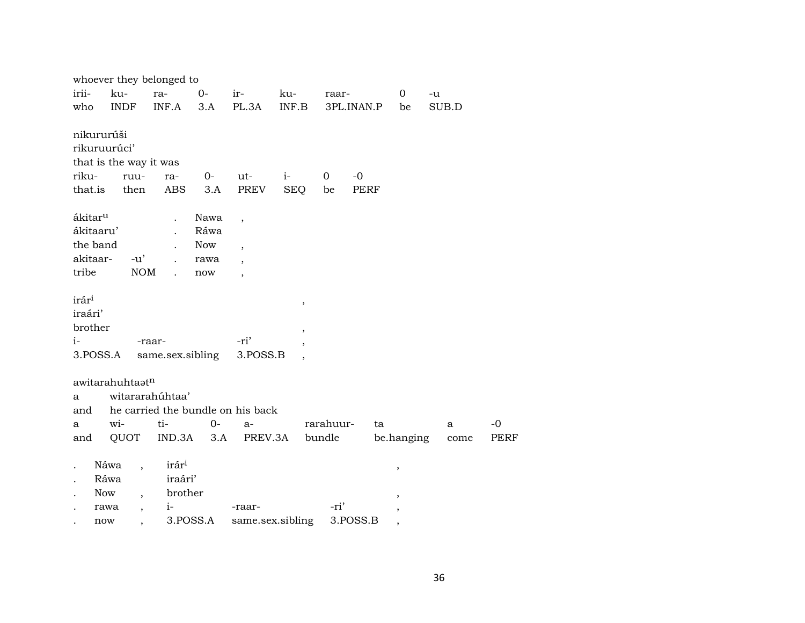|                      | whoever they belonged to     |                                                |                |                          |                          |                |            |                |       |      |
|----------------------|------------------------------|------------------------------------------------|----------------|--------------------------|--------------------------|----------------|------------|----------------|-------|------|
| irii-                | ku-                          | ra-                                            | $O -$          | $ir-$                    | ku-                      | raar-          |            | $\overline{0}$ | $-u$  |      |
| who                  | <b>INDF</b>                  | INF.A                                          | 3.A            | PL.3A                    | INF.B                    |                | 3PL.INAN.P | be             | SUB.D |      |
|                      |                              |                                                |                |                          |                          |                |            |                |       |      |
|                      | nikururúši                   |                                                |                |                          |                          |                |            |                |       |      |
|                      | rikuruurúci'                 |                                                |                |                          |                          |                |            |                |       |      |
|                      | that is the way it was       |                                                |                |                          |                          |                |            |                |       |      |
| riku-                | ruu-                         | ra-                                            | $0-$           | ut-                      | $i-$                     | $\overline{0}$ | $-0$       |                |       |      |
| that.is              | then                         | ABS                                            | 3.A            | PREV                     | <b>SEQ</b>               | be             | PERF       |                |       |      |
|                      |                              |                                                |                |                          |                          |                |            |                |       |      |
| ákitar <sup>u</sup>  |                              | $\ddot{\phantom{a}}$                           | Nawa           | $\overline{\phantom{a}}$ |                          |                |            |                |       |      |
|                      | ákitaaru'                    |                                                | Ráwa           |                          |                          |                |            |                |       |      |
|                      | the band                     |                                                | <b>Now</b>     | $\overline{\phantom{a}}$ |                          |                |            |                |       |      |
| akitaar-             | $-u'$                        | $\mathbf{r}$                                   | rawa           | $\overline{\phantom{a}}$ |                          |                |            |                |       |      |
| tribe                |                              | NOM<br>$\ddot{\phantom{a}}$                    | now            | $\overline{\phantom{a}}$ |                          |                |            |                |       |      |
|                      |                              |                                                |                |                          |                          |                |            |                |       |      |
| irár <sup>i</sup>    |                              |                                                |                |                          | $\, ,$                   |                |            |                |       |      |
| iraári'              |                              |                                                |                |                          |                          |                |            |                |       |      |
| brother              |                              |                                                |                |                          | $\overline{\phantom{a}}$ |                |            |                |       |      |
| $i-$                 |                              | -raar-                                         |                | -ri'                     |                          |                |            |                |       |      |
|                      | 3.POSS.A                     | same.sex.sibling                               |                | 3.POSS.B                 |                          |                |            |                |       |      |
|                      |                              |                                                |                |                          |                          |                |            |                |       |      |
|                      | awitarahuhtaatn              |                                                |                |                          |                          |                |            |                |       |      |
| a                    |                              | witararahúhtaa'                                |                |                          |                          |                |            |                |       |      |
| and                  |                              | he carried the bundle on his back              |                |                          |                          |                |            |                |       |      |
| a                    | wi-                          | ti-                                            | $0-$           | $a-$                     |                          | rarahuur-      | ta         |                | a     | $-0$ |
| and                  | QUOT                         |                                                | $IND.3A$ $3.A$ | PREV.3A                  |                          | bundle         |            | be.hanging     | come  | PERF |
|                      |                              |                                                |                |                          |                          |                |            |                |       |      |
| $\ddot{\phantom{0}}$ | Náwa<br>$\ddot{\phantom{0}}$ | irár <sup>i</sup>                              |                |                          |                          |                |            |                |       |      |
|                      | Ráwa                         | iraári'                                        |                |                          |                          |                |            | ,              |       |      |
| $\ddot{\phantom{0}}$ | Now<br>$\overline{ }$ ,      | brother                                        |                |                          |                          |                |            |                |       |      |
|                      | rawa                         | $1  \sim$<br><b>Contract Contract Contract</b> |                | -raar-                   |                          | -ri'           |            | ,              |       |      |

 $\frac{1}{2}$ <br> $\frac{1}{2}$  now,  $\frac{1}{2}$ ,  $\frac{1}{2}$ ,  $\frac{1}{2}$ ,  $\frac{1}{2}$ ,  $\frac{1}{2}$ ,  $\frac{1}{2}$ ,  $\frac{1}{2}$ ,  $\frac{1}{2}$ ,  $\frac{1}{2}$ ,  $\frac{1}{2}$ ,  $\frac{1}{2}$ ,  $\frac{1}{2}$ ,  $\frac{1}{2}$ ,  $\frac{1}{2}$ ,  $\frac{1}{2}$ ,  $\frac{1}{2}$ ,  $\frac{1}{2}$ ,  $\frac{1}{2}$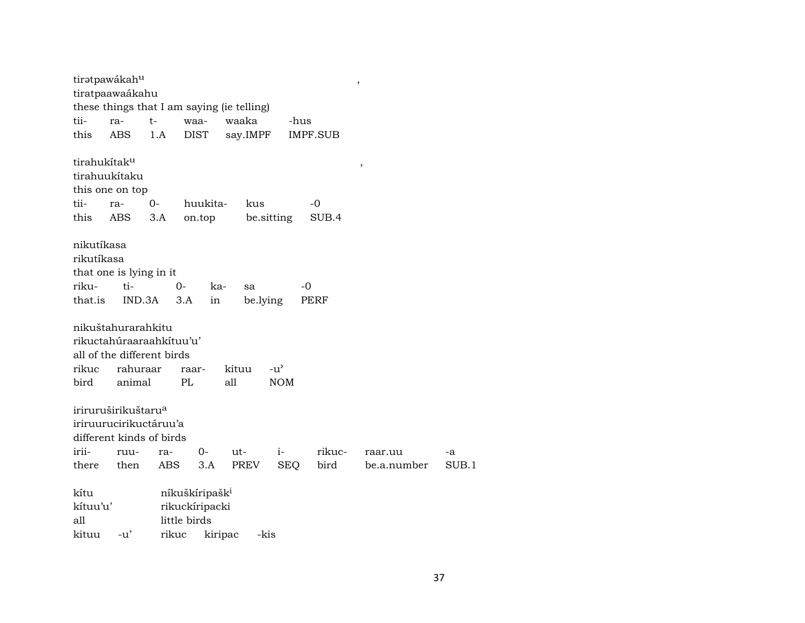|                          | tiratpawákahu                   |       |                            |                                            |               |                 | $\,$        |       |
|--------------------------|---------------------------------|-------|----------------------------|--------------------------------------------|---------------|-----------------|-------------|-------|
|                          | tiratpaawaákahu                 |       |                            |                                            |               |                 |             |       |
|                          |                                 |       |                            | these things that I am saying (ie telling) |               |                 |             |       |
| tii-                     | ra-                             | $t-$  | waa-                       | waaka                                      | -hus          |                 |             |       |
| this                     | <b>ABS</b>                      | 1.A   | <b>DIST</b>                | say.IMPF                                   |               | <b>IMPF.SUB</b> |             |       |
| tirahukítak <sup>u</sup> |                                 |       |                            |                                            |               |                 |             |       |
|                          | tirahuukítaku                   |       |                            |                                            |               |                 | ,           |       |
|                          | this one on top                 |       |                            |                                            |               |                 |             |       |
| tii-                     | ra-                             | $0-$  | huukita-                   | kus                                        |               | -0              |             |       |
| this                     | ABS                             | 3.A   | on.top                     | be sitting                                 |               | SUB.4           |             |       |
|                          |                                 |       |                            |                                            |               |                 |             |       |
| nikutíkasa               |                                 |       |                            |                                            |               |                 |             |       |
| rikutíkasa               |                                 |       |                            |                                            |               |                 |             |       |
|                          | that one is lying in it         |       |                            |                                            |               |                 |             |       |
| riku-                    | ti-                             | $0-$  | ka-                        |                                            | $-0$          |                 |             |       |
| that.is                  | IND.3A                          |       | 3.A                        | sa<br>be.lying                             |               | PERF            |             |       |
|                          |                                 |       | in                         |                                            |               |                 |             |       |
|                          | nikuštahurarahkitu              |       |                            |                                            |               |                 |             |       |
|                          | rikuctahúraaraahkítuu'u'        |       |                            |                                            |               |                 |             |       |
|                          | all of the different birds      |       |                            |                                            |               |                 |             |       |
|                          |                                 |       |                            |                                            |               |                 |             |       |
| rikuc                    | rahuraar                        |       | raar-                      | kituu                                      | $-u^{\prime}$ |                 |             |       |
| bird                     | animal                          |       | PL                         | all                                        | <b>NOM</b>    |                 |             |       |
|                          |                                 |       |                            |                                            |               |                 |             |       |
|                          | iriruruširikuštaru <sup>a</sup> |       |                            |                                            |               |                 |             |       |
|                          | iriruurucirikuctáruu'a          |       |                            |                                            |               |                 |             |       |
|                          | different kinds of birds        |       |                            |                                            |               |                 |             |       |
| irii-                    | ruu-                            | ra-   | 0-                         | ut-                                        | $i-$          | rikuc-          | raar.uu     | -a    |
| there                    | then                            | ABS   | 3.A                        | PREV                                       | <b>SEQ</b>    | bird            | be.a.number | SUB.1 |
| kítu                     |                                 |       | níkuškíripašk <sup>i</sup> |                                            |               |                 |             |       |
| kítuu'u'                 |                                 |       | rikuckíripacki             |                                            |               |                 |             |       |
| all                      |                                 |       | little birds               |                                            |               |                 |             |       |
| kituu                    | $-u'$                           | rikuc | kiripac                    | -kis                                       |               |                 |             |       |
|                          |                                 |       |                            |                                            |               |                 |             |       |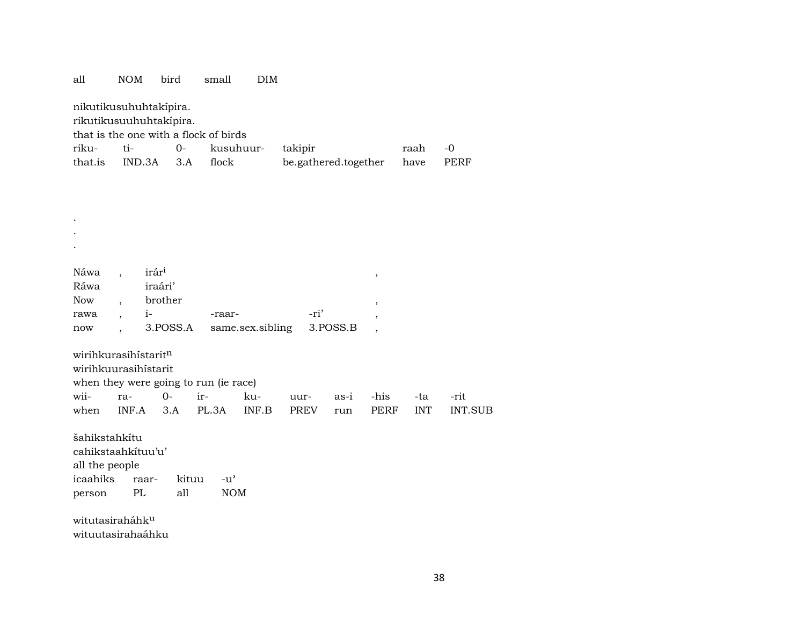| all           | <b>NOM</b>                                                                                 | bird                        | small         | <b>DIM</b>       |                      |          |                          |            |                |  |  |  |
|---------------|--------------------------------------------------------------------------------------------|-----------------------------|---------------|------------------|----------------------|----------|--------------------------|------------|----------------|--|--|--|
|               | nikutikusuhuhtakipira.<br>rikutikusuuhuhtakipira.<br>that is the one with a flock of birds |                             |               |                  |                      |          |                          |            |                |  |  |  |
| riku-         | ti-                                                                                        | $0-$                        | kusuhuur-     |                  | takipir              |          |                          | raah       | $-0$           |  |  |  |
| that.is       | IND.3A                                                                                     | 3.A                         | flock         |                  | be.gathered.together |          |                          | have       | <b>PERF</b>    |  |  |  |
|               |                                                                                            |                             |               |                  |                      |          |                          |            |                |  |  |  |
|               |                                                                                            |                             |               |                  |                      |          |                          |            |                |  |  |  |
|               |                                                                                            |                             |               |                  |                      |          |                          |            |                |  |  |  |
|               |                                                                                            |                             |               |                  |                      |          |                          |            |                |  |  |  |
|               |                                                                                            |                             |               |                  |                      |          |                          |            |                |  |  |  |
|               |                                                                                            |                             |               |                  |                      |          |                          |            |                |  |  |  |
|               |                                                                                            |                             |               |                  |                      |          |                          |            |                |  |  |  |
| Náwa          | irár <sup>i</sup>                                                                          |                             |               |                  |                      |          | $^\mathrm{,}$            |            |                |  |  |  |
|               | Ráwa<br>iraári'<br>brother                                                                 |                             |               |                  |                      |          |                          |            |                |  |  |  |
| <b>Now</b>    |                                                                                            |                             |               |                  |                      |          | $\overline{ }$           |            |                |  |  |  |
| rawa          | $i-$                                                                                       | 3.POSS.A                    | -raar-        | same.sex.sibling | -ri'                 | 3.POSS.B | $\cdot$                  |            |                |  |  |  |
| now           |                                                                                            |                             |               |                  |                      |          | $\overline{\phantom{a}}$ |            |                |  |  |  |
|               | wirihkurasihistaritn                                                                       |                             |               |                  |                      |          |                          |            |                |  |  |  |
|               | wirihkuurasihistarit                                                                       |                             |               |                  |                      |          |                          |            |                |  |  |  |
|               | when they were going to run (ie race)                                                      |                             |               |                  |                      |          |                          |            |                |  |  |  |
| wii-          | ra-                                                                                        | $O -$                       | ir-           | ku-              | uur-                 | as-i     | -his                     | -ta        | -rit           |  |  |  |
| when          | INF.A                                                                                      | 3.A                         | PL.3A         | INF.B            | <b>PREV</b>          | run      | <b>PERF</b>              | <b>INT</b> | <b>INT.SUB</b> |  |  |  |
|               |                                                                                            |                             |               |                  |                      |          |                          |            |                |  |  |  |
| šahikstahkítu |                                                                                            |                             |               |                  |                      |          |                          |            |                |  |  |  |
|               | cahikstaahkituu'u'                                                                         |                             |               |                  |                      |          |                          |            |                |  |  |  |
|               | all the people                                                                             |                             |               |                  |                      |          |                          |            |                |  |  |  |
| icaahiks      | raar-                                                                                      | kituu                       | $-u^{\prime}$ |                  |                      |          |                          |            |                |  |  |  |
| person        | PL                                                                                         | all                         | <b>NOM</b>    |                  |                      |          |                          |            |                |  |  |  |
|               |                                                                                            |                             |               |                  |                      |          |                          |            |                |  |  |  |
|               |                                                                                            | witutasiraháhk <sup>u</sup> |               |                  |                      |          |                          |            |                |  |  |  |

wituutasirahaáhku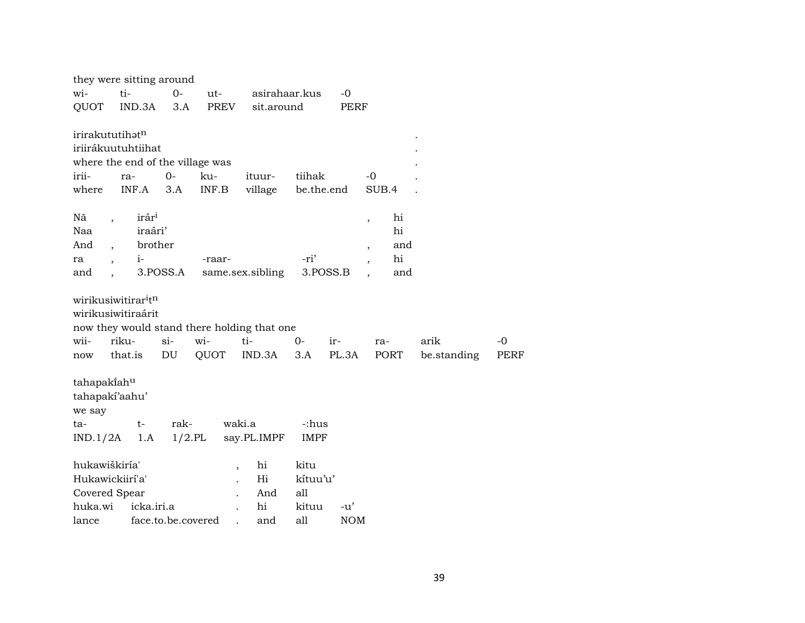| they were sitting around        |                          |                   |                    |                                  |                                             |             |             |                                |      |             |             |
|---------------------------------|--------------------------|-------------------|--------------------|----------------------------------|---------------------------------------------|-------------|-------------|--------------------------------|------|-------------|-------------|
| wi-                             | ti-                      |                   | $0-$               | ut-                              | asirahaar.kus                               |             | $-0$        |                                |      |             |             |
| QUOT                            |                          | IND.3A            | 3.A                | PREV                             | sit.around                                  |             | <b>PERF</b> |                                |      |             |             |
| irirakututihatn                 |                          |                   |                    |                                  |                                             |             |             |                                |      |             |             |
| iriirákuutuhtiihat              |                          |                   |                    |                                  |                                             |             |             |                                |      |             |             |
|                                 |                          |                   |                    | where the end of the village was |                                             |             |             |                                |      |             |             |
| irii-                           |                          | ra-               | $O -$              | ku-                              | ituur-                                      | tiihak      |             | $-0$                           |      |             |             |
| where                           |                          | INF.A             | 3.A                | INF.B                            | village                                     | be.the.end  |             | SUB.4                          |      |             |             |
| Nã                              |                          | irár <sup>i</sup> |                    |                                  |                                             |             |             | hi<br>$\overline{ }$           |      |             |             |
| Naa                             |                          | iraári'           |                    |                                  |                                             |             |             | hi                             |      |             |             |
| And                             | $\overline{\phantom{a}}$ | brother           |                    |                                  |                                             |             |             | $\overline{ }$                 | and  |             |             |
| ra                              | $\overline{\phantom{a}}$ | $i-$              |                    | -raar-                           |                                             | -ri'        |             | hi<br>$\overline{\phantom{a}}$ |      |             |             |
| and                             | $\ddot{\phantom{a}}$     |                   | 3.POSS.A           |                                  | same.sex.sibling                            |             | 3.POSS.B    |                                | and  |             |             |
| wirikusiwitirar <sup>i</sup> tn |                          |                   |                    |                                  |                                             |             |             |                                |      |             |             |
| wirikusiwitiraárit              |                          |                   |                    |                                  |                                             |             |             |                                |      |             |             |
|                                 |                          |                   |                    |                                  | now they would stand there holding that one |             |             |                                |      |             |             |
| wii-                            | riku-                    |                   | $si-$              | wi-                              | ti-                                         | $O -$       | ir-         | ra-                            | arik |             | -0          |
| now                             |                          | that.is           | DU                 | QUOT                             | IND.3A                                      | 3.A         | PL.3A       | PORT                           |      | be.standing | <b>PERF</b> |
| tahapakiahu                     |                          |                   |                    |                                  |                                             |             |             |                                |      |             |             |
| tahapakí'aahu'                  |                          |                   |                    |                                  |                                             |             |             |                                |      |             |             |
| we say                          |                          |                   |                    |                                  |                                             |             |             |                                |      |             |             |
| ta-                             |                          | $t-$              | rak-               |                                  | waki.a                                      | -:hus       |             |                                |      |             |             |
| IND.1/2A                        |                          | 1.A               | $1/2$ .PL          |                                  | say.PL.IMPF                                 | <b>IMPF</b> |             |                                |      |             |             |
| hukawiškiría'                   |                          |                   |                    |                                  | hi<br>$\overline{ }$                        | kitu        |             |                                |      |             |             |
| Hukawickiirí'a'                 |                          |                   |                    |                                  | Hi                                          | kítuu'u'    |             |                                |      |             |             |
| Covered Spear                   |                          |                   |                    |                                  | And                                         | all         |             |                                |      |             |             |
| huka.wi                         |                          | icka.iri.a        |                    |                                  | hi                                          | kituu       | $-u'$       |                                |      |             |             |
| lance                           |                          |                   | face.to.be.covered |                                  | and                                         | all         | <b>NOM</b>  |                                |      |             |             |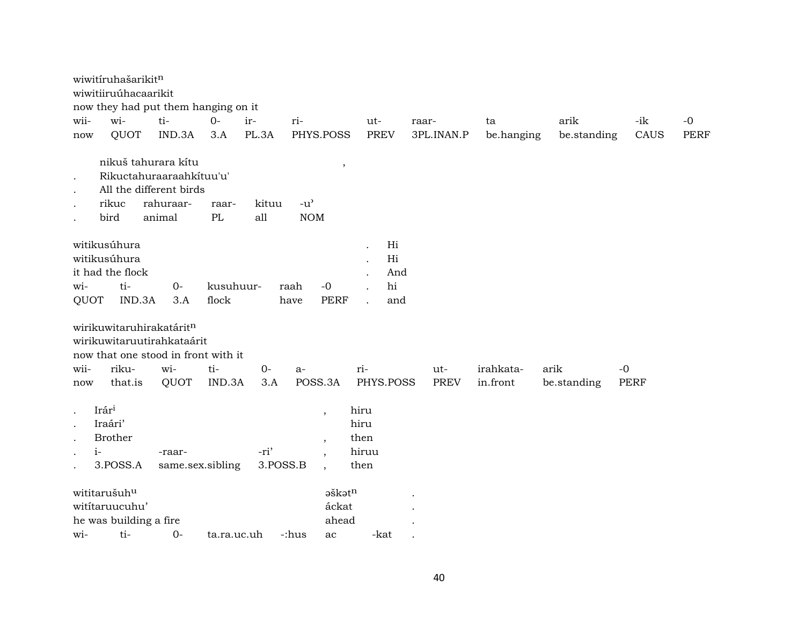|                                                                     | wiwitíruhašarikitn<br>wiwitiiruúhacaarikit                        | now they had put them hanging on it                                                               |                    |                  |                                     |                                       |             |            |             |             |             |
|---------------------------------------------------------------------|-------------------------------------------------------------------|---------------------------------------------------------------------------------------------------|--------------------|------------------|-------------------------------------|---------------------------------------|-------------|------------|-------------|-------------|-------------|
| wii-                                                                | wi-                                                               | ti-                                                                                               | $0-$               | ir-              | ri-                                 | ut-                                   | raar-       | ta         | arik        | -ik         | $-0$        |
| now                                                                 | QUOT                                                              | IND.3A                                                                                            | 3.A                | PL.3A            | PHYS.POSS                           | <b>PREV</b>                           | 3PL.INAN.P  | be.hanging | be.standing | CAUS        | <b>PERF</b> |
| $\bullet$<br>$\bullet$<br>$\bullet$<br>$\ddot{\phantom{a}}$         | rikuc<br>bird                                                     | nikuš tahurara kitu<br>Rikuctahuraaraahkituu'u'<br>All the different birds<br>rahuraar-<br>animal | raar-<br>$\rm PL$  | kituu<br>all     | $\,$<br>$-u^{\prime}$<br><b>NOM</b> |                                       |             |            |             |             |             |
| wi-<br>QUOT                                                         | witikusúhura<br>witikusúhura<br>it had the flock<br>ti-<br>IND.3A | $O -$<br>3.A                                                                                      | kusuhuur-<br>flock |                  | raah<br>$-0$<br><b>PERF</b><br>have | Hi<br>Hi<br>And<br>hi<br>and          |             |            |             |             |             |
|                                                                     |                                                                   | wirikuwitaruhirakatáritn<br>wirikuwitaruutirahkataárit<br>now that one stood in front with it     |                    |                  |                                     |                                       |             |            |             |             |             |
| wii-                                                                | riku-                                                             | wi-                                                                                               | ti-                | $O -$            | a-                                  | ri-                                   | ut-         | irahkata-  | arik        | $-0$        |             |
| now                                                                 | that.is                                                           | QUOT                                                                                              | IND.3A             | 3.A              | POSS.3A                             | PHYS.POSS                             | <b>PREV</b> | in.front   | be.standing | <b>PERF</b> |             |
| $\bullet$<br>$\bullet$<br>$\ddot{\phantom{a}}$<br>$i-$<br>$\bullet$ | Irári<br>Iraári'<br><b>Brother</b><br>3.POSS.A                    | -raar-                                                                                            | same.sex.sibling   | -ri'<br>3.POSS.B | $\overline{\phantom{a}}$<br>$\cdot$ | hiru<br>hiru<br>then<br>hiruu<br>then |             |            |             |             |             |
|                                                                     | wititarušuhu<br>wititaruucuhu'                                    |                                                                                                   |                    |                  | aškatn<br>áckat                     |                                       |             |            |             |             |             |
|                                                                     | he was building a fire<br>ti-                                     | $0 -$                                                                                             |                    |                  | ahead                               |                                       |             |            |             |             |             |
| wi-                                                                 |                                                                   |                                                                                                   | ta.ra.uc.uh        |                  | -:hus<br>ac                         | -kat                                  |             |            |             |             |             |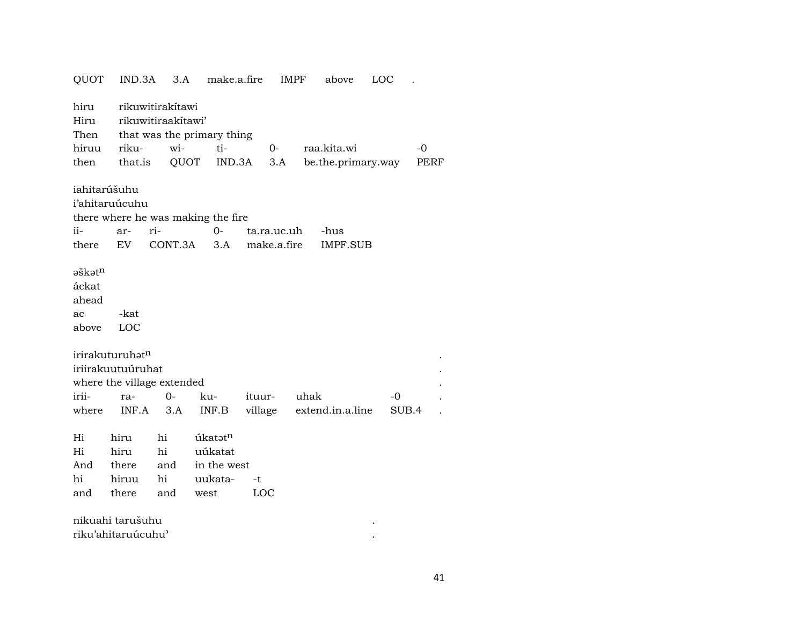| QUOT                                                | IND.3A                                                                                         | 3.A                                                   | make.a.fire                                          |                            | <b>IMPF</b> | above                             | LOC         |              |  |
|-----------------------------------------------------|------------------------------------------------------------------------------------------------|-------------------------------------------------------|------------------------------------------------------|----------------------------|-------------|-----------------------------------|-------------|--------------|--|
| hiru<br>Hiru<br>Then<br>hiruu<br>then               | riku-<br>that.is                                                                               | rikuwitirakítawi<br>rikuwitiraakitawi'<br>wi-<br>QUOT | that was the primary thing<br>ti-<br>IND.3A          | 0-                         | 3.A         | raa.kita.wi<br>be.the.primary.way |             | $-0$<br>PERF |  |
| iahitarúšuhu<br>ii-<br>there                        | i'ahitaruúcuhu<br>ar-<br>EV                                                                    | ri-<br>CONT.3A                                        | there where he was making the fire<br>$0-$<br>3.A    | ta.ra.uc.uh<br>make.a.fire |             | -hus<br><b>IMPF.SUB</b>           |             |              |  |
| əškət <sup>n</sup><br>áckat<br>ahead<br>ac<br>above | -kat<br>LOC                                                                                    |                                                       |                                                      |                            |             |                                   |             |              |  |
| irii-<br>where                                      | irirakuturuhat <sup>n</sup><br>iriirakuutuúruhat<br>where the village extended<br>ra-<br>INF.A | $O -$<br>3.A                                          | ku-<br>INF.B                                         | ituur-<br>village          | uhak        | extend.in.a.line                  | -0<br>SUB.4 |              |  |
| Hi<br>Hi<br>And<br>hi<br>and                        | hiru<br>hiru<br>there<br>hiruu<br>there                                                        | hi<br>hi<br>and<br>hi<br>and                          | úkatatn<br>uúkatat<br>in the west<br>uukata-<br>west | -t<br>LOC                  |             |                                   |             |              |  |
|                                                     | nikuahi tarušuhu<br>riku'ahitaruúcuhu'                                                         |                                                       |                                                      |                            |             |                                   |             |              |  |

41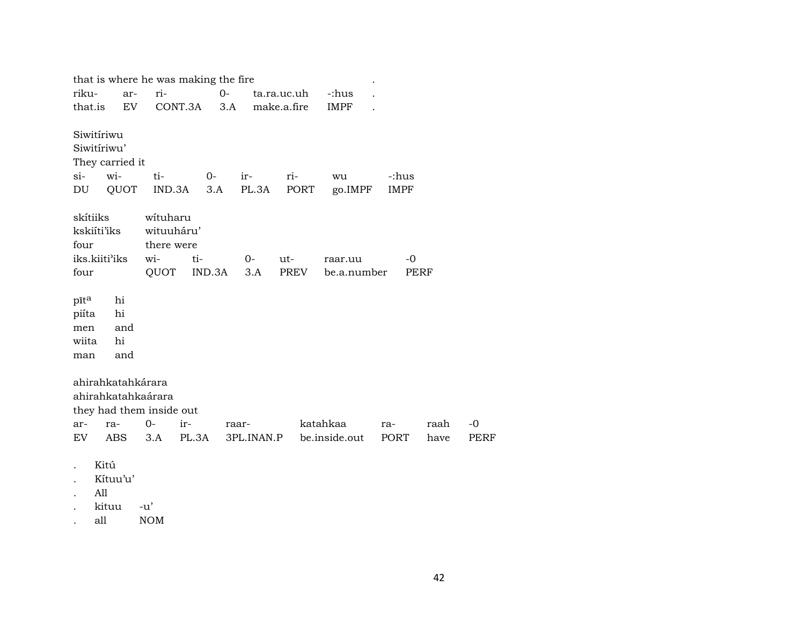|                                                          |                                                       | that is where he was making the fire                                                                                                                                                                                                                                                                                                                                                                                                                                                                                  |             |                     |             |                           |                      |              |
|----------------------------------------------------------|-------------------------------------------------------|-----------------------------------------------------------------------------------------------------------------------------------------------------------------------------------------------------------------------------------------------------------------------------------------------------------------------------------------------------------------------------------------------------------------------------------------------------------------------------------------------------------------------|-------------|---------------------|-------------|---------------------------|----------------------|--------------|
| riku-                                                    | ar-                                                   | ri-                                                                                                                                                                                                                                                                                                                                                                                                                                                                                                                   | $O -$       |                     | ta.ra.uc.uh | -:hus                     |                      |              |
| that.is                                                  | EV.                                                   | CONT.3A 3.A make.a.fire                                                                                                                                                                                                                                                                                                                                                                                                                                                                                               |             |                     |             | IMPF                      |                      |              |
| Siwitíriwu<br>Siwitíriwu'<br>si-                         | They carried it<br>wi-<br>DU QUOT                     | ti-<br>IND.3A                                                                                                                                                                                                                                                                                                                                                                                                                                                                                                         | $0-$<br>3.A | ir-<br>PL.3A        | ri-<br>PORT | wu<br>go.IMPF             | -:hus<br><b>IMPF</b> |              |
| skítiiks<br>kskiíti'iks<br>four<br>iks.kiiti'iks<br>four |                                                       | wituharu<br>wituuháru'<br>there were<br>wi-<br>$\overline{\text{t}}$ $\overline{\text{t}}$ $\overline{\text{t}}$ $\overline{\text{t}}$ $\overline{\text{t}}$ $\overline{\text{t}}$ $\overline{\text{t}}$ $\overline{\text{t}}$ $\overline{\text{t}}$ $\overline{\text{t}}$ $\overline{\text{t}}$ $\overline{\text{t}}$ $\overline{\text{t}}$ $\overline{\text{t}}$ $\overline{\text{t}}$ $\overline{\text{t}}$ $\overline{\text{t}}$ $\overline{\text{t}}$ $\overline{\text{t}}$ $\overline{\text{t}}$<br>QUOT IND.3A |             | $0-$<br>3.A         | ut-<br>PREV | raar.uu<br>be.a.number    | -0<br>PERF           |              |
| pīta<br>piíta<br>men<br>wiita<br>man                     | hi<br>hi<br>and<br>hi<br>and                          |                                                                                                                                                                                                                                                                                                                                                                                                                                                                                                                       |             |                     |             |                           |                      |              |
| ar-<br>EV                                                | ahirahkatahkárara<br>ahirahkatahkaárara<br>ra-<br>ABS | they had them inside out<br>$0-$<br>ir-<br>PL.3A<br>3.A                                                                                                                                                                                                                                                                                                                                                                                                                                                               |             | raar-<br>3PL.INAN.P |             | katahkaa<br>be.inside.out | ra-<br>PORT          | raah<br>have |

- Kitú  $\mathcal{L}^{\pm}$
- Kítuu'u'  $\ddot{\phantom{a}}$
- $All$  $\ddot{\phantom{a}}$
- kituu -u'  $\ddot{\phantom{a}}$
- $\mathop{\rm all}\nolimits$  $\rm{NOM}$  $\bullet$

 $-0$ PERF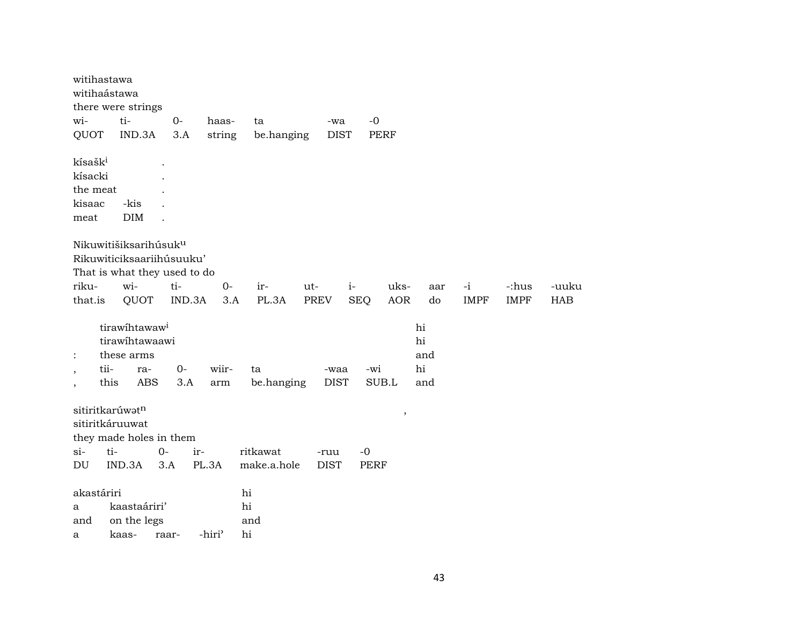|                          | witihastawa         | witihaástawa<br>there were strings |                                   |                             |             |             |             |        |     |             |             |            |
|--------------------------|---------------------|------------------------------------|-----------------------------------|-----------------------------|-------------|-------------|-------------|--------|-----|-------------|-------------|------------|
| wi-                      |                     | ti-                                | $0-$                              | haas-                       | ta          | -wa         | $-0$        |        |     |             |             |            |
| QUOT                     |                     | IND.3A                             | 3.A                               | string                      | be.hanging  | <b>DIST</b> |             | PERF   |     |             |             |            |
|                          | kísašk <sup>i</sup> |                                    |                                   |                             |             |             |             |        |     |             |             |            |
|                          | kísacki             |                                    |                                   |                             |             |             |             |        |     |             |             |            |
|                          | the meat            |                                    |                                   |                             |             |             |             |        |     |             |             |            |
| kisaac                   |                     | -kis<br><b>DIM</b>                 |                                   |                             |             |             |             |        |     |             |             |            |
| meat                     |                     |                                    |                                   |                             |             |             |             |        |     |             |             |            |
|                          |                     |                                    | Nikuwitišiksarihúsuk <sup>u</sup> |                             |             |             |             |        |     |             |             |            |
|                          |                     |                                    | Rikuwiticiksaariihúsuuku'         |                             |             |             |             |        |     |             |             |            |
|                          |                     |                                    | That is what they used to do      |                             |             |             |             |        |     |             |             |            |
| riku-                    |                     | wi-                                | ti-                               | $O -$                       | ir-         | ut-         | $i-$        | uks-   | aar | $-i$        | -:hus       | -uuku      |
| that.is                  |                     | QUOT                               | IND.3A                            | 3.A                         | PL.3A       | PREV        | <b>SEQ</b>  | AOR    | do  | <b>IMPF</b> | <b>IMPF</b> | <b>HAB</b> |
|                          |                     | tirawihtawaw <sup>i</sup>          |                                   |                             |             |             |             |        | hi  |             |             |            |
|                          |                     | tirawihtawaawi                     |                                   |                             |             |             |             |        | hi  |             |             |            |
| $\ddot{\cdot}$           |                     | these arms                         |                                   |                             |             |             |             |        | and |             |             |            |
|                          | tii-                | ra-                                | $0-$                              | wiir-                       | ta          | -waa        | -wi         |        | hi  |             |             |            |
| $\overline{\phantom{a}}$ | this                | <b>ABS</b>                         | 3.A                               | $\mathop{\rm arm}\nolimits$ | be.hanging  | <b>DIST</b> |             | SUB.L  | and |             |             |            |
|                          |                     |                                    |                                   |                             |             |             |             |        |     |             |             |            |
|                          |                     | sitiritkarúwatn<br>sitiritkáruuwat |                                   |                             |             |             |             | $\, ,$ |     |             |             |            |
|                          |                     |                                    | they made holes in them           |                             |             |             |             |        |     |             |             |            |
| si-                      | ti-                 |                                    | $0-$                              | ir-                         | ritkawat    | -ruu        | $-0$        |        |     |             |             |            |
| DU                       |                     | IND.3A                             | 3.A                               | PL.3A                       | make.a.hole | <b>DIST</b> | <b>PERF</b> |        |     |             |             |            |
|                          |                     |                                    |                                   |                             |             |             |             |        |     |             |             |            |
|                          | akastáriri          |                                    |                                   |                             | hi          |             |             |        |     |             |             |            |
| a                        |                     | kaastaáriri'                       |                                   |                             | hi          |             |             |        |     |             |             |            |
| and                      |                     | on the legs                        |                                   |                             | and         |             |             |        |     |             |             |            |
| a                        |                     | kaas-                              | raar-                             | -hiri <sup>3</sup>          | hi          |             |             |        |     |             |             |            |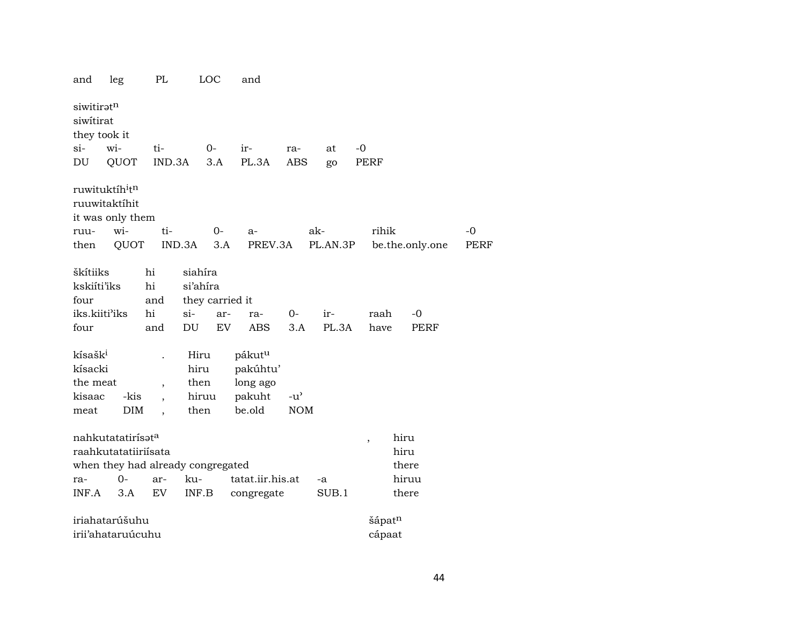| and                                                          | leg                                                                                        | PL                                               | LOC                                              |       | and                                                            |                     |      |          |                          |                  |                 |             |
|--------------------------------------------------------------|--------------------------------------------------------------------------------------------|--------------------------------------------------|--------------------------------------------------|-------|----------------------------------------------------------------|---------------------|------|----------|--------------------------|------------------|-----------------|-------------|
| siwitiratn<br>siwitirat<br>they took it                      |                                                                                            |                                                  |                                                  |       |                                                                |                     |      |          |                          |                  |                 |             |
| $\sin$                                                       | wi-                                                                                        | ti-                                              | $0-$                                             |       | ir-                                                            | ra-                 |      | at       | $-0$                     |                  |                 |             |
| DU                                                           | QUOT                                                                                       | IND.3A                                           |                                                  | 3.A   | PL.3A                                                          | <b>ABS</b>          |      | go       | PERF                     |                  |                 |             |
|                                                              | ruwituktíh <sup>i</sup> t <sup>n</sup><br>ruuwitaktíhit<br>it was only them                |                                                  |                                                  |       |                                                                |                     |      |          |                          |                  |                 |             |
| ruu-                                                         | wi-                                                                                        | ti-                                              |                                                  | $O -$ | $a-$                                                           |                     | ak-  |          |                          | rihik            |                 | $-0$        |
| then                                                         | QUOT                                                                                       |                                                  | IND.3A                                           | 3.A   | PREV.3A                                                        |                     |      | PL.AN.3P |                          |                  | be.the.only.one | <b>PERF</b> |
| škítiiks<br>kskiíti'iks<br>four<br>iks.kiiti'iks             |                                                                                            | hi<br>hi<br>and<br>hi                            | siahíra<br>si'ahira<br>they carried it<br>$si$ - | ar-   | ra-                                                            | 0-                  |      | ir-      | raah                     |                  | -0              |             |
| four                                                         |                                                                                            | and                                              | DU                                               | EV    | <b>ABS</b>                                                     | 3.A                 |      | PL.3A    | have                     |                  | PERF            |             |
| kísašk <sup>i</sup><br>kísacki<br>the meat<br>kisaac<br>meat | -kis<br><b>DIM</b>                                                                         | $\overline{\phantom{a}}$<br>$\ddot{\phantom{0}}$ | Hiru<br>hiru<br>then<br>hiruu<br>then            |       | pákut <sup>u</sup><br>pakúhtu'<br>long ago<br>pakuht<br>be.old | $-u'$<br><b>NOM</b> |      |          |                          |                  |                 |             |
|                                                              | nahkutatatirísət <sup>a</sup><br>raahkutatatiiriisata<br>when they had already congregated |                                                  |                                                  |       |                                                                |                     |      |          | $\overline{\phantom{a}}$ | hiru             | hiru<br>there   |             |
| ra-                                                          | $0-$                                                                                       | ar-                                              | ku-                                              |       | tatat.iir.his.at                                               |                     | $-a$ |          |                          |                  | hiruu           |             |
| INF.A                                                        | 3.A                                                                                        | EV                                               | INF.B                                            |       | congregate                                                     |                     |      | SUB.1    |                          |                  | there           |             |
|                                                              | iriahatarúšuhu<br>irii'ahataruúcuhu                                                        |                                                  |                                                  |       |                                                                |                     |      |          |                          | šápatn<br>cápaat |                 |             |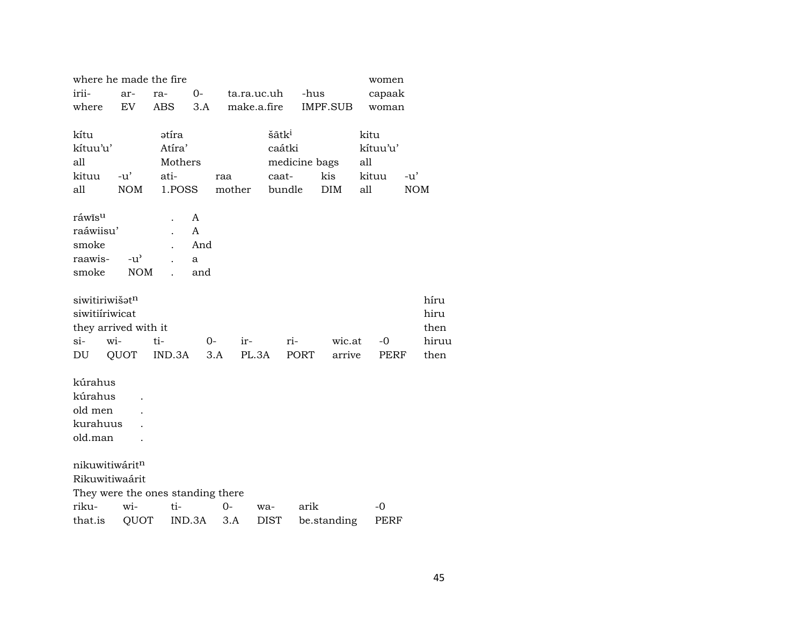| where he made the fire            |               |         |        |        |                   |               |                 | women       |            |
|-----------------------------------|---------------|---------|--------|--------|-------------------|---------------|-----------------|-------------|------------|
| irii-                             | ar-           | ra-     | $0-$   |        | ta.ra.uc.uh       | -hus          |                 | capaak      |            |
| where                             | EV            | ABS     | 3.A    |        | make.a.fire       |               | <b>IMPF.SUB</b> | woman       |            |
|                                   |               |         |        |        |                   |               |                 |             |            |
| kítu                              |               | ətíra   |        |        | šãtk <sup>i</sup> |               |                 | kitu        |            |
| kítuu'u'                          |               | Atíra'  |        |        | caátki            |               |                 | kítuu'u'    |            |
| all                               |               | Mothers |        |        |                   | medicine bags |                 | all         |            |
| kituu                             | $-u'$         | ati-    |        | raa    | caat-             |               | kis             | kituu       | $-u'$      |
| all                               | <b>NOM</b>    | 1.POSS  |        | mother | bundle            |               | <b>DIM</b>      | all         | <b>NOM</b> |
| ráwĩs <sup>u</sup>                |               |         | A      |        |                   |               |                 |             |            |
| raáwiisu'                         |               |         | A      |        |                   |               |                 |             |            |
| smoke                             |               |         | And    |        |                   |               |                 |             |            |
| raawis-                           | $-u^{\prime}$ |         | a      |        |                   |               |                 |             |            |
| smoke                             | <b>NOM</b>    |         | and    |        |                   |               |                 |             |            |
|                                   |               |         |        |        |                   |               |                 |             |            |
| siwitiriwišat <sup>n</sup>        |               |         |        |        |                   |               |                 |             | híru       |
| siwitiiriwicat                    |               |         |        |        |                   |               |                 |             | hiru       |
| they arrived with it              |               |         |        |        |                   |               |                 |             | then       |
| si-                               | wi-           | ti-     | 0-     | ir-    |                   | ri-           | wic.at          | $-0$        | hiruu      |
| DU                                | QUOT          | IND.3A  | 3.A    |        | PL.3A             | PORT          | arrive          | <b>PERF</b> | then       |
|                                   |               |         |        |        |                   |               |                 |             |            |
| kúrahus                           |               |         |        |        |                   |               |                 |             |            |
| kúrahus                           |               |         |        |        |                   |               |                 |             |            |
| old men                           |               |         |        |        |                   |               |                 |             |            |
| kurahuus                          |               |         |        |        |                   |               |                 |             |            |
| old.man                           |               |         |        |        |                   |               |                 |             |            |
|                                   |               |         |        |        |                   |               |                 |             |            |
| nikuwitiwáritn                    |               |         |        |        |                   |               |                 |             |            |
| Rikuwitiwaárit                    |               |         |        |        |                   |               |                 |             |            |
| They were the ones standing there |               |         |        |        |                   |               |                 |             |            |
| riku-                             | wi-           | ti-     |        | $0-$   | wa-               | arik          |                 | -0          |            |
| that.is                           | QUOT          |         | IND.3A | 3.A    | DIST              |               | be.standing     | PERF        |            |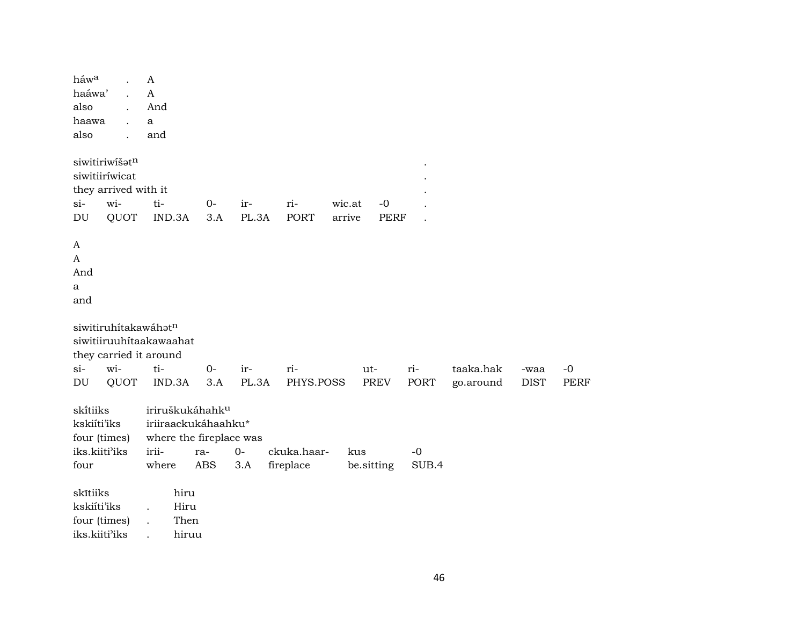$h$ áw $a$  $\mathbf{A}$ haáwa'  $\overline{A}$  $\ddot{\phantom{a}}$ also And  $\mathbf{r}$ haawa  $\mathbf{a}$  $\ddot{\phantom{a}}$ also and  $\cdot$ siwitiriwišat<sup>n</sup> siwitiiríwicat  $\ddot{\phantom{a}}$ they arrived with it  $\overline{a}$ wi $ti 0$  $si$ irriwic.at  $-<sup>0</sup>$  $\ddot{\phantom{a}}$ **OUOT** IND.3A  $3.A$ **DU** PL.3A **PORT** arrive **PERF**  $\ddot{\phantom{a}}$  $\mathbf{A}$  $\mathbf{A}$ And  $\mathbf{a}$ and siwitiruhítakawáhatn siwitiiruuhitaakawaahat they carried it around  $0$ ritaaka.hak  $si$ witiirri- $-0$  $ut-$ -waa QUOT IND.3A  $3.A$ PL.3A PHYS.POSS **PORT PERF**  $DU$ **PREV** go.around **DIST** skítiiks iriruškukáhahk<sup>u</sup> kskiíti'iks iriiraackukáhaahku\* four (times) where the fireplace was iks.kiiti'iks irii- $0$ ckuka.haarkus  $-0$ rafour where ABS  $3.A$ fireplace be.sitting SUB.4 skītiiks hiru kskiíti'iks Hiru  $\ddot{\phantom{a}}$ four (times) Then  $\ddot{\phantom{a}}$ iks.kiiti'iks hiruu  $\ddot{\phantom{a}}$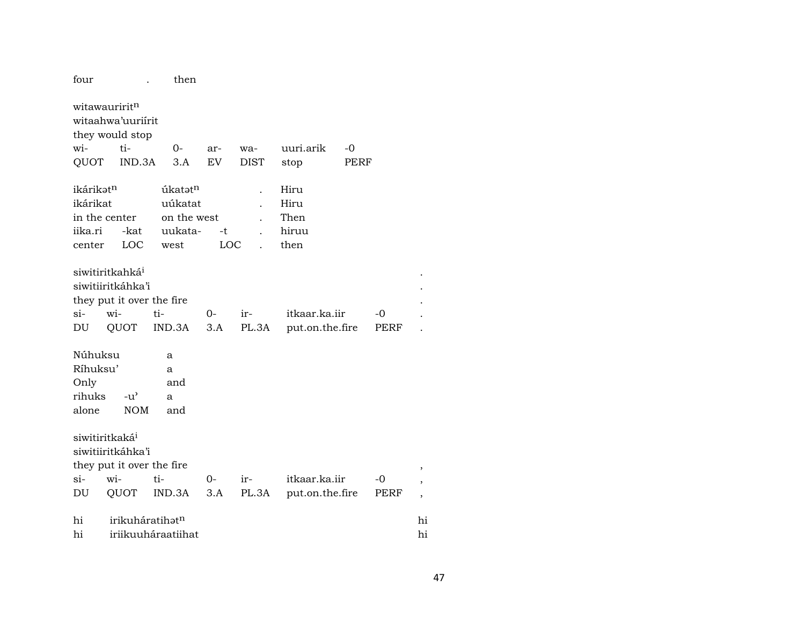| four                  |                                                                   | then                |            |             |                 |      |             |                               |
|-----------------------|-------------------------------------------------------------------|---------------------|------------|-------------|-----------------|------|-------------|-------------------------------|
|                       | witawauririt <sup>n</sup><br>witaahwa'uuriirit<br>they would stop |                     |            |             |                 |      |             |                               |
| wi-                   | ti-                                                               | $0-$                | ar-        | wa-         | uuri.arik       | $-0$ |             |                               |
| QUOT                  | IND.3A                                                            | 3.A                 | EV         | <b>DIST</b> | stop            | PERF |             |                               |
| ikárikət <sup>n</sup> |                                                                   | úkatət <sup>n</sup> |            |             | Hiru            |      |             |                               |
| ikárikat              |                                                                   | uúkatat             |            |             | Hiru            |      |             |                               |
|                       | in the center                                                     | on the west         |            |             | Then            |      |             |                               |
| iika.ri               | -kat                                                              | uukata-             | $-t$       |             | hiruu           |      |             |                               |
| center                | LOC                                                               | west                | <b>LOC</b> |             | then            |      |             |                               |
|                       |                                                                   |                     |            |             |                 |      |             |                               |
|                       | siwitiritkahká <sup>i</sup>                                       |                     |            |             |                 |      |             |                               |
|                       | siwitiiritkáhka'i                                                 |                     |            |             |                 |      |             |                               |
|                       | they put it over the fire                                         |                     |            |             |                 |      |             |                               |
| $\sin$                | wi-                                                               | ti-                 | $0-$       | ir-         | itkaar.ka.iir   |      | -0          |                               |
| DU                    | QUOT                                                              | IND.3A              | 3.A        | PL.3A       | put.on.the.fire |      | PERF        |                               |
|                       |                                                                   |                     |            |             |                 |      |             |                               |
| Núhuksu               |                                                                   | a                   |            |             |                 |      |             |                               |
| Ríhuksu'              |                                                                   | a                   |            |             |                 |      |             |                               |
| Only                  |                                                                   | and                 |            |             |                 |      |             |                               |
| rihuks                | $-u^{\prime}$                                                     | a                   |            |             |                 |      |             |                               |
| alone                 | <b>NOM</b>                                                        | and                 |            |             |                 |      |             |                               |
|                       | siwitiritkaká <sup>i</sup>                                        |                     |            |             |                 |      |             |                               |
|                       | siwitiiritkáhka'i                                                 |                     |            |             |                 |      |             |                               |
|                       | they put it over the fire                                         |                     |            |             |                 |      |             |                               |
| $\sin$                | wi-                                                               | ti-                 | 0-         | ir-         | itkaar.ka.iir   |      | -0          | ,<br>$\overline{\phantom{a}}$ |
| DU                    | QUOT                                                              | IND.3A              | 3.A        | PL.3A       | put.on.the.fire |      | <b>PERF</b> |                               |
|                       |                                                                   |                     |            |             |                 |      |             | $\overline{ }$                |
| hi                    | irikuháratihatn                                                   |                     |            |             |                 |      |             | hi                            |
| hi                    |                                                                   | iriikuuháraatiihat  |            |             |                 |      |             | hi                            |
|                       |                                                                   |                     |            |             |                 |      |             |                               |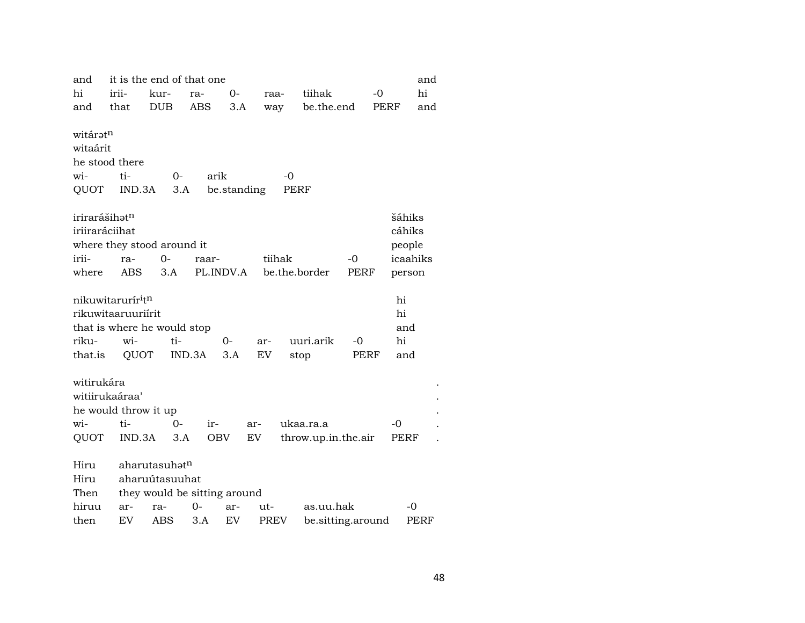| and                       |                               | it is the end of that one    |        |             |             |        |                     |      |          | and  |
|---------------------------|-------------------------------|------------------------------|--------|-------------|-------------|--------|---------------------|------|----------|------|
| hi                        | irii-                         | kur-                         | ra-    | 0-          | raa-        |        | tiihak              |      | $-0$     | hi   |
| and                       | that                          | <b>DUB</b>                   | ABS    | 3.A         | way         |        | be.the.end          |      | PERF     | and  |
| witáratn                  |                               |                              |        |             |             |        |                     |      |          |      |
| witaárit                  |                               |                              |        |             |             |        |                     |      |          |      |
|                           | he stood there                |                              |        |             |             |        |                     |      |          |      |
| wi-                       | ti-                           | 0-                           | arik   |             |             | -0     |                     |      |          |      |
| QUOT                      | IND.3A                        | 3.A                          |        | be.standing |             | PERF   |                     |      |          |      |
| irirarášihat <sup>n</sup> |                               |                              |        |             |             |        |                     |      | šáhiks   |      |
| iriiraráciihat            |                               |                              |        |             |             |        |                     |      | cáhiks   |      |
|                           |                               | where they stood around it   |        |             |             |        |                     |      | people   |      |
| irii-                     | ra-                           | $0-$                         | raar-  |             |             | tiihak |                     | $-0$ | icaahiks |      |
| where                     | ABS                           | 3.A                          |        | PL.INDV.A   |             |        | be.the.border       | PERF | person   |      |
|                           | nikuwitarurír <sup>i</sup> tn |                              |        |             |             |        |                     |      | hi       |      |
|                           | rikuwitaaruuriirit            |                              |        |             |             |        |                     |      | hi       |      |
|                           |                               | that is where he would stop  |        |             |             |        |                     |      | and      |      |
| riku-                     | wi-                           | ti-                          |        | 0-          | ar-         |        | uuri.arik           | -0   | hi       |      |
| that.is                   | QUOT                          |                              | IND.3A | 3.A         | EV          | stop   |                     | PERF | and      |      |
| witirukára                |                               |                              |        |             |             |        |                     |      |          |      |
| witiirukaáraa'            |                               |                              |        |             |             |        |                     |      |          |      |
|                           | he would throw it up          |                              |        |             |             |        |                     |      |          |      |
| wi-                       | ti-                           | $0-$                         | ir-    |             | ar-         |        | ukaa.ra.a           |      | -0       |      |
| QUOT                      | IND.3A                        | 3.A                          |        | OBV         | EV          |        | throw.up.in.the.air |      | PERF     |      |
| Hiru                      |                               | aharutasuhat <sup>n</sup>    |        |             |             |        |                     |      |          |      |
| Hiru                      |                               | aharuútasuuhat               |        |             |             |        |                     |      |          |      |
| Then                      |                               | they would be sitting around |        |             |             |        |                     |      |          |      |
| hiruu                     | ar-                           | ra-                          | 0-     | ar-         | ut-         |        | as.uu.hak           |      |          | -0   |
| then                      | EV                            | ABS                          | 3.A    | EV          | <b>PREV</b> |        | be.sitting.around   |      |          | PERF |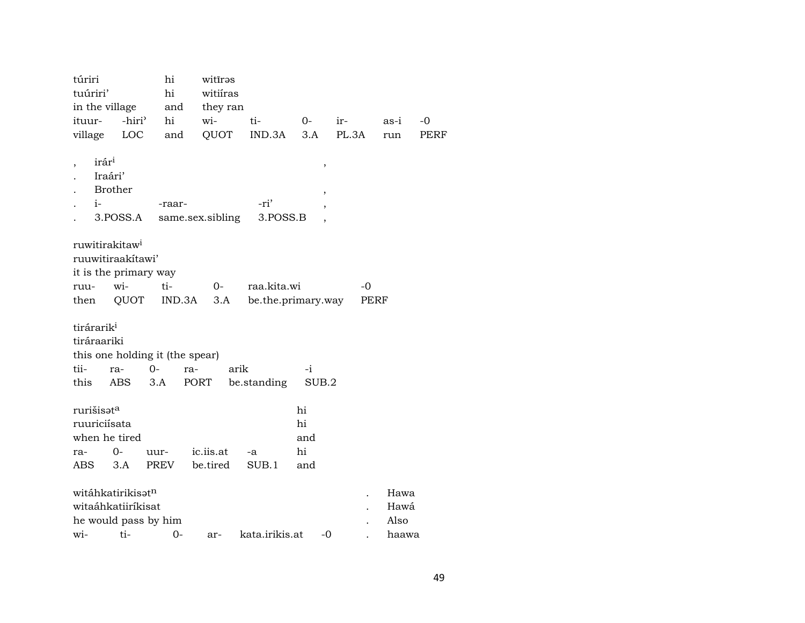| túriri<br>tuúriri'                                                                       |                     | hi<br>hi     | witīrəs<br>witiíras   |                    |                              |       |                               |      |
|------------------------------------------------------------------------------------------|---------------------|--------------|-----------------------|--------------------|------------------------------|-------|-------------------------------|------|
| in the village                                                                           |                     | and          | they ran              |                    |                              |       |                               |      |
| ituur-                                                                                   | -hiri'              | hi           | wi-                   | ti-                | $0-$                         | ir-   | as-i                          | -0   |
| village                                                                                  | <b>LOC</b>          | and          | QUOT                  | IND.3A             | 3.A                          | PL.3A | run                           | PERF |
| irár <sup>i</sup><br>Iraári'<br><b>Brother</b><br>$i-$                                   | 3.POSS.A            | -raar-       | same.sex.sibling      | -ri'<br>3.POSS.B   | ,<br>,                       |       |                               |      |
| ruwitirakitaw <sup>i</sup><br>ruuwitiraakitawi'<br>it is the primary way                 |                     |              |                       |                    |                              |       |                               |      |
| ruu-                                                                                     | wi-                 | ti-          | $0-$                  | raa.kita.wi        |                              | -0    |                               |      |
| then                                                                                     | QUOT                | IND.3A       | 3.A                   | be.the.primary.way |                              | PERF  |                               |      |
| tirárarik <sup>i</sup><br>tiráraariki<br>this one holding it (the spear)<br>tii-<br>this | $O -$<br>ra-<br>ABS | ra-<br>3.A   | arik<br>PORT          | be.standing        | -i<br>SUB.2                  |       |                               |      |
| rurišisət <sup>a</sup><br>ruuriciísata<br>when he tired<br>ra-<br>ABS                    | $O -$<br>3.A        | uur-<br>PREV | ic.iis.at<br>be.tired | -a<br>SUB.1        | hi<br>hi<br>and<br>hi<br>and |       |                               |      |
| witáhkatirikisət <sup>n</sup><br>witaáhkatiiríkisat<br>he would pass by him              | wi- ti- 0-          |              | ar-                   | kata irikis at     | $-()$                        |       | Hawa<br>Hawá<br>Also<br>haawa |      |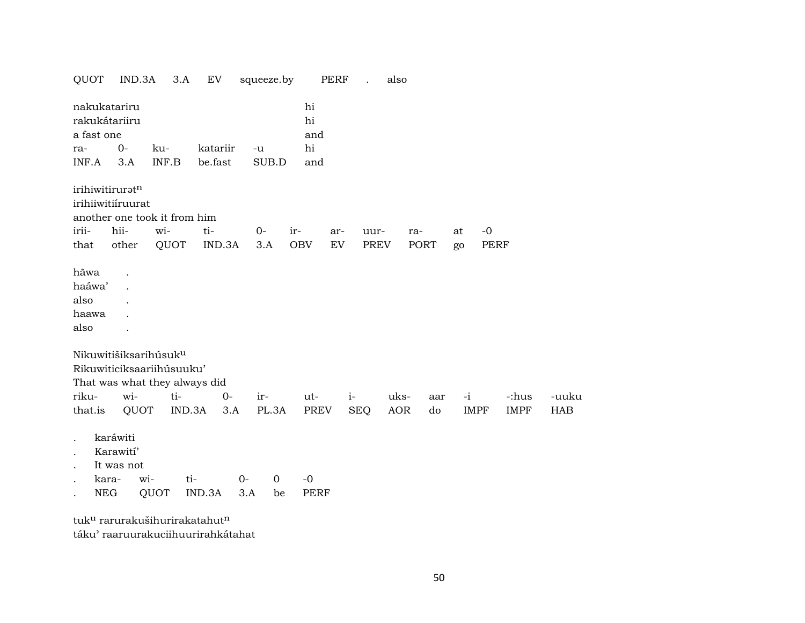| QUOT                                                                                                                | IND.3A                                                     |              | 3.A           | EV                  |             | squeeze.by        |                              | PERF       |                    | also        |             |          |                     |                      |                     |
|---------------------------------------------------------------------------------------------------------------------|------------------------------------------------------------|--------------|---------------|---------------------|-------------|-------------------|------------------------------|------------|--------------------|-------------|-------------|----------|---------------------|----------------------|---------------------|
| nakukatariru<br>rakukátariiru<br>a fast one<br>ra-<br>INF.A                                                         | $0-$<br>3.A                                                | ku-<br>INF.B |               | katariir<br>be.fast | $-u$        | SUB.D             | hi<br>hi<br>and<br>hi<br>and |            |                    |             |             |          |                     |                      |                     |
| irihiwitiruratn<br>irihiiwitiíruurat<br>irii-<br>that                                                               | another one took it from him<br>hii-<br>other              | wi-          | QUOT          | ti-<br>IND.3A       | $0-$        | 3.A               | ir-<br><b>OBV</b>            | ar-<br>EV. | uur-<br>PREV       |             | ra-<br>PORT | at<br>go | $-0$<br><b>PERF</b> |                      |                     |
| hãwa<br>haáwa'<br>also<br>haawa<br>also                                                                             |                                                            |              |               |                     |             |                   |                              |            |                    |             |             |          |                     |                      |                     |
| Nikuwitišiksarihúsuk <sup>u</sup><br>Rikuwiticiksaariihúsuuku'<br>That was what they always did<br>riku-<br>that.is | wi-                                                        | QUOT         | ti-<br>IND.3A | $0-$<br>3.A         | ir-         | PL.3A             | ut-<br>PREV                  |            | $i-$<br><b>SEQ</b> | uks-<br>AOR | aar<br>do   | $-i$     | <b>IMPF</b>         | -:hus<br><b>IMPF</b> | -uuku<br><b>HAB</b> |
| $\ddot{\phantom{0}}$                                                                                                | karáwiti<br>Karawití'<br>It was not<br>kara-<br><b>NEG</b> | wi-<br>QUOT  | ti-           | IND.3A              | $0-$<br>3.A | $\mathbf 0$<br>be | $-0$<br><b>PERF</b>          |            |                    |             |             |          |                     |                      |                     |

tuk<sup>u</sup> rarurakušihurirakatahut<sup>n</sup> táku" raaruurakuciihuurirahkátahat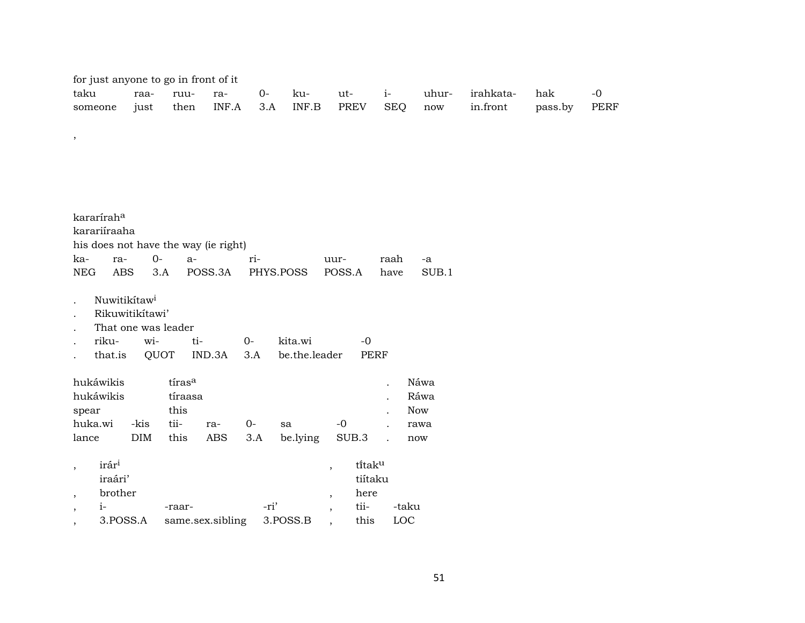| for just anyone to go in front of it |                     |                  |         |           |               |                          |             |            |                      |           |         |             |
|--------------------------------------|---------------------|------------------|---------|-----------|---------------|--------------------------|-------------|------------|----------------------|-----------|---------|-------------|
| taku                                 | raa-                | ruu-             | ra-     | $0 -$     | ku-           | ut-                      | $i-$        |            | uhur-                | irahkata- | hak     | $-0$        |
| someone                              | just                | then             | INF.A   | 3.A       | INF.B         | PREV                     |             | <b>SEQ</b> | $\operatorname{now}$ | in.front  | pass.by | <b>PERF</b> |
|                                      |                     |                  |         |           |               |                          |             |            |                      |           |         |             |
| $\,$                                 |                     |                  |         |           |               |                          |             |            |                      |           |         |             |
|                                      |                     |                  |         |           |               |                          |             |            |                      |           |         |             |
|                                      |                     |                  |         |           |               |                          |             |            |                      |           |         |             |
|                                      |                     |                  |         |           |               |                          |             |            |                      |           |         |             |
|                                      |                     |                  |         |           |               |                          |             |            |                      |           |         |             |
| kararírah <sup>a</sup>               |                     |                  |         |           |               |                          |             |            |                      |           |         |             |
| karariíraaha                         |                     |                  |         |           |               |                          |             |            |                      |           |         |             |
| his does not have the way (ie right) |                     |                  |         |           |               |                          |             |            |                      |           |         |             |
| ka-<br>ra-                           | $0-$                | $a-$             |         | ri-       |               | uur-                     | raah        |            | $-a$                 |           |         |             |
| <b>NEG</b><br><b>ABS</b>             | 3.A                 |                  | POSS.3A | PHYS.POSS |               | POSS.A                   | have        |            | SUB.1                |           |         |             |
|                                      |                     |                  |         |           |               |                          |             |            |                      |           |         |             |
| Nuwitikitaw <sup>i</sup>             | Rikuwitikitawi'     |                  |         |           |               |                          |             |            |                      |           |         |             |
|                                      | That one was leader |                  |         |           |               |                          |             |            |                      |           |         |             |
| riku-                                | wi-                 | ti-              |         | $0-$      | kita.wi       |                          | $-0$        |            |                      |           |         |             |
| that.is                              | QUOT                |                  | IND.3A  | 3.A       | be.the.leader |                          | <b>PERF</b> |            |                      |           |         |             |
|                                      |                     |                  |         |           |               |                          |             |            |                      |           |         |             |
| hukáwikis                            |                     | tírasa           |         |           |               |                          |             |            | Náwa                 |           |         |             |
| hukáwikis                            |                     | tíraasa          |         |           |               |                          |             |            | Ráwa                 |           |         |             |
| spear                                |                     | this             |         |           |               |                          |             |            | Now                  |           |         |             |
| huka.wi                              | -kis                | tii-             | ra-     | $O -$     | sa            | $-0$                     |             |            | rawa                 |           |         |             |
| lance                                | DIM                 | this             | ABS     | 3.A       | be.lying      | SUB.3                    | $\cdot$     | now        |                      |           |         |             |
| irár <sup>i</sup>                    |                     |                  |         |           |               |                          | titaku      |            |                      |           |         |             |
| $\cdot$<br>iraári'                   |                     |                  |         |           |               | $\overline{\phantom{a}}$ | tiítaku     |            |                      |           |         |             |
| brother<br>$\overline{\phantom{a}}$  |                     |                  |         |           |               | $\overline{\phantom{a}}$ | here        |            |                      |           |         |             |
| $i-$<br>$\cdot$                      |                     | -raar-           |         | -ri'      |               | $\overline{\phantom{a}}$ | tii-        | -taku      |                      |           |         |             |
| 3.POSS.A                             |                     | same.sex.sibling |         |           | 3.POSS.B      |                          | this        | LOC        |                      |           |         |             |